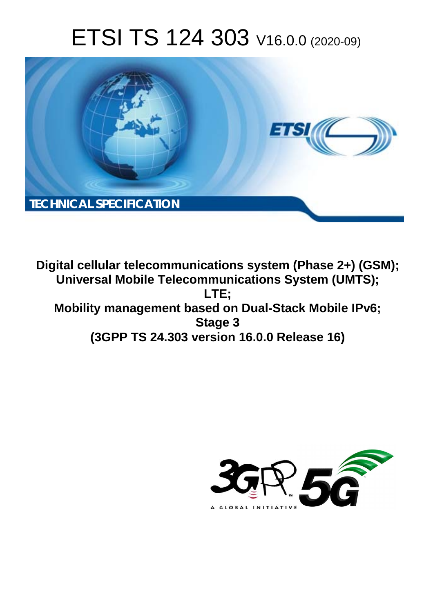# ETSI TS 124 303 V16.0.0 (2020-09)



**Digital cellular telecommunications system (Phase 2+) (GSM); Universal Mobile Telecommunications System (UMTS); LTE; Mobility management based on Dual-Stack Mobile IPv6; Stage 3 (3GPP TS 24.303 version 16.0.0 Release 16)** 

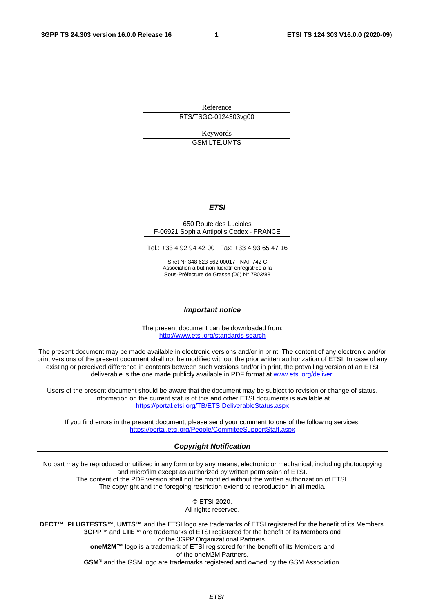Reference

RTS/TSGC-0124303vg00

Keywords GSM,LTE,UMTS

#### *ETSI*

#### 650 Route des Lucioles F-06921 Sophia Antipolis Cedex - FRANCE

Tel.: +33 4 92 94 42 00 Fax: +33 4 93 65 47 16

Siret N° 348 623 562 00017 - NAF 742 C Association à but non lucratif enregistrée à la Sous-Préfecture de Grasse (06) N° 7803/88

#### *Important notice*

The present document can be downloaded from: <http://www.etsi.org/standards-search>

The present document may be made available in electronic versions and/or in print. The content of any electronic and/or print versions of the present document shall not be modified without the prior written authorization of ETSI. In case of any existing or perceived difference in contents between such versions and/or in print, the prevailing version of an ETSI deliverable is the one made publicly available in PDF format at [www.etsi.org/deliver](http://www.etsi.org/deliver).

Users of the present document should be aware that the document may be subject to revision or change of status. Information on the current status of this and other ETSI documents is available at <https://portal.etsi.org/TB/ETSIDeliverableStatus.aspx>

If you find errors in the present document, please send your comment to one of the following services: <https://portal.etsi.org/People/CommiteeSupportStaff.aspx>

#### *Copyright Notification*

No part may be reproduced or utilized in any form or by any means, electronic or mechanical, including photocopying and microfilm except as authorized by written permission of ETSI. The content of the PDF version shall not be modified without the written authorization of ETSI. The copyright and the foregoing restriction extend to reproduction in all media.

> © ETSI 2020. All rights reserved.

**DECT™**, **PLUGTESTS™**, **UMTS™** and the ETSI logo are trademarks of ETSI registered for the benefit of its Members. **3GPP™** and **LTE™** are trademarks of ETSI registered for the benefit of its Members and of the 3GPP Organizational Partners. **oneM2M™** logo is a trademark of ETSI registered for the benefit of its Members and of the oneM2M Partners. **GSM®** and the GSM logo are trademarks registered and owned by the GSM Association.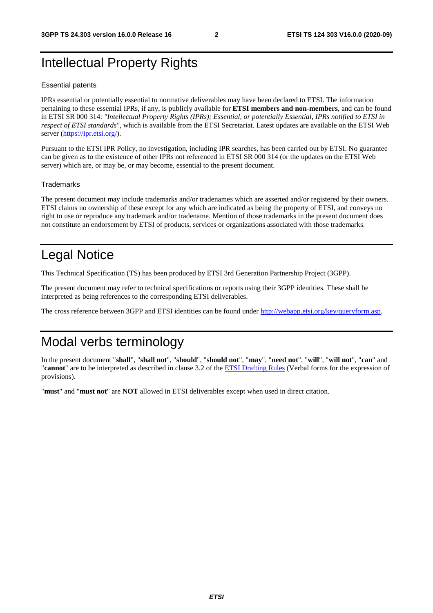## Intellectual Property Rights

#### Essential patents

IPRs essential or potentially essential to normative deliverables may have been declared to ETSI. The information pertaining to these essential IPRs, if any, is publicly available for **ETSI members and non-members**, and can be found in ETSI SR 000 314: *"Intellectual Property Rights (IPRs); Essential, or potentially Essential, IPRs notified to ETSI in respect of ETSI standards"*, which is available from the ETSI Secretariat. Latest updates are available on the ETSI Web server [\(https://ipr.etsi.org/](https://ipr.etsi.org/)).

Pursuant to the ETSI IPR Policy, no investigation, including IPR searches, has been carried out by ETSI. No guarantee can be given as to the existence of other IPRs not referenced in ETSI SR 000 314 (or the updates on the ETSI Web server) which are, or may be, or may become, essential to the present document.

#### **Trademarks**

The present document may include trademarks and/or tradenames which are asserted and/or registered by their owners. ETSI claims no ownership of these except for any which are indicated as being the property of ETSI, and conveys no right to use or reproduce any trademark and/or tradename. Mention of those trademarks in the present document does not constitute an endorsement by ETSI of products, services or organizations associated with those trademarks.

## Legal Notice

This Technical Specification (TS) has been produced by ETSI 3rd Generation Partnership Project (3GPP).

The present document may refer to technical specifications or reports using their 3GPP identities. These shall be interpreted as being references to the corresponding ETSI deliverables.

The cross reference between 3GPP and ETSI identities can be found under<http://webapp.etsi.org/key/queryform.asp>.

## Modal verbs terminology

In the present document "**shall**", "**shall not**", "**should**", "**should not**", "**may**", "**need not**", "**will**", "**will not**", "**can**" and "**cannot**" are to be interpreted as described in clause 3.2 of the [ETSI Drafting Rules](https://portal.etsi.org/Services/editHelp!/Howtostart/ETSIDraftingRules.aspx) (Verbal forms for the expression of provisions).

"**must**" and "**must not**" are **NOT** allowed in ETSI deliverables except when used in direct citation.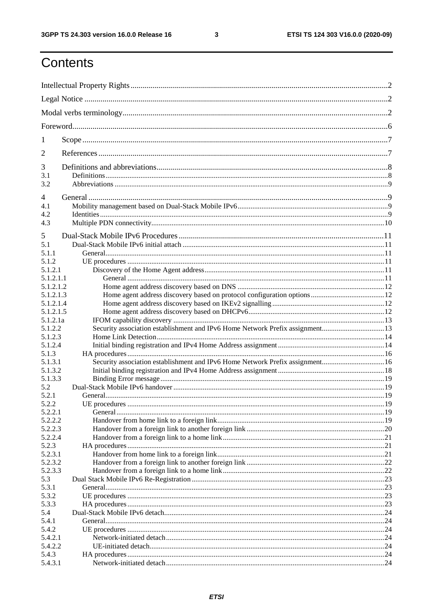$\mathbf{3}$ 

## Contents

| 1                |                                                                               |  |
|------------------|-------------------------------------------------------------------------------|--|
| 2                |                                                                               |  |
| 3                |                                                                               |  |
| 3.1<br>3.2       |                                                                               |  |
| 4                |                                                                               |  |
| 4.1<br>4.2       |                                                                               |  |
| 4.3              |                                                                               |  |
| 5                |                                                                               |  |
| 5.1              |                                                                               |  |
| 5.1.1            |                                                                               |  |
| 5.1.2<br>5.1.2.1 |                                                                               |  |
| 5.1.2.1.1        |                                                                               |  |
| 5.1.2.1.2        |                                                                               |  |
| 5.1.2.1.3        |                                                                               |  |
| 5.1.2.1.4        |                                                                               |  |
| 5.1.2.1.5        |                                                                               |  |
| 5.1.2.1a         |                                                                               |  |
| 5.1.2.2          | Security association establishment and IPv6 Home Network Prefix assignment13  |  |
| 5.1.2.3          |                                                                               |  |
| 5.1.2.4          |                                                                               |  |
| 5.1.3<br>5.1.3.1 |                                                                               |  |
| 5.1.3.2          | Security association establishment and IPv6 Home Network Prefix assignment 16 |  |
| 5.1.3.3          |                                                                               |  |
| 5.2              |                                                                               |  |
| 5.2.1            |                                                                               |  |
| 522              | UE procedures                                                                 |  |
| 5.2.2.1          |                                                                               |  |
| 5.2.2.2          |                                                                               |  |
| 5.2.2.3          |                                                                               |  |
| 5.2.2.4          |                                                                               |  |
| 5.2.3            |                                                                               |  |
| 5.2.3.1          |                                                                               |  |
| 5.2.3.2          |                                                                               |  |
| 5.2.3.3          |                                                                               |  |
| 5.3              |                                                                               |  |
| 5.3.1            |                                                                               |  |
| 5.3.2<br>5.3.3   |                                                                               |  |
| 5.4              |                                                                               |  |
| 5.4.1            |                                                                               |  |
| 5.4.2            |                                                                               |  |
| 5.4.2.1          |                                                                               |  |
| 5.4.2.2          |                                                                               |  |
| 5.4.3            |                                                                               |  |
| 5.4.3.1          |                                                                               |  |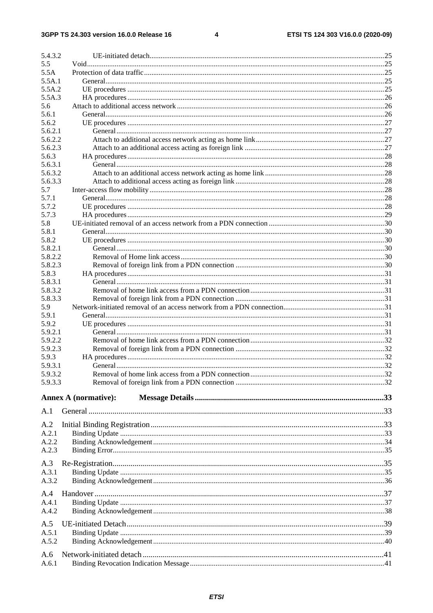$\overline{\mathbf{4}}$ 

| 5.4.3.2          |                             |  |
|------------------|-----------------------------|--|
| 5.5              |                             |  |
| 5.5A             |                             |  |
| 5.5A.1           |                             |  |
| 5.5A.2           |                             |  |
| 5.5A.3           |                             |  |
| 5.6              |                             |  |
| 5.6.1            |                             |  |
| 5.6.2            |                             |  |
| 5.6.2.1          |                             |  |
| 5.6.2.2          |                             |  |
| 5.6.2.3          |                             |  |
| 5.6.3<br>5.6.3.1 |                             |  |
| 5.6.3.2          |                             |  |
| 5.6.3.3          |                             |  |
| 5.7              |                             |  |
| 5.7.1            |                             |  |
| 5.7.2            |                             |  |
| 5.7.3            |                             |  |
| 5.8              |                             |  |
| 5.8.1            |                             |  |
| 5.8.2            |                             |  |
| 5.8.2.1          |                             |  |
| 5.8.2.2          |                             |  |
| 5.8.2.3          |                             |  |
| 5.8.3            |                             |  |
| 5.8.3.1          |                             |  |
| 5.8.3.2          |                             |  |
| 5.8.3.3          |                             |  |
| 5.9              |                             |  |
| 5.9.1            |                             |  |
| 5.9.2            |                             |  |
| 5.9.2.1          |                             |  |
| 5.9.2.2          |                             |  |
| 5.9.2.3          |                             |  |
| 5.9.3            |                             |  |
| 5.9.3.1          |                             |  |
| 5.9.3.2          |                             |  |
| 5.9.3.3          |                             |  |
|                  | <b>Annex A (normative):</b> |  |
| A.1              |                             |  |
|                  |                             |  |
| A.2              |                             |  |
| A.2.1            |                             |  |
| A.2.2            |                             |  |
| A.2.3            |                             |  |
| A.3              |                             |  |
| A.3.1            |                             |  |
| A.3.2            |                             |  |
|                  |                             |  |
| A.4              |                             |  |
| A.4.1            |                             |  |
| A.4.2            |                             |  |
| A.5              |                             |  |
| A.5.1            |                             |  |
| A.5.2            |                             |  |
|                  |                             |  |
| A.6              |                             |  |
| A.6.1            |                             |  |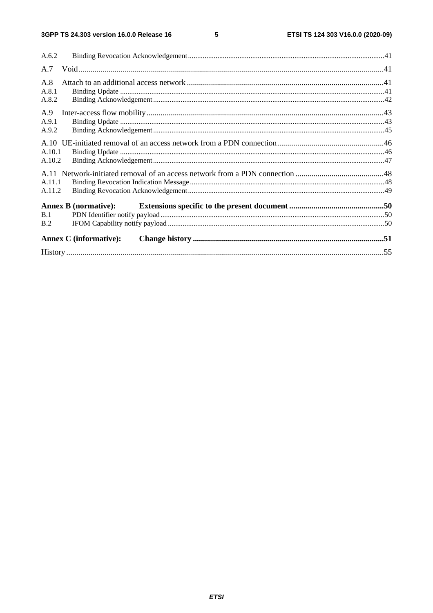$5\phantom{a}$ 

| A.6.2  |                               |  |
|--------|-------------------------------|--|
| A.7    |                               |  |
| A.8    |                               |  |
| A.8.1  |                               |  |
| A.8.2  |                               |  |
| A.9    |                               |  |
| A.9.1  |                               |  |
| A.9.2  |                               |  |
|        |                               |  |
| A.10.1 |                               |  |
| A.10.2 |                               |  |
|        |                               |  |
| A.11.1 |                               |  |
| A.11.2 |                               |  |
|        | <b>Annex B</b> (normative):   |  |
| B.1    |                               |  |
| B.2    |                               |  |
|        | <b>Annex C</b> (informative): |  |
|        |                               |  |
|        |                               |  |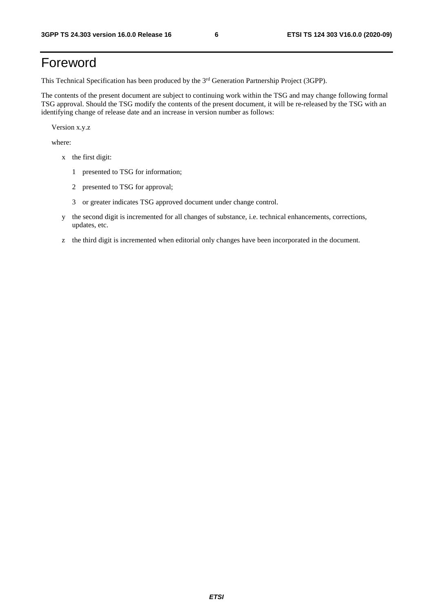## Foreword

This Technical Specification has been produced by the 3<sup>rd</sup> Generation Partnership Project (3GPP).

The contents of the present document are subject to continuing work within the TSG and may change following formal TSG approval. Should the TSG modify the contents of the present document, it will be re-released by the TSG with an identifying change of release date and an increase in version number as follows:

Version x.y.z

where:

- x the first digit:
	- 1 presented to TSG for information;
	- 2 presented to TSG for approval;
	- 3 or greater indicates TSG approved document under change control.
- y the second digit is incremented for all changes of substance, i.e. technical enhancements, corrections, updates, etc.
- z the third digit is incremented when editorial only changes have been incorporated in the document.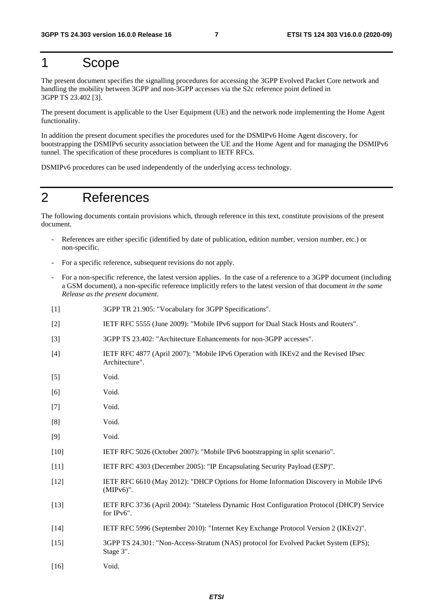### 1 Scope

The present document specifies the signalling procedures for accessing the 3GPP Evolved Packet Core network and handling the mobility between 3GPP and non-3GPP accesses via the S2c reference point defined in 3GPP TS 23.402 [3].

The present document is applicable to the User Equipment (UE) and the network node implementing the Home Agent functionality.

In addition the present document specifies the procedures used for the DSMIPv6 Home Agent discovery, for bootstrapping the DSMIPv6 security association between the UE and the Home Agent and for managing the DSMIPv6 tunnel. The specification of these procedures is compliant to IETF RFCs.

DSMIPv6 procedures can be used independently of the underlying access technology.

## 2 References

The following documents contain provisions which, through reference in this text, constitute provisions of the present document.

- References are either specific (identified by date of publication, edition number, version number, etc.) or non-specific.
- For a specific reference, subsequent revisions do not apply.
- For a non-specific reference, the latest version applies. In the case of a reference to a 3GPP document (including a GSM document), a non-specific reference implicitly refers to the latest version of that document *in the same Release as the present document*.
- [1] 3GPP TR 21.905: "Vocabulary for 3GPP Specifications".
- [2] IETF RFC 5555 (June 2009): "Mobile IPv6 support for Dual Stack Hosts and Routers".
- [3] 3GPP TS 23.402: "Architecture Enhancements for non-3GPP accesses".
- [4] IETF RFC 4877 (April 2007): "Mobile IPv6 Operation with IKEv2 and the Revised IPsec Architecture".
- [5] Void.
- [6] Void.
- [7] Void.
- [8] Void.
- [9] Void.
- [10] IETF RFC 5026 (October 2007): "Mobile IPv6 bootstrapping in split scenario".
- [11] IETF RFC 4303 (December 2005): "IP Encapsulating Security Payload (ESP)".
- [12] IETF RFC 6610 (May 2012): "DHCP Options for Home Information Discovery in Mobile IPv6 (MIPv6)".
- [13] IETF RFC 3736 (April 2004): "Stateless Dynamic Host Configuration Protocol (DHCP) Service for IPv6".
- [14] IETF RFC 5996 (September 2010): "Internet Key Exchange Protocol Version 2 (IKEv2)".
- [15] 3GPP TS 24.301: "Non-Access-Stratum (NAS) protocol for Evolved Packet System (EPS); Stage 3".
- [16] Void.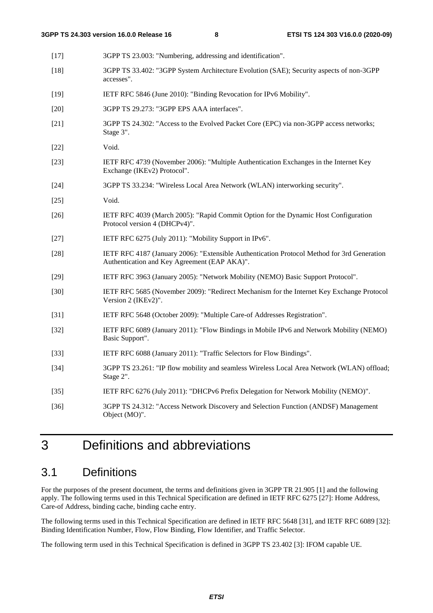[17] 3GPP TS 23.003: "Numbering, addressing and identification". [18] 3GPP TS 33.402: "3GPP System Architecture Evolution (SAE); Security aspects of non-3GPP accesses". [19] IETF RFC 5846 (June 2010): "Binding Revocation for IPv6 Mobility". [20] 3GPP TS 29.273: "3GPP EPS AAA interfaces". [21] 3GPP TS 24.302: "Access to the Evolved Packet Core (EPC) via non-3GPP access networks; Stage 3". [22] Void. [23] IETF RFC 4739 (November 2006): "Multiple Authentication Exchanges in the Internet Key Exchange (IKEv2) Protocol". [24] 3GPP TS 33.234: "Wireless Local Area Network (WLAN) interworking security". [25] Void. [26] IETF RFC 4039 (March 2005): "Rapid Commit Option for the Dynamic Host Configuration Protocol version 4 (DHCPv4)". [27] IETF RFC 6275 (July 2011): "Mobility Support in IPv6". [28] IETF RFC 4187 (January 2006): "Extensible Authentication Protocol Method for 3rd Generation Authentication and Key Agreement (EAP AKA)". [29] IETF RFC 3963 (January 2005): "Network Mobility (NEMO) Basic Support Protocol". [30] IETF RFC 5685 (November 2009): "Redirect Mechanism for the Internet Key Exchange Protocol Version 2 (IKEv2)". [31] IETF RFC 5648 (October 2009): "Multiple Care-of Addresses Registration". [32] IETF RFC 6089 (January 2011): "Flow Bindings in Mobile IPv6 and Network Mobility (NEMO) Basic Support". [33] IETF RFC 6088 (January 2011): "Traffic Selectors for Flow Bindings". [34] 3GPP TS 23.261: "IP flow mobility and seamless Wireless Local Area Network (WLAN) offload; Stage 2". [35] IETF RFC 6276 (July 2011): "DHCPv6 Prefix Delegation for Network Mobility (NEMO)". [36] 3GPP TS 24.312: "Access Network Discovery and Selection Function (ANDSF) Management Object (MO)".

## 3 Definitions and abbreviations

### 3.1 Definitions

For the purposes of the present document, the terms and definitions given in 3GPP TR 21.905 [1] and the following apply. The following terms used in this Technical Specification are defined in IETF RFC 6275 [27]: Home Address, Care-of Address, binding cache, binding cache entry.

The following terms used in this Technical Specification are defined in IETF RFC 5648 [31], and IETF RFC 6089 [32]: Binding Identification Number, Flow, Flow Binding, Flow Identifier, and Traffic Selector.

The following term used in this Technical Specification is defined in 3GPP TS 23.402 [3]: IFOM capable UE.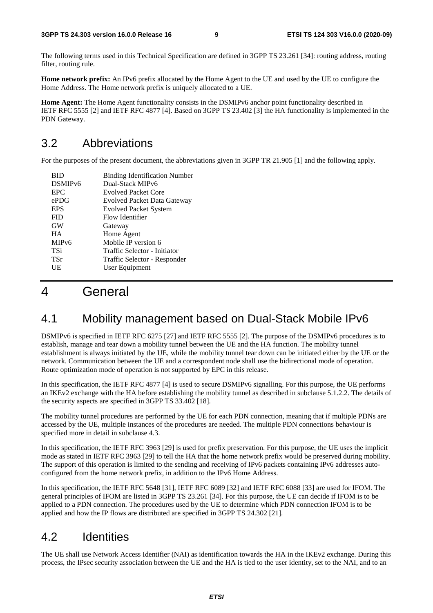The following terms used in this Technical Specification are defined in 3GPP TS 23.261 [34]: routing address, routing filter, routing rule.

**Home network prefix:** An IPv6 prefix allocated by the Home Agent to the UE and used by the UE to configure the Home Address. The Home network prefix is uniquely allocated to a UE.

**Home Agent:** The Home Agent functionality consists in the DSMIPv6 anchor point functionality described in IETF RFC 5555 [2] and IETF RFC 4877 [4]. Based on 3GPP TS 23.402 [3] the HA functionality is implemented in the PDN Gateway.

## 3.2 Abbreviations

For the purposes of the present document, the abbreviations given in 3GPP TR 21.905 [1] and the following apply.

| <b>BID</b>          | <b>Binding Identification Number</b> |
|---------------------|--------------------------------------|
| DSMIP <sub>v6</sub> | Dual-Stack MIPv6                     |
| <b>EPC</b>          | <b>Evolved Packet Core</b>           |
| ePDG                | Evolved Packet Data Gateway          |
| <b>EPS</b>          | <b>Evolved Packet System</b>         |
| <b>FID</b>          | Flow Identifier                      |
| <b>GW</b>           | Gateway                              |
| <b>HA</b>           | Home Agent                           |
| MIP <sub>v6</sub>   | Mobile IP version 6                  |
| TSi                 | Traffic Selector - Initiator         |
| TSr                 | Traffic Selector - Responder         |
| UE                  | User Equipment                       |
|                     |                                      |

## 4 General

### 4.1 Mobility management based on Dual-Stack Mobile IPv6

DSMIPv6 is specified in IETF RFC 6275 [27] and IETF RFC 5555 [2]. The purpose of the DSMIPv6 procedures is to establish, manage and tear down a mobility tunnel between the UE and the HA function. The mobility tunnel establishment is always initiated by the UE, while the mobility tunnel tear down can be initiated either by the UE or the network. Communication between the UE and a correspondent node shall use the bidirectional mode of operation. Route optimization mode of operation is not supported by EPC in this release.

In this specification, the IETF RFC 4877 [4] is used to secure DSMIPv6 signalling. For this purpose, the UE performs an IKEv2 exchange with the HA before establishing the mobility tunnel as described in subclause 5.1.2.2. The details of the security aspects are specified in 3GPP TS 33.402 [18].

The mobility tunnel procedures are performed by the UE for each PDN connection, meaning that if multiple PDNs are accessed by the UE, multiple instances of the procedures are needed. The multiple PDN connections behaviour is specified more in detail in subclause 4.3.

In this specification, the IETF RFC 3963 [29] is used for prefix preservation. For this purpose, the UE uses the implicit mode as stated in IETF RFC 3963 [29] to tell the HA that the home network prefix would be preserved during mobility. The support of this operation is limited to the sending and receiving of IPv6 packets containing IPv6 addresses autoconfigured from the home network prefix, in addition to the IPv6 Home Address.

In this specification, the IETF RFC 5648 [31], IETF RFC 6089 [32] and IETF RFC 6088 [33] are used for IFOM. The general principles of IFOM are listed in 3GPP TS 23.261 [34]. For this purpose, the UE can decide if IFOM is to be applied to a PDN connection. The procedures used by the UE to determine which PDN connection IFOM is to be applied and how the IP flows are distributed are specified in 3GPP TS 24.302 [21].

## 4.2 Identities

The UE shall use Network Access Identifier (NAI) as identification towards the HA in the IKEv2 exchange. During this process, the IPsec security association between the UE and the HA is tied to the user identity, set to the NAI, and to an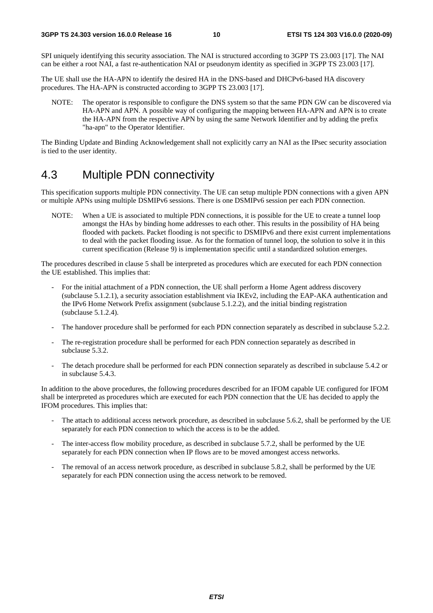SPI uniquely identifying this security association. The NAI is structured according to 3GPP TS 23.003 [17]. The NAI can be either a root NAI, a fast re-authentication NAI or pseudonym identity as specified in 3GPP TS 23.003 [17].

The UE shall use the HA-APN to identify the desired HA in the DNS-based and DHCPv6-based HA discovery procedures. The HA-APN is constructed according to 3GPP TS 23.003 [17].

NOTE: The operator is responsible to configure the DNS system so that the same PDN GW can be discovered via HA-APN and APN. A possible way of configuring the mapping between HA-APN and APN is to create the HA-APN from the respective APN by using the same Network Identifier and by adding the prefix "ha-apn" to the Operator Identifier.

The Binding Update and Binding Acknowledgement shall not explicitly carry an NAI as the IPsec security association is tied to the user identity.

### 4.3 Multiple PDN connectivity

This specification supports multiple PDN connectivity. The UE can setup multiple PDN connections with a given APN or multiple APNs using multiple DSMIPv6 sessions. There is one DSMIPv6 session per each PDN connection.

NOTE: When a UE is associated to multiple PDN connections, it is possible for the UE to create a tunnel loop amongst the HAs by binding home addresses to each other. This results in the possibility of HA being flooded with packets. Packet flooding is not specific to DSMIPv6 and there exist current implementations to deal with the packet flooding issue. As for the formation of tunnel loop, the solution to solve it in this current specification (Release 9) is implementation specific until a standardized solution emerges.

The procedures described in clause 5 shall be interpreted as procedures which are executed for each PDN connection the UE established. This implies that:

- For the initial attachment of a PDN connection, the UE shall perform a Home Agent address discovery (subclause 5.1.2.1), a security association establishment via IKEv2, including the EAP-AKA authentication and the IPv6 Home Network Prefix assignment (subclause 5.1.2.2), and the initial binding registration (subclause 5.1.2.4).
- The handover procedure shall be performed for each PDN connection separately as described in subclause 5.2.2.
- The re-registration procedure shall be performed for each PDN connection separately as described in subclause 5.3.2.
- The detach procedure shall be performed for each PDN connection separately as described in subclause 5.4.2 or in subclause 5.4.3.

In addition to the above procedures, the following procedures described for an IFOM capable UE configured for IFOM shall be interpreted as procedures which are executed for each PDN connection that the UE has decided to apply the IFOM procedures. This implies that:

- The attach to additional access network procedure, as described in subclause 5.6.2, shall be performed by the UE separately for each PDN connection to which the access is to be the added.
- The inter-access flow mobility procedure, as described in subclause 5.7.2, shall be performed by the UE separately for each PDN connection when IP flows are to be moved amongest access networks.
- The removal of an access network procedure, as described in subclause 5.8.2, shall be performed by the UE separately for each PDN connection using the access network to be removed.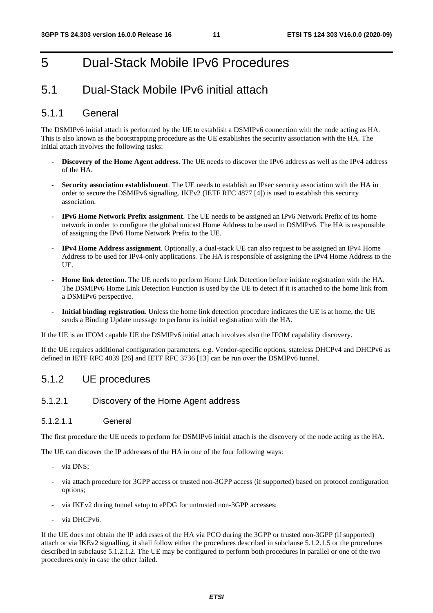## 5 Dual-Stack Mobile IPv6 Procedures

### 5.1 Dual-Stack Mobile IPv6 initial attach

### 5.1.1 General

The DSMIPv6 initial attach is performed by the UE to establish a DSMIPv6 connection with the node acting as HA. This is also known as the bootstrapping procedure as the UE establishes the security association with the HA. The initial attach involves the following tasks:

- **Discovery of the Home Agent address**. The UE needs to discover the IPv6 address as well as the IPv4 address of the HA.
- **Security association establishment**. The UE needs to establish an IPsec security association with the HA in order to secure the DSMIPv6 signalling. IKEv2 (IETF RFC 4877 [4]) is used to establish this security association.
- **IPv6 Home Network Prefix assignment**. The UE needs to be assigned an IPv6 Network Prefix of its home network in order to configure the global unicast Home Address to be used in DSMIPv6. The HA is responsible of assigning the IPv6 Home Network Prefix to the UE.
- **IPv4 Home Address assignment**. Optionally, a dual-stack UE can also request to be assigned an IPv4 Home Address to be used for IPv4-only applications. The HA is responsible of assigning the IPv4 Home Address to the UE.
- **Home link detection**. The UE needs to perform Home Link Detection before initiate registration with the HA. The DSMIPv6 Home Link Detection Function is used by the UE to detect if it is attached to the home link from a DSMIPv6 perspective.
- **Initial binding registration**. Unless the home link detection procedure indicates the UE is at home, the UE sends a Binding Update message to perform its initial registration with the HA.

If the UE is an IFOM capable UE the DSMIPv6 initial attach involves also the IFOM capability discovery.

If the UE requires additional configuration parameters, e.g. Vendor-specific options, stateless DHCPv4 and DHCPv6 as defined in IETF RFC 4039 [26] and IETF RFC 3736 [13] can be run over the DSMIPv6 tunnel.

### 5.1.2 UE procedures

#### 5.1.2.1 Discovery of the Home Agent address

#### 5.1.2.1.1 General

The first procedure the UE needs to perform for DSMIPv6 initial attach is the discovery of the node acting as the HA.

The UE can discover the IP addresses of the HA in one of the four following ways:

- via DNS:
- via attach procedure for 3GPP access or trusted non-3GPP access (if supported) based on protocol configuration options;
- via IKEv2 during tunnel setup to ePDG for untrusted non-3GPP accesses;
- via DHCPv6.

If the UE does not obtain the IP addresses of the HA via PCO during the 3GPP or trusted non-3GPP (if supported) attach or via IKEv2 signalling, it shall follow either the procedures described in subclause 5.1.2.1.5 or the procedures described in subclause 5.1.2.1.2. The UE may be configured to perform both procedures in parallel or one of the two procedures only in case the other failed.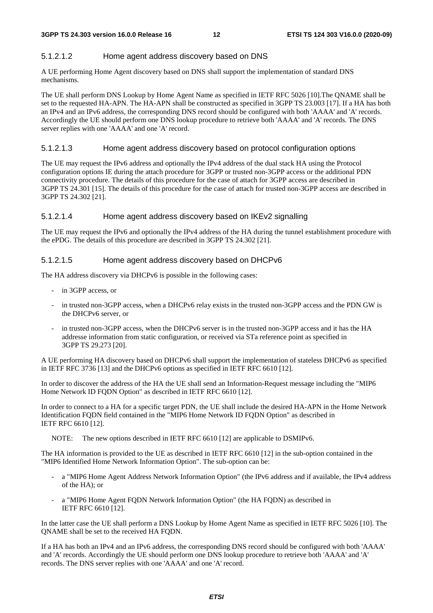#### 5.1.2.1.2 Home agent address discovery based on DNS

A UE performing Home Agent discovery based on DNS shall support the implementation of standard DNS mechanisms.

The UE shall perform DNS Lookup by Home Agent Name as specified in IETF RFC 5026 [10].The QNAME shall be set to the requested HA-APN. The HA-APN shall be constructed as specified in 3GPP TS 23.003 [17]. If a HA has both an IPv4 and an IPv6 address, the corresponding DNS record should be configured with both 'AAAA' and 'A' records. Accordingly the UE should perform one DNS lookup procedure to retrieve both 'AAAA' and 'A' records. The DNS server replies with one 'AAAA' and one 'A' record.

#### 5.1.2.1.3 Home agent address discovery based on protocol configuration options

The UE may request the IPv6 address and optionally the IPv4 address of the dual stack HA using the Protocol configuration options IE during the attach procedure for 3GPP or trusted non-3GPP access or the additional PDN connectivity procedure. The details of this procedure for the case of attach for 3GPP access are described in 3GPP TS 24.301 [15]. The details of this procedure for the case of attach for trusted non-3GPP access are described in 3GPP TS 24.302 [21].

#### 5.1.2.1.4 Home agent address discovery based on IKEv2 signalling

The UE may request the IPv6 and optionally the IPv4 address of the HA during the tunnel establishment procedure with the ePDG. The details of this procedure are described in 3GPP TS 24.302 [21].

#### 5.1.2.1.5 Home agent address discovery based on DHCPv6

The HA address discovery via DHCPv6 is possible in the following cases:

- in 3GPP access, or
- in trusted non-3GPP access, when a DHCPv6 relay exists in the trusted non-3GPP access and the PDN GW is the DHCPv6 server, or
- in trusted non-3GPP access, when the DHCPv6 server is in the trusted non-3GPP access and it has the HA addresse information from static configuration, or received via STa reference point as specified in 3GPP TS 29.273 [20].

A UE performing HA discovery based on DHCPv6 shall support the implementation of stateless DHCPv6 as specified in IETF RFC 3736 [13] and the DHCPv6 options as specified in IETF RFC 6610 [12].

In order to discover the address of the HA the UE shall send an Information-Request message including the "MIP6 Home Network ID FQDN Option" as described in IETF RFC 6610 [12].

In order to connect to a HA for a specific target PDN, the UE shall include the desired HA-APN in the Home Network Identification FQDN field contained in the "MIP6 Home Network ID FQDN Option" as described in IETF RFC 6610 [12].

NOTE: The new options described in IETF RFC 6610 [12] are applicable to DSMIPv6.

The HA information is provided to the UE as described in IETF RFC 6610 [12] in the sub-option contained in the "MIP6 Identified Home Network Information Option". The sub-option can be:

- a "MIP6 Home Agent Address Network Information Option" (the IPv6 address and if available, the IPv4 address of the HA); or
- a "MIP6 Home Agent FQDN Network Information Option" (the HA FQDN) as described in IETF RFC 6610 [12].

In the latter case the UE shall perform a DNS Lookup by Home Agent Name as specified in IETF RFC 5026 [10]. The QNAME shall be set to the received HA FQDN.

If a HA has both an IPv4 and an IPv6 address, the corresponding DNS record should be configured with both 'AAAA' and 'A' records. Accordingly the UE should perform one DNS lookup procedure to retrieve both 'AAAA' and 'A' records. The DNS server replies with one 'AAAA' and one 'A' record.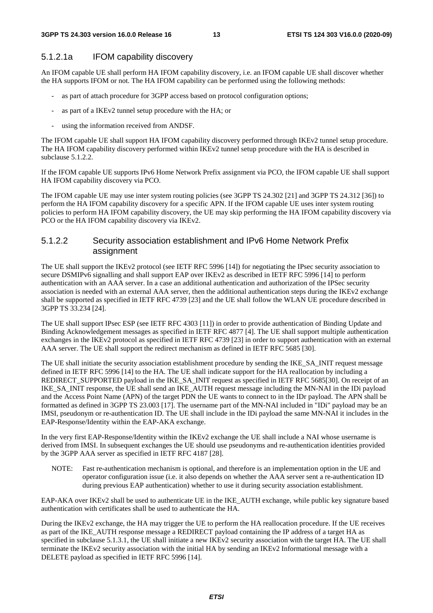### 5.1.2.1a IFOM capability discovery

An IFOM capable UE shall perform HA IFOM capability discovery, i.e. an IFOM capable UE shall discover whether the HA supports IFOM or not. The HA IFOM capability can be performed using the following methods:

- as part of attach procedure for 3GPP access based on protocol configuration options;
- as part of a IKEv2 tunnel setup procedure with the HA; or
- using the information received from ANDSF.

The IFOM capable UE shall support HA IFOM capability discovery performed through IKEv2 tunnel setup procedure. The HA IFOM capability discovery performed within IKEv2 tunnel setup procedure with the HA is described in subclause 5.1.2.2.

If the IFOM capable UE supports IPv6 Home Network Prefix assignment via PCO, the IFOM capable UE shall support HA IFOM capability discovery via PCO.

The IFOM capable UE may use inter system routing policies (see 3GPP TS 24.302 [21] and 3GPP TS 24.312 [36]) to perform the HA IFOM capability discovery for a specific APN. If the IFOM capable UE uses inter system routing policies to perform HA IFOM capability discovery, the UE may skip performing the HA IFOM capability discovery via PCO or the HA IFOM capability discovery via IKEv2.

### 5.1.2.2 Security association establishment and IPv6 Home Network Prefix assignment

The UE shall support the IKEv2 protocol (see IETF RFC 5996 [14]) for negotiating the IPsec security association to secure DSMIPv6 signalling and shall support EAP over IKEv2 as described in IETF RFC 5996 [14] to perform authentication with an AAA server. In a case an additional authentication and authorization of the IPSec security association is needed with an external AAA server, then the additional authentication steps during the IKEv2 exchange shall be supported as specified in IETF RFC 4739 [23] and the UE shall follow the WLAN UE procedure described in 3GPP TS 33.234 [24].

The UE shall support IPsec ESP (see IETF RFC 4303 [11]) in order to provide authentication of Binding Update and Binding Acknowledgement messages as specified in IETF RFC 4877 [4]. The UE shall support multiple authentication exchanges in the IKEv2 protocol as specified in IETF RFC 4739 [23] in order to support authentication with an external AAA server. The UE shall support the redirect mechanism as defined in IETF RFC 5685 [30].

The UE shall initiate the security association establishment procedure by sending the IKE\_SA\_INIT request message defined in IETF RFC 5996 [14] to the HA. The UE shall indicate support for the HA reallocation by including a REDIRECT\_SUPPORTED payload in the IKE\_SA\_INIT request as specified in IETF RFC 5685[30]. On receipt of an IKE\_SA\_INIT response, the UE shall send an IKE\_AUTH request message including the MN-NAI in the IDi payload and the Access Point Name (APN) of the target PDN the UE wants to connect to in the IDr payload. The APN shall be formatted as defined in 3GPP TS 23.003 [17]. The username part of the MN-NAI included in "IDi" payload may be an IMSI, pseudonym or re-authentication ID. The UE shall include in the IDi payload the same MN-NAI it includes in the EAP-Response/Identity within the EAP-AKA exchange.

In the very first EAP-Response/Identity within the IKEv2 exchange the UE shall include a NAI whose username is derived from IMSI. In subsequent exchanges the UE should use pseudonyms and re-authentication identities provided by the 3GPP AAA server as specified in IETF RFC 4187 [28].

NOTE: Fast re-authentication mechanism is optional, and therefore is an implementation option in the UE and operator configuration issue (i.e. it also depends on whether the AAA server sent a re-authentication ID during previous EAP authentication) whether to use it during security association establishment.

EAP-AKA over IKEv2 shall be used to authenticate UE in the IKE\_AUTH exchange, while public key signature based authentication with certificates shall be used to authenticate the HA.

During the IKEv2 exchange, the HA may trigger the UE to perform the HA reallocation procedure. If the UE receives as part of the IKE\_AUTH response message a REDIRECT payload containing the IP address of a target HA as specified in subclause 5.1.3.1, the UE shall initiate a new IKEv2 security association with the target HA. The UE shall terminate the IKEv2 security association with the initial HA by sending an IKEv2 Informational message with a DELETE payload as specified in IETF RFC 5996 [14].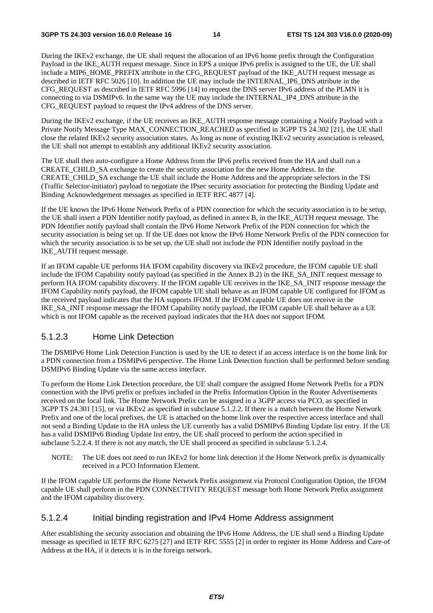During the IKEv2 exchange, the UE shall request the allocation of an IPv6 home prefix through the Configuration Payload in the IKE\_AUTH request message. Since in EPS a unique IPv6 prefix is assigned to the UE, the UE shall include a MIP6\_HOME\_PREFIX attribute in the CFG\_REQUEST payload of the IKE\_AUTH request message as described in IETF RFC 5026 [10]. In addition the UE may include the INTERNAL\_IP6\_DNS attribute in the CFG\_REQUEST as described in IETF RFC 5996 [14] to request the DNS server IPv6 address of the PLMN it is connecting to via DSMIPv6. In the same way the UE may include the INTERNAL\_IP4\_DNS attribute in the CFG\_REQUEST payload to request the IPv4 address of the DNS server.

During the IKEv2 exchange, if the UE receives an IKE\_AUTH response message containing a Notify Payload with a Private Notify Message Type MAX\_CONNECTION\_REACHED as specified in 3GPP TS 24.302 [21], the UE shall close the related IKEv2 security association states. As long as none of existing IKEv2 security association is released, the UE shall not attempt to establish any additional IKEv2 security association.

The UE shall then auto-configure a Home Address from the IPv6 prefix received from the HA and shall run a CREATE\_CHILD\_SA exchange to create the security association for the new Home Address. In the CREATE\_CHILD\_SA exchange the UE shall include the Home Address and the appropriate selectors in the TSi (Traffic Selector-initiator) payload to negotiate the IPsec security association for protecting the Binding Update and Binding Acknowledgement messages as specified in IETF RFC 4877 [4].

If the UE knows the IPv6 Home Network Prefix of a PDN connection for which the security association is to be setup, the UE shall insert a PDN Identifier notify payload, as defined in annex B, in the IKE\_AUTH request message. The PDN Identifier notify payload shall contain the IPv6 Home Network Prefix of the PDN connection for which the security association is being set up. If the UE does not know the IPv6 Home Network Prefix of the PDN connection for which the security association is to be set up, the UE shall not include the PDN Identifier notify payload in the IKE\_AUTH request message.

If an IFOM capable UE performs HA IFOM capability discovery via IKEv2 procedure, the IFOM capable UE shall include the IFOM Capability notify payload (as specified in the Annex B.2) in the IKE\_SA\_INIT request message to perform HA IFOM capability discovery. If the IFOM capable UE receives in the IKE\_SA\_INIT response message the IFOM Capability notify payload, the IFOM capable UE shall behave as an IFOM capable UE configured for IFOM as the received payload indicates that the HA supports IFOM. If the IFOM capable UE does not receive in the IKE\_SA\_INIT response message the IFOM Capability notify payload, the IFOM capable UE shall behave as a UE which is not IFOM capable as the received payload indicates that the HA does not support IFOM.

#### 5.1.2.3 Home Link Detection

The DSMIPv6 Home Link Detection Function is used by the UE to detect if an access interface is on the home link for a PDN connection from a DSMIPv6 perspective. The Home Link Detection function shall be performed before sending DSMIPv6 Binding Update via the same access interface.

To perform the Home Link Detection procedure, the UE shall compare the assigned Home Network Prefix for a PDN connection with the IPv6 prefix or prefixes included in the Prefix Information Option in the Router Advertisements received on the local link. The Home Network Prefix can be assigned in a 3GPP access via PCO, as specified in 3GPP TS 24.301 [15], or via IKEv2 as specified in subclause 5.1.2.2. If there is a match between the Home Network Prefix and one of the local prefixes, the UE is attached on the home link over the respective access interface and shall not send a Binding Update to the HA unless the UE currently has a valid DSMIPv6 Binding Update list entry. If the UE has a valid DSMIPv6 Binding Update list entry, the UE shall proceed to perform the action specified in subclause 5.2.2.4. If there is not any match, the UE shall proceed as specified in subclause 5.1.2.4.

NOTE: The UE does not need to run IKEv2 for home link detection if the Home Network prefix is dynamically received in a PCO Information Element.

If the IFOM capable UE performs the Home Network Prefix assignment via Protocol Configuration Option, the IFOM capable UE shall perform in the PDN CONNECTIVITY REQUEST message both Home Network Prefix assignment and the IFOM capability discovery.

#### 5.1.2.4 Initial binding registration and IPv4 Home Address assignment

After establishing the security association and obtaining the IPv6 Home Address, the UE shall send a Binding Update message as specified in IETF RFC 6275 [27] and IETF RFC 5555 [2] in order to register its Home Address and Care-of Address at the HA, if it detects it is in the foreign network.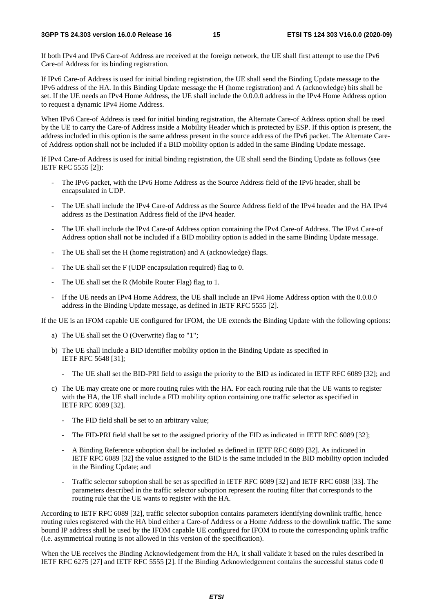If both IPv4 and IPv6 Care-of Address are received at the foreign network, the UE shall first attempt to use the IPv6 Care-of Address for its binding registration.

If IPv6 Care-of Address is used for initial binding registration, the UE shall send the Binding Update message to the IPv6 address of the HA. In this Binding Update message the H (home registration) and A (acknowledge) bits shall be set. If the UE needs an IPv4 Home Address, the UE shall include the 0.0.0.0 address in the IPv4 Home Address option to request a dynamic IPv4 Home Address.

When IPv6 Care-of Address is used for initial binding registration, the Alternate Care-of Address option shall be used by the UE to carry the Care-of Address inside a Mobility Header which is protected by ESP. If this option is present, the address included in this option is the same address present in the source address of the IPv6 packet. The Alternate Careof Address option shall not be included if a BID mobility option is added in the same Binding Update message.

If IPv4 Care-of Address is used for initial binding registration, the UE shall send the Binding Update as follows (see IETF RFC 5555 [2]):

- The IPv6 packet, with the IPv6 Home Address as the Source Address field of the IPv6 header, shall be encapsulated in UDP.
- The UE shall include the IPv4 Care-of Address as the Source Address field of the IPv4 header and the HA IPv4 address as the Destination Address field of the IPv4 header.
- The UE shall include the IPv4 Care-of Address option containing the IPv4 Care-of Address. The IPv4 Care-of Address option shall not be included if a BID mobility option is added in the same Binding Update message.
- The UE shall set the H (home registration) and A (acknowledge) flags.
- The UE shall set the F (UDP encapsulation required) flag to 0.
- The UE shall set the R (Mobile Router Flag) flag to 1.
- If the UE needs an IPv4 Home Address, the UE shall include an IPv4 Home Address option with the 0.0.0.0 address in the Binding Update message, as defined in IETF RFC 5555 [2].

If the UE is an IFOM capable UE configured for IFOM, the UE extends the Binding Update with the following options:

- a) The UE shall set the O (Overwrite) flag to "1";
- b) The UE shall include a BID identifier mobility option in the Binding Update as specified in IETF RFC 5648 [31];
	- The UE shall set the BID-PRI field to assign the priority to the BID as indicated in IETF RFC 6089 [32]; and
- c) The UE may create one or more routing rules with the HA. For each routing rule that the UE wants to register with the HA, the UE shall include a FID mobility option containing one traffic selector as specified in IETF RFC 6089 [32].
	- The FID field shall be set to an arbitrary value;
	- The FID-PRI field shall be set to the assigned priority of the FID as indicated in IETF RFC 6089 [32];
	- A Binding Reference suboption shall be included as defined in IETF RFC 6089 [32]. As indicated in IETF RFC 6089 [32] the value assigned to the BID is the same included in the BID mobility option included in the Binding Update; and
	- Traffic selector suboption shall be set as specified in IETF RFC 6089 [32] and IETF RFC 6088 [33]. The parameters described in the traffic selector suboption represent the routing filter that corresponds to the routing rule that the UE wants to register with the HA.

According to IETF RFC 6089 [32], traffic selector suboption contains parameters identifying downlink traffic, hence routing rules registered with the HA bind either a Care-of Address or a Home Address to the downlink traffic. The same bound IP address shall be used by the IFOM capable UE configured for IFOM to route the corresponding uplink traffic (i.e. asymmetrical routing is not allowed in this version of the specification).

When the UE receives the Binding Acknowledgement from the HA, it shall validate it based on the rules described in IETF RFC 6275 [27] and IETF RFC 5555 [2]. If the Binding Acknowledgement contains the successful status code 0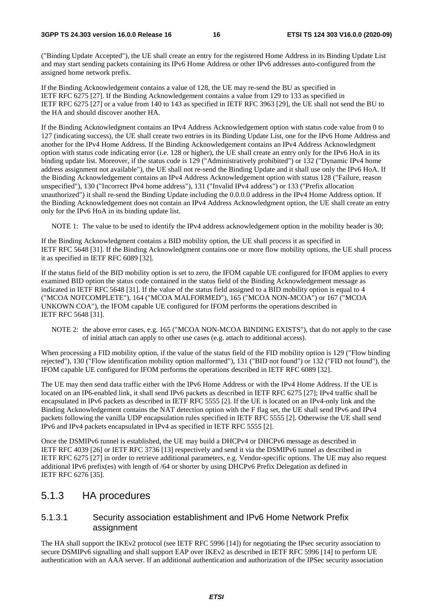("Binding Update Accepted"), the UE shall create an entry for the registered Home Address in its Binding Update List and may start sending packets containing its IPv6 Home Address or other IPv6 addresses auto-configured from the assigned home network prefix.

If the Binding Acknowledgement contains a value of 128, the UE may re-send the BU as specified in IETF RFC 6275 [27]. If the Binding Acknowledgement contains a value from 129 to 133 as specified in IETF RFC 6275 [27] or a value from 140 to 143 as specified in IETF RFC 3963 [29], the UE shall not send the BU to the HA and should discover another HA.

If the Binding Acknowledgment contains an IPv4 Address Acknowledgement option with status code value from 0 to 127 (indicating success), the UE shall create two entries in its Binding Update List, one for the IPv6 Home Address and another for the IPv4 Home Address. If the Binding Acknowledgement contains an IPv4 Address Acknowledgment option with status code indicating error (i.e. 128 or higher), the UE shall create an entry only for the IPv6 HoA in its binding update list. Moreover, if the status code is 129 ("Administratively prohibited") or 132 ("Dynamic IPv4 home address assignment not available"), the UE shall not re-send the Binding Update and it shall use only the IPv6 HoA. If the Binding Acknowledgement contains an IPv4 Address Acknowledgement option with status 128 ("Failure, reason unspecified"), 130 ("Incorrect IPv4 home address"), 131 ("Invalid IPv4 address") or 133 ("Prefix allocation unauthorized") it shall re-send the Binding Update including the 0.0.0.0 address in the IPv4 Home Address option. If the Binding Acknowledgement does not contain an IPv4 Address Acknowledgment option, the UE shall create an entry only for the IPv6 HoA in its binding update list.

NOTE 1: The value to be used to identify the IPv4 address acknowledgement option in the mobility header is 30;

If the Binding Acknowledgment contains a BID mobility option, the UE shall process it as specified in IETF RFC 5648 [31]. If the Binding Acknowledgment contains one or more flow mobility options, the UE shall process it as specified in IETF RFC 6089 [32].

If the status field of the BID mobility option is set to zero, the IFOM capable UE configured for IFOM applies to every examined BID option the status code contained in the status field of the Binding Acknowledgement message as indicated in IETF RFC 5648 [31]. If the value of the status field assigned to a BID mobility option is equal to 4 ("MCOA NOTCOMPLETE"), 164 ("MCOA MALFORMED"), 165 ("MCOA NON-MCOA") or 167 ("MCOA UNKOWN COA"), the IFOM capable UE configured for IFOM performs the operations described in IETF RFC 5648 [31].

NOTE 2: the above error cases, e.g. 165 ("MCOA NON-MCOA BINDING EXISTS"), that do not apply to the case of initial attach can apply to other use cases (e.g. attach to additional access).

When processing a FID mobility option, if the value of the status field of the FID mobility option is 129 ("Flow binding rejected"), 130 ("Flow identification mobility option malformed"), 131 ("BID not found") or 132 ("FID not found"), the IFOM capable UE configured for IFOM performs the operations described in IETF RFC 6089 [32].

The UE may then send data traffic either with the IPv6 Home Address or with the IPv4 Home Address. If the UE is located on an IP6-enabled link, it shall send IPv6 packets as described in IETF RFC 6275 [27]; IPv4 traffic shall be encapsulated in IPv6 packets as described in IETF RFC 5555 [2]. If the UE is located on an IPv4-only link and the Binding Acknowledgement contains the NAT detection option with the F flag set, the UE shall send IPv6 and IPv4 packets following the vanilla UDP encapsulation rules specified in IETF RFC 5555 [2]. Otherwise the UE shall send IPv6 and IPv4 packets encapsulated in IPv4 as specified in IETF RFC 5555 [2].

Once the DSMIPv6 tunnel is established, the UE may build a DHCPv4 or DHCPv6 message as described in IETF RFC 4039 [26] or IETF RFC 3736 [13] respectively and send it via the DSMIPv6 tunnel as described in IETF RFC 6275 [27] in order to retrieve additional parameters, e.g. Vendor-specific options. The UE may also request additional IPv6 prefix(es) with length of /64 or shorter by using DHCPv6 Prefix Delegation as defined in IETF RFC 6276 [35].

### 5.1.3 HA procedures

#### 5.1.3.1 Security association establishment and IPv6 Home Network Prefix assignment

The HA shall support the IKEv2 protocol (see IETF RFC 5996 [14]) for negotiating the IPsec security association to secure DSMIPv6 signalling and shall support EAP over IKEv2 as described in IETF RFC 5996 [14] to perform UE authentication with an AAA server. If an additional authentication and authorization of the IPSec security association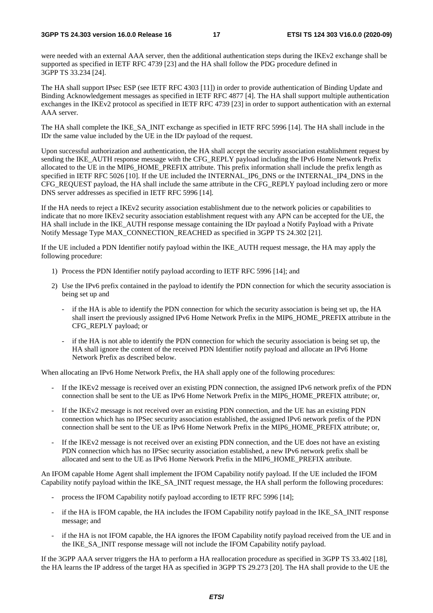were needed with an external AAA server, then the additional authentication steps during the IKEv2 exchange shall be supported as specified in IETF RFC 4739 [23] and the HA shall follow the PDG procedure defined in 3GPP TS 33.234 [24].

The HA shall support IPsec ESP (see IETF RFC 4303 [11]) in order to provide authentication of Binding Update and Binding Acknowledgement messages as specified in IETF RFC 4877 [4]. The HA shall support multiple authentication exchanges in the IKEv2 protocol as specified in IETF RFC 4739 [23] in order to support authentication with an external AAA server.

The HA shall complete the IKE\_SA\_INIT exchange as specified in IETF RFC 5996 [14]. The HA shall include in the IDr the same value included by the UE in the IDr payload of the request.

Upon successful authorization and authentication, the HA shall accept the security association establishment request by sending the IKE\_AUTH response message with the CFG\_REPLY payload including the IPv6 Home Network Prefix allocated to the UE in the MIP6\_HOME\_PREFIX attribute. This prefix information shall include the prefix length as specified in IETF RFC 5026 [10]. If the UE included the INTERNAL IP6 DNS or the INTERNAL IP4 DNS in the CFG\_REQUEST payload, the HA shall include the same attribute in the CFG\_REPLY payload including zero or more DNS server addresses as specified in IETF RFC 5996 [14].

If the HA needs to reject a IKEv2 security association establishment due to the network policies or capabilities to indicate that no more IKEv2 security association establishment request with any APN can be accepted for the UE, the HA shall include in the IKE\_AUTH response message containing the IDr payload a Notify Payload with a Private Notify Message Type MAX\_CONNECTION\_REACHED as specified in 3GPP TS 24.302 [21].

If the UE included a PDN Identifier notify payload within the IKE\_AUTH request message, the HA may apply the following procedure:

- 1) Process the PDN Identifier notify payload according to IETF RFC 5996 [14]; and
- 2) Use the IPv6 prefix contained in the payload to identify the PDN connection for which the security association is being set up and
	- if the HA is able to identify the PDN connection for which the security association is being set up, the HA shall insert the previously assigned IPv6 Home Network Prefix in the MIP6\_HOME\_PREFIX attribute in the CFG\_REPLY payload; or
	- if the HA is not able to identify the PDN connection for which the security association is being set up, the HA shall ignore the content of the received PDN Identifier notify payload and allocate an IPv6 Home Network Prefix as described below.

When allocating an IPv6 Home Network Prefix, the HA shall apply one of the following procedures:

- If the IKEv2 message is received over an existing PDN connection, the assigned IPv6 network prefix of the PDN connection shall be sent to the UE as IPv6 Home Network Prefix in the MIP6\_HOME\_PREFIX attribute; or,
- If the IKEv2 message is not received over an existing PDN connection, and the UE has an existing PDN connection which has no IPSec security association established, the assigned IPv6 network prefix of the PDN connection shall be sent to the UE as IPv6 Home Network Prefix in the MIP6\_HOME\_PREFIX attribute; or,
- If the IKEv2 message is not received over an existing PDN connection, and the UE does not have an existing PDN connection which has no IPSec security association established, a new IPv6 network prefix shall be allocated and sent to the UE as IPv6 Home Network Prefix in the MIP6\_HOME\_PREFIX attribute.

An IFOM capable Home Agent shall implement the IFOM Capability notify payload. If the UE included the IFOM Capability notify payload within the IKE\_SA\_INIT request message, the HA shall perform the following procedures:

- process the IFOM Capability notify payload according to IETF RFC 5996 [14];
- if the HA is IFOM capable, the HA includes the IFOM Capability notify payload in the IKE\_SA\_INIT response message; and
- if the HA is not IFOM capable, the HA ignores the IFOM Capability notify payload received from the UE and in the IKE\_SA\_INIT response message will not include the IFOM Capability notify payload.

If the 3GPP AAA server triggers the HA to perform a HA reallocation procedure as specified in 3GPP TS 33.402 [18], the HA learns the IP address of the target HA as specified in 3GPP TS 29.273 [20]. The HA shall provide to the UE the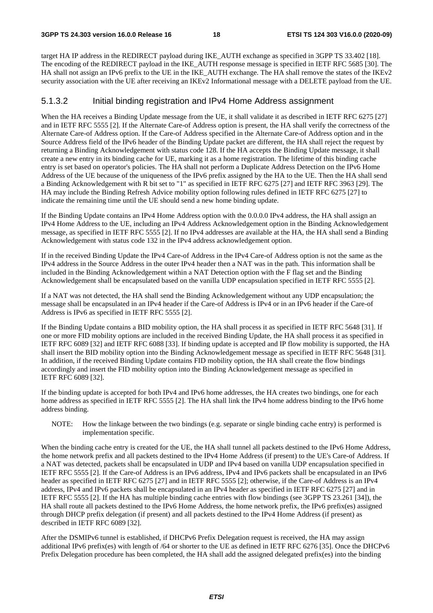target HA IP address in the REDIRECT payload during IKE\_AUTH exchange as specified in 3GPP TS 33.402 [18]. The encoding of the REDIRECT payload in the IKE\_AUTH response message is specified in IETF RFC 5685 [30]. The HA shall not assign an IPv6 prefix to the UE in the IKE\_AUTH exchange. The HA shall remove the states of the IKEv2 security association with the UE after receiving an IKEv2 Informational message with a DELETE payload from the UE.

#### 5.1.3.2 Initial binding registration and IPv4 Home Address assignment

When the HA receives a Binding Update message from the UE, it shall validate it as described in IETF RFC 6275 [27] and in IETF RFC 5555 [2]. If the Alternate Care-of Address option is present, the HA shall verify the correctness of the Alternate Care-of Address option. If the Care-of Address specified in the Alternate Care-of Address option and in the Source Address field of the IPv6 header of the Binding Update packet are different, the HA shall reject the request by returning a Binding Acknowledgement with status code 128. If the HA accepts the Binding Update message, it shall create a new entry in its binding cache for UE, marking it as a home registration. The lifetime of this binding cache entry is set based on operator's policies. The HA shall not perform a Duplicate Address Detection on the IPv6 Home Address of the UE because of the uniqueness of the IPv6 prefix assigned by the HA to the UE. Then the HA shall send a Binding Acknowledgement with R bit set to "1" as specified in IETF RFC 6275 [27] and IETF RFC 3963 [29]. The HA may include the Binding Refresh Advice mobility option following rules defined in IETF RFC 6275 [27] to indicate the remaining time until the UE should send a new home binding update.

If the Binding Update contains an IPv4 Home Address option with the 0.0.0.0 IPv4 address, the HA shall assign an IPv4 Home Address to the UE, including an IPv4 Address Acknowledgement option in the Binding Acknowledgement message, as specified in IETF RFC 5555 [2]. If no IPv4 addresses are available at the HA, the HA shall send a Binding Acknowledgement with status code 132 in the IPv4 address acknowledgement option.

If in the received Binding Update the IPv4 Care-of Address in the IPv4 Care-of Address option is not the same as the IPv4 address in the Source Address in the outer IPv4 header then a NAT was in the path. This information shall be included in the Binding Acknowledgement within a NAT Detection option with the F flag set and the Binding Acknowledgement shall be encapsulated based on the vanilla UDP encapsulation specified in IETF RFC 5555 [2].

If a NAT was not detected, the HA shall send the Binding Acknowledgement without any UDP encapsulation; the message shall be encapsulated in an IPv4 header if the Care-of Address is IPv4 or in an IPv6 header if the Care-of Address is IPv6 as specified in IETF RFC 5555 [2].

If the Binding Update contains a BID mobility option, the HA shall process it as specified in IETF RFC 5648 [31]. If one or more FID mobility options are included in the received Binding Update, the HA shall process it as specified in IETF RFC 6089 [32] and IETF RFC 6088 [33]. If binding update is accepted and IP flow mobility is supported, the HA shall insert the BID mobility option into the Binding Acknowledgement message as specified in IETF RFC 5648 [31]. In addition, if the received Binding Update contains FID mobility option, the HA shall create the flow bindings accordingly and insert the FID mobility option into the Binding Acknowledgement message as specified in IETF RFC 6089 [32].

If the binding update is accepted for both IPv4 and IPv6 home addresses, the HA creates two bindings, one for each home address as specified in IETF RFC 5555 [2]. The HA shall link the IPv4 home address binding to the IPv6 home address binding.

NOTE: How the linkage between the two bindings (e.g. separate or single binding cache entry) is performed is implementation specific.

When the binding cache entry is created for the UE, the HA shall tunnel all packets destined to the IPv6 Home Address, the home network prefix and all packets destined to the IPv4 Home Address (if present) to the UE's Care-of Address. If a NAT was detected, packets shall be encapsulated in UDP and IPv4 based on vanilla UDP encapsulation specified in IETF RFC 5555 [2]. If the Care-of Address is an IPv6 address, IPv4 and IPv6 packets shall be encapsulated in an IPv6 header as specified in IETF RFC 6275 [27] and in IETF RFC 5555 [2]; otherwise, if the Care-of Address is an IPv4 address, IPv4 and IPv6 packets shall be encapsulated in an IPv4 header as specified in IETF RFC 6275 [27] and in IETF RFC 5555 [2]. If the HA has multiple binding cache entries with flow bindings (see 3GPP TS 23.261 [34]), the HA shall route all packets destined to the IPv6 Home Address, the home network prefix, the IPv6 prefix(es) assigned through DHCP prefix delegation (if present) and all packets destined to the IPv4 Home Address (if present) as described in IETF RFC 6089 [32].

After the DSMIPv6 tunnel is established, if DHCPv6 Prefix Delegation request is received, the HA may assign additional IPv6 prefix(es) with length of /64 or shorter to the UE as defined in IETF RFC 6276 [35]. Once the DHCPv6 Prefix Delegation procedure has been completed, the HA shall add the assigned delegated prefix(es) into the binding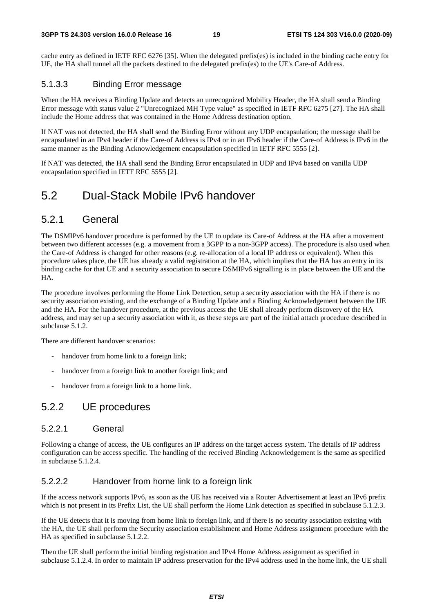cache entry as defined in IETF RFC 6276 [35]. When the delegated prefix(es) is included in the binding cache entry for UE, the HA shall tunnel all the packets destined to the delegated prefix(es) to the UE's Care-of Address.

#### 5.1.3.3 Binding Error message

When the HA receives a Binding Update and detects an unrecognized Mobility Header, the HA shall send a Binding Error message with status value 2 "Unrecognized MH Type value" as specified in IETF RFC 6275 [27]. The HA shall include the Home address that was contained in the Home Address destination option.

If NAT was not detected, the HA shall send the Binding Error without any UDP encapsulation; the message shall be encapsulated in an IPv4 header if the Care-of Address is IPv4 or in an IPv6 header if the Care-of Address is IPv6 in the same manner as the Binding Acknowledgement encapsulation specified in IETF RFC 5555 [2].

If NAT was detected, the HA shall send the Binding Error encapsulated in UDP and IPv4 based on vanilla UDP encapsulation specified in IETF RFC 5555 [2].

### 5.2 Dual-Stack Mobile IPv6 handover

### 5.2.1 General

The DSMIPv6 handover procedure is performed by the UE to update its Care-of Address at the HA after a movement between two different accesses (e.g. a movement from a 3GPP to a non-3GPP access). The procedure is also used when the Care-of Address is changed for other reasons (e.g. re-allocation of a local IP address or equivalent). When this procedure takes place, the UE has already a valid registration at the HA, which implies that the HA has an entry in its binding cache for that UE and a security association to secure DSMIPv6 signalling is in place between the UE and the HA.

The procedure involves performing the Home Link Detection, setup a security association with the HA if there is no security association existing, and the exchange of a Binding Update and a Binding Acknowledgement between the UE and the HA. For the handover procedure, at the previous access the UE shall already perform discovery of the HA address, and may set up a security association with it, as these steps are part of the initial attach procedure described in subclause 5.1.2.

There are different handover scenarios:

- handover from home link to a foreign link;
- handover from a foreign link to another foreign link; and
- handover from a foreign link to a home link.

### 5.2.2 UE procedures

#### 5.2.2.1 General

Following a change of access, the UE configures an IP address on the target access system. The details of IP address configuration can be access specific. The handling of the received Binding Acknowledgement is the same as specified in subclause 5.1.2.4.

#### 5.2.2.2 Handover from home link to a foreign link

If the access network supports IPv6, as soon as the UE has received via a Router Advertisement at least an IPv6 prefix which is not present in its Prefix List, the UE shall perform the Home Link detection as specified in subclause 5.1.2.3.

If the UE detects that it is moving from home link to foreign link, and if there is no security association existing with the HA, the UE shall perform the Security association establishment and Home Address assignment procedure with the HA as specified in subclause 5.1.2.2.

Then the UE shall perform the initial binding registration and IPv4 Home Address assignment as specified in subclause 5.1.2.4. In order to maintain IP address preservation for the IPv4 address used in the home link, the UE shall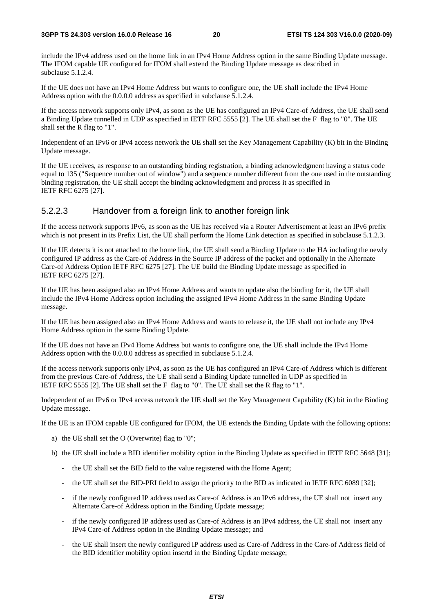include the IPv4 address used on the home link in an IPv4 Home Address option in the same Binding Update message. The IFOM capable UE configured for IFOM shall extend the Binding Update message as described in subclause 5.1.2.4.

If the UE does not have an IPv4 Home Address but wants to configure one, the UE shall include the IPv4 Home Address option with the 0.0.0.0 address as specified in subclause 5.1.2.4.

If the access network supports only IPv4, as soon as the UE has configured an IPv4 Care-of Address, the UE shall send a Binding Update tunnelled in UDP as specified in IETF RFC 5555 [2]. The UE shall set the F flag to "0". The UE shall set the R flag to "1".

Independent of an IPv6 or IPv4 access network the UE shall set the Key Management Capability (K) bit in the Binding Update message.

If the UE receives, as response to an outstanding binding registration, a binding acknowledgment having a status code equal to 135 ("Sequence number out of window") and a sequence number different from the one used in the outstanding binding registration, the UE shall accept the binding acknowledgment and process it as specified in IETF RFC 6275 [27].

#### 5.2.2.3 Handover from a foreign link to another foreign link

If the access network supports IPv6, as soon as the UE has received via a Router Advertisement at least an IPv6 prefix which is not present in its Prefix List, the UE shall perform the Home Link detection as specified in subclause 5.1.2.3.

If the UE detects it is not attached to the home link, the UE shall send a Binding Update to the HA including the newly configured IP address as the Care-of Address in the Source IP address of the packet and optionally in the Alternate Care-of Address Option IETF RFC 6275 [27]. The UE build the Binding Update message as specified in IETF RFC 6275 [27].

If the UE has been assigned also an IPv4 Home Address and wants to update also the binding for it, the UE shall include the IPv4 Home Address option including the assigned IPv4 Home Address in the same Binding Update message.

If the UE has been assigned also an IPv4 Home Address and wants to release it, the UE shall not include any IPv4 Home Address option in the same Binding Update.

If the UE does not have an IPv4 Home Address but wants to configure one, the UE shall include the IPv4 Home Address option with the 0.0.0.0 address as specified in subclause 5.1.2.4.

If the access network supports only IPv4, as soon as the UE has configured an IPv4 Care-of Address which is different from the previous Care-of Address, the UE shall send a Binding Update tunnelled in UDP as specified in IETF RFC 5555 [2]. The UE shall set the F flag to "0". The UE shall set the R flag to "1".

Independent of an IPv6 or IPv4 access network the UE shall set the Key Management Capability (K) bit in the Binding Update message.

If the UE is an IFOM capable UE configured for IFOM, the UE extends the Binding Update with the following options:

- a) the UE shall set the O (Overwrite) flag to "0";
- b) the UE shall include a BID identifier mobility option in the Binding Update as specified in IETF RFC 5648 [31];
	- the UE shall set the BID field to the value registered with the Home Agent;
	- the UE shall set the BID-PRI field to assign the priority to the BID as indicated in IETF RFC 6089 [32];
	- if the newly configured IP address used as Care-of Address is an IPv6 address, the UE shall not insert any Alternate Care-of Address option in the Binding Update message;
	- if the newly configured IP address used as Care-of Address is an IPv4 address, the UE shall not insert any IPv4 Care-of Address option in the Binding Update message; and
	- the UE shall insert the newly configured IP address used as Care-of Address in the Care-of Address field of the BID identifier mobility option insertd in the Binding Update message;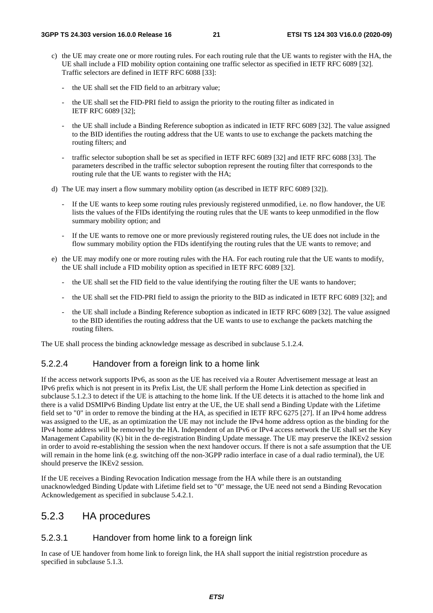- c) the UE may create one or more routing rules. For each routing rule that the UE wants to register with the HA, the UE shall include a FID mobility option containing one traffic selector as specified in IETF RFC 6089 [32]. Traffic selectors are defined in IETF RFC 6088 [33]:
	- the UE shall set the FID field to an arbitrary value;
	- the UE shall set the FID-PRI field to assign the priority to the routing filter as indicated in IETF RFC 6089 [32];
	- the UE shall include a Binding Reference suboption as indicated in IETF RFC 6089 [32]. The value assigned to the BID identifies the routing address that the UE wants to use to exchange the packets matching the routing filters; and
	- traffic selector suboption shall be set as specified in IETF RFC 6089 [32] and IETF RFC 6088 [33]. The parameters described in the traffic selector suboption represent the routing filter that corresponds to the routing rule that the UE wants to register with the HA;
- d) The UE may insert a flow summary mobility option (as described in IETF RFC 6089 [32]).
	- If the UE wants to keep some routing rules previously registered unmodified, i.e. no flow handover, the UE lists the values of the FIDs identifying the routing rules that the UE wants to keep unmodified in the flow summary mobility option; and
	- If the UE wants to remove one or more previously registered routing rules, the UE does not include in the flow summary mobility option the FIDs identifying the routing rules that the UE wants to remove; and
- e) the UE may modify one or more routing rules with the HA. For each routing rule that the UE wants to modify, the UE shall include a FID mobility option as specified in IETF RFC 6089 [32].
	- the UE shall set the FID field to the value identifying the routing filter the UE wants to handover;
	- the UE shall set the FID-PRI field to assign the priority to the BID as indicated in IETF RFC 6089 [32]; and
	- the UE shall include a Binding Reference suboption as indicated in IETF RFC 6089 [32]. The value assigned to the BID identifies the routing address that the UE wants to use to exchange the packets matching the routing filters.

The UE shall process the binding acknowledge message as described in subclause 5.1.2.4.

#### 5.2.2.4 Handover from a foreign link to a home link

If the access network supports IPv6, as soon as the UE has received via a Router Advertisement message at least an IPv6 prefix which is not present in its Prefix List, the UE shall perform the Home Link detection as specified in subclause 5.1.2.3 to detect if the UE is attaching to the home link. If the UE detects it is attached to the home link and there is a valid DSMIPv6 Binding Update list entry at the UE, the UE shall send a Binding Update with the Lifetime field set to "0" in order to remove the binding at the HA, as specified in IETF RFC 6275 [27]. If an IPv4 home address was assigned to the UE, as an optimization the UE may not include the IPv4 home address option as the binding for the IPv4 home address will be removed by the HA. Independent of an IPv6 or IPv4 access network the UE shall set the Key Management Capability (K) bit in the de-registration Binding Update message. The UE may preserve the IKEv2 session in order to avoid re-establishing the session when the next handover occurs. If there is not a safe assumption that the UE will remain in the home link (e.g. switching off the non-3GPP radio interface in case of a dual radio terminal), the UE should preserve the IKEv2 session.

If the UE receives a Binding Revocation Indication message from the HA while there is an outstanding unacknowledged Binding Update with Lifetime field set to "0" message, the UE need not send a Binding Revocation Acknowledgement as specified in subclause 5.4.2.1.

### 5.2.3 HA procedures

#### 5.2.3.1 Handover from home link to a foreign link

In case of UE handover from home link to foreign link, the HA shall support the initial registrstion procedure as specified in subclause 5.1.3.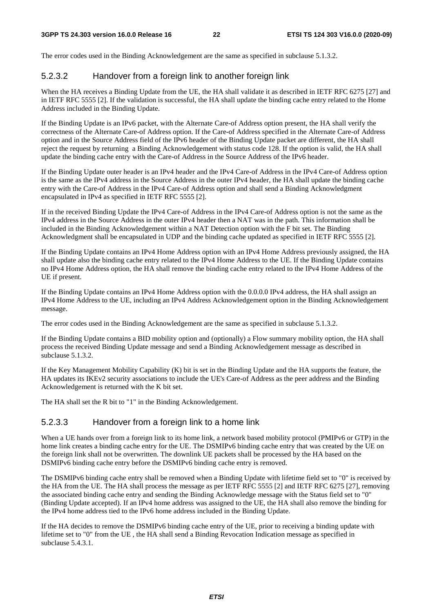The error codes used in the Binding Acknowledgement are the same as specified in subclause 5.1.3.2.

### 5.2.3.2 Handover from a foreign link to another foreign link

When the HA receives a Binding Update from the UE, the HA shall validate it as described in IETF RFC 6275 [27] and in IETF RFC 5555 [2]. If the validation is successful, the HA shall update the binding cache entry related to the Home Address included in the Binding Update.

If the Binding Update is an IPv6 packet, with the Alternate Care-of Address option present, the HA shall verify the correctness of the Alternate Care-of Address option. If the Care-of Address specified in the Alternate Care-of Address option and in the Source Address field of the IPv6 header of the Binding Update packet are different, the HA shall reject the request by returning a Binding Acknowledgement with status code 128. If the option is valid, the HA shall update the binding cache entry with the Care-of Address in the Source Address of the IPv6 header.

If the Binding Update outer header is an IPv4 header and the IPv4 Care-of Address in the IPv4 Care-of Address option is the same as the IPv4 address in the Source Address in the outer IPv4 header, the HA shall update the binding cache entry with the Care-of Address in the IPv4 Care-of Address option and shall send a Binding Acknowledgment encapsulated in IPv4 as specified in IETF RFC 5555 [2].

If in the received Binding Update the IPv4 Care-of Address in the IPv4 Care-of Address option is not the same as the IPv4 address in the Source Address in the outer IPv4 header then a NAT was in the path. This information shall be included in the Binding Acknowledgement within a NAT Detection option with the F bit set. The Binding Acknowledgment shall be encapsulated in UDP and the binding cache updated as specified in IETF RFC 5555 [2].

If the Binding Update contains an IPv4 Home Address option with an IPv4 Home Address previously assigned, the HA shall update also the binding cache entry related to the IPv4 Home Address to the UE. If the Binding Update contains no IPv4 Home Address option, the HA shall remove the binding cache entry related to the IPv4 Home Address of the UE if present.

If the Binding Update contains an IPv4 Home Address option with the 0.0.0.0 IPv4 address, the HA shall assign an IPv4 Home Address to the UE, including an IPv4 Address Acknowledgement option in the Binding Acknowledgement message.

The error codes used in the Binding Acknowledgement are the same as specified in subclause 5.1.3.2.

If the Binding Update contains a BID mobility option and (optionally) a Flow summary mobility option, the HA shall process the received Binding Update message and send a Binding Acknowledgement message as described in subclause 5.1.3.2.

If the Key Management Mobility Capability (K) bit is set in the Binding Update and the HA supports the feature, the HA updates its IKEv2 security associations to include the UE's Care-of Address as the peer address and the Binding Acknowledgement is returned with the K bit set.

The HA shall set the R bit to "1" in the Binding Acknowledgement.

### 5.2.3.3 Handover from a foreign link to a home link

When a UE hands over from a foreign link to its home link, a network based mobility protocol (PMIPv6 or GTP) in the home link creates a binding cache entry for the UE. The DSMIPv6 binding cache entry that was created by the UE on the foreign link shall not be overwritten. The downlink UE packets shall be processed by the HA based on the DSMIPv6 binding cache entry before the DSMIPv6 binding cache entry is removed.

The DSMIPv6 binding cache entry shall be removed when a Binding Update with lifetime field set to "0" is received by the HA from the UE. The HA shall process the message as per IETF RFC 5555 [2] and IETF RFC 6275 [27], removing the associated binding cache entry and sending the Binding Acknowledge message with the Status field set to "0" (Binding Update accepted). If an IPv4 home address was assigned to the UE, the HA shall also remove the binding for the IPv4 home address tied to the IPv6 home address included in the Binding Update.

If the HA decides to remove the DSMIPv6 binding cache entry of the UE, prior to receiving a binding update with lifetime set to "0" from the UE , the HA shall send a Binding Revocation Indication message as specified in subclause 5.4.3.1.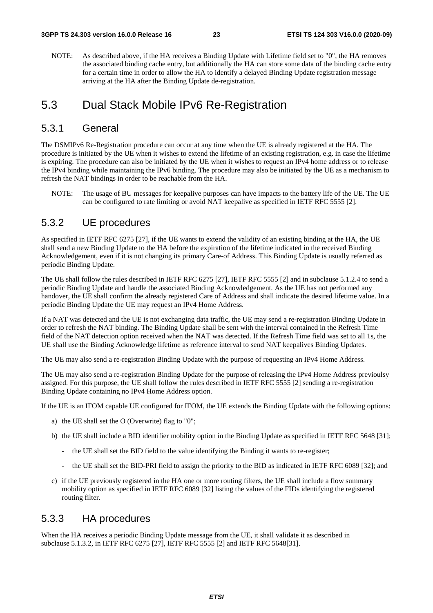NOTE: As described above, if the HA receives a Binding Update with Lifetime field set to "0", the HA removes the associated binding cache entry, but additionally the HA can store some data of the binding cache entry for a certain time in order to allow the HA to identify a delayed Binding Update registration message arriving at the HA after the Binding Update de-registration.

### 5.3 Dual Stack Mobile IPv6 Re-Registration

### 5.3.1 General

The DSMIPv6 Re-Registration procedure can occur at any time when the UE is already registered at the HA. The procedure is initiated by the UE when it wishes to extend the lifetime of an existing registration, e.g. in case the lifetime is expiring. The procedure can also be initiated by the UE when it wishes to request an IPv4 home address or to release the IPv4 binding while maintaining the IPv6 binding. The procedure may also be initiated by the UE as a mechanism to refresh the NAT bindings in order to be reachable from the HA.

NOTE: The usage of BU messages for keepalive purposes can have impacts to the battery life of the UE. The UE can be configured to rate limiting or avoid NAT keepalive as specified in IETF RFC 5555 [2].

### 5.3.2 UE procedures

As specified in IETF RFC 6275 [27], if the UE wants to extend the validity of an existing binding at the HA, the UE shall send a new Binding Update to the HA before the expiration of the lifetime indicated in the received Binding Acknowledgement, even if it is not changing its primary Care-of Address. This Binding Update is usually referred as periodic Binding Update.

The UE shall follow the rules described in IETF RFC 6275 [27], IETF RFC 5555 [2] and in subclause 5.1.2.4 to send a periodic Binding Update and handle the associated Binding Acknowledgement. As the UE has not performed any handover, the UE shall confirm the already registered Care of Address and shall indicate the desired lifetime value. In a periodic Binding Update the UE may request an IPv4 Home Address.

If a NAT was detected and the UE is not exchanging data traffic, the UE may send a re-registration Binding Update in order to refresh the NAT binding. The Binding Update shall be sent with the interval contained in the Refresh Time field of the NAT detection option received when the NAT was detected. If the Refresh Time field was set to all 1s, the UE shall use the Binding Acknowledge lifetime as reference interval to send NAT keepalives Binding Updates.

The UE may also send a re-registration Binding Update with the purpose of requesting an IPv4 Home Address.

The UE may also send a re-registration Binding Update for the purpose of releasing the IPv4 Home Address previoulsy assigned. For this purpose, the UE shall follow the rules described in IETF RFC 5555 [2] sending a re-registration Binding Update containing no IPv4 Home Address option.

If the UE is an IFOM capable UE configured for IFOM, the UE extends the Binding Update with the following options:

- a) the UE shall set the O (Overwrite) flag to "0";
- b) the UE shall include a BID identifier mobility option in the Binding Update as specified in IETF RFC 5648 [31];
	- the UE shall set the BID field to the value identifying the Binding it wants to re-register;
	- the UE shall set the BID-PRI field to assign the priority to the BID as indicated in IETF RFC 6089 [32]; and
- c) if the UE previously registered in the HA one or more routing filters, the UE shall include a flow summary mobility option as specified in IETF RFC 6089 [32] listing the values of the FIDs identifying the registered routing filter.

### 5.3.3 HA procedures

When the HA receives a periodic Binding Update message from the UE, it shall validate it as described in subclause 5.1.3.2, in IETF RFC 6275 [27], IETF RFC 5555 [2] and IETF RFC 5648[31].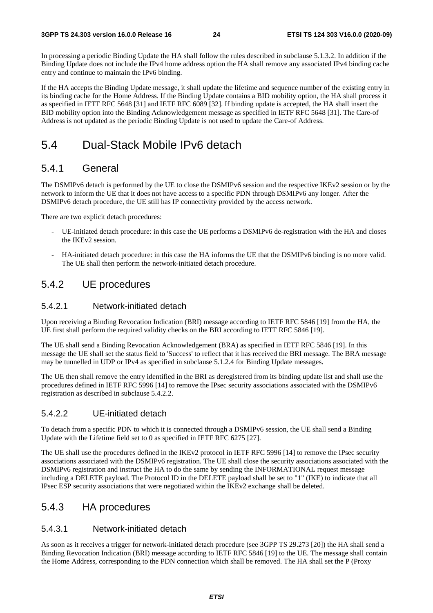In processing a periodic Binding Update the HA shall follow the rules described in subclause 5.1.3.2. In addition if the Binding Update does not include the IPv4 home address option the HA shall remove any associated IPv4 binding cache entry and continue to maintain the IPv6 binding.

If the HA accepts the Binding Update message, it shall update the lifetime and sequence number of the existing entry in its binding cache for the Home Address. If the Binding Update contains a BID mobility option, the HA shall process it as specified in IETF RFC 5648 [31] and IETF RFC 6089 [32]. If binding update is accepted, the HA shall insert the BID mobility option into the Binding Acknowledgement message as specified in IETF RFC 5648 [31]. The Care-of Address is not updated as the periodic Binding Update is not used to update the Care-of Address.

### 5.4 Dual-Stack Mobile IPv6 detach

### 5.4.1 General

The DSMIPv6 detach is performed by the UE to close the DSMIPv6 session and the respective IKEv2 session or by the network to inform the UE that it does not have access to a specific PDN through DSMIPv6 any longer. After the DSMIPv6 detach procedure, the UE still has IP connectivity provided by the access network.

There are two explicit detach procedures:

- UE-initiated detach procedure: in this case the UE performs a DSMIPv6 de-registration with the HA and closes the IKEv2 session.
- HA-initiated detach procedure: in this case the HA informs the UE that the DSMIPv6 binding is no more valid. The UE shall then perform the network-initiated detach procedure.

### 5.4.2 UE procedures

#### 5.4.2.1 Network-initiated detach

Upon receiving a Binding Revocation Indication (BRI) message according to IETF RFC 5846 [19] from the HA, the UE first shall perform the required validity checks on the BRI according to IETF RFC 5846 [19].

The UE shall send a Binding Revocation Acknowledgement (BRA) as specified in IETF RFC 5846 [19]. In this message the UE shall set the status field to 'Success' to reflect that it has received the BRI message. The BRA message may be tunnelled in UDP or IPv4 as specified in subclause 5.1.2.4 for Binding Update messages.

The UE then shall remove the entry identified in the BRI as deregistered from its binding update list and shall use the procedures defined in IETF RFC 5996 [14] to remove the IPsec security associations associated with the DSMIPv6 registration as described in subclause 5.4.2.2.

#### 5.4.2.2 UE-initiated detach

To detach from a specific PDN to which it is connected through a DSMIPv6 session, the UE shall send a Binding Update with the Lifetime field set to 0 as specified in IETF RFC 6275 [27].

The UE shall use the procedures defined in the IKEv2 protocol in IETF RFC 5996 [14] to remove the IPsec security associations associated with the DSMIPv6 registration. The UE shall close the security associations associated with the DSMIPv6 registration and instruct the HA to do the same by sending the INFORMATIONAL request message including a DELETE payload. The Protocol ID in the DELETE payload shall be set to "1" (IKE) to indicate that all IPsec ESP security associations that were negotiated within the IKEv2 exchange shall be deleted.

### 5.4.3 HA procedures

#### 5.4.3.1 Network-initiated detach

As soon as it receives a trigger for network-initiated detach procedure (see 3GPP TS 29.273 [20]) the HA shall send a Binding Revocation Indication (BRI) message according to IETF RFC 5846 [19] to the UE. The message shall contain the Home Address, corresponding to the PDN connection which shall be removed. The HA shall set the P (Proxy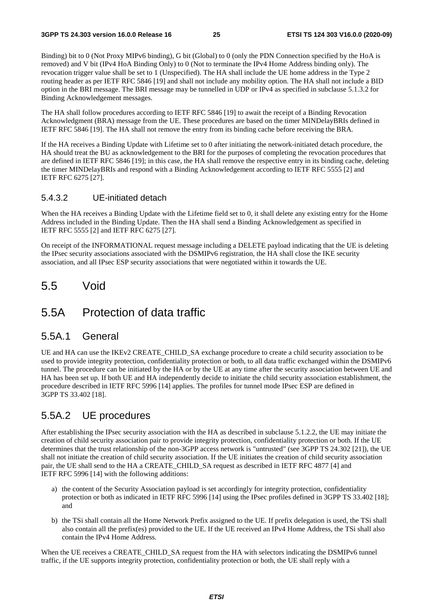Binding) bit to 0 (Not Proxy MIPv6 binding), G bit (Global) to 0 (only the PDN Connection specified by the HoA is removed) and V bit (IPv4 HoA Binding Only) to 0 (Not to terminate the IPv4 Home Address binding only). The revocation trigger value shall be set to 1 (Unspecified). The HA shall include the UE home address in the Type 2 routing header as per IETF RFC 5846 [19] and shall not include any mobility option. The HA shall not include a BID option in the BRI message. The BRI message may be tunnelled in UDP or IPv4 as specified in subclause 5.1.3.2 for Binding Acknowledgement messages.

The HA shall follow procedures according to IETF RFC 5846 [19] to await the receipt of a Binding Revocation Acknowledgment (BRA) message from the UE. These procedures are based on the timer MINDelayBRIs defined in IETF RFC 5846 [19]. The HA shall not remove the entry from its binding cache before receiving the BRA.

If the HA receives a Binding Update with Lifetime set to 0 after initiating the network-initiated detach procedure, the HA should treat the BU as acknowledgement to the BRI for the purposes of completing the revocation procedures that are defined in IETF RFC 5846 [19]; in this case, the HA shall remove the respective entry in its binding cache, deleting the timer MINDelayBRIs and respond with a Binding Acknowledgement according to IETF RFC 5555 [2] and IETF RFC 6275 [27].

#### 5.4.3.2 UE-initiated detach

When the HA receives a Binding Update with the Lifetime field set to 0, it shall delete any existing entry for the Home Address included in the Binding Update. Then the HA shall send a Binding Acknowledgement as specified in IETF RFC 5555 [2] and IETF RFC 6275 [27].

On receipt of the INFORMATIONAL request message including a DELETE payload indicating that the UE is deleting the IPsec security associations associated with the DSMIPv6 registration, the HA shall close the IKE security association, and all IPsec ESP security associations that were negotiated within it towards the UE.

### 5.5 Void

### 5.5A Protection of data traffic

### 5.5A.1 General

UE and HA can use the IKEv2 CREATE\_CHILD\_SA exchange procedure to create a child security association to be used to provide integrity protection, confidentiality protection or both, to all data traffic exchanged within the DSMIPv6 tunnel. The procedure can be initiated by the HA or by the UE at any time after the security association between UE and HA has been set up. If both UE and HA independently decide to initiate the child security association establishment, the procedure described in IETF RFC 5996 [14] applies. The profiles for tunnel mode IPsec ESP are defined in 3GPP TS 33.402 [18].

### 5.5A.2 UE procedures

After establishing the IPsec security association with the HA as described in subclause 5.1.2.2, the UE may initiate the creation of child security association pair to provide integrity protection, confidentiality protection or both. If the UE determines that the trust relationship of the non-3GPP access network is "untrusted" (see 3GPP TS 24.302 [21]), the UE shall not initiate the creation of child security association. If the UE initiates the creation of child security association pair, the UE shall send to the HA a CREATE\_CHILD\_SA request as described in IETF RFC 4877 [4] and IETF RFC 5996 [14] with the following additions:

- a) the content of the Security Association payload is set accordingly for integrity protection, confidentiality protection or both as indicated in IETF RFC 5996 [14] using the IPsec profiles defined in 3GPP TS 33.402 [18]; and
- b) the TSi shall contain all the Home Network Prefix assigned to the UE. If prefix delegation is used, the TSi shall also contain all the prefix(es) provided to the UE. If the UE received an IPv4 Home Address, the TSi shall also contain the IPv4 Home Address.

When the UE receives a CREATE\_CHILD\_SA request from the HA with selectors indicating the DSMIPv6 tunnel traffic, if the UE supports integrity protection, confidentiality protection or both, the UE shall reply with a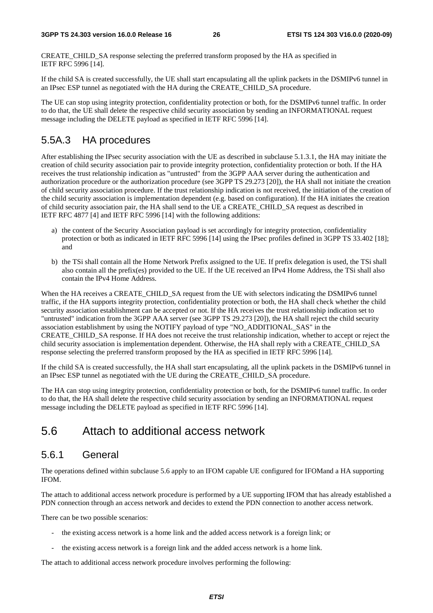CREATE\_CHILD\_SA response selecting the preferred transform proposed by the HA as specified in IETF RFC 5996 [14].

If the child SA is created successfully, the UE shall start encapsulating all the uplink packets in the DSMIPv6 tunnel in an IPsec ESP tunnel as negotiated with the HA during the CREATE\_CHILD\_SA procedure.

The UE can stop using integrity protection, confidentiality protection or both, for the DSMIPv6 tunnel traffic. In order to do that, the UE shall delete the respective child security association by sending an INFORMATIONAL request message including the DELETE payload as specified in IETF RFC 5996 [14].

### 5.5A.3 HA procedures

After establishing the IPsec security association with the UE as described in subclause 5.1.3.1, the HA may initiate the creation of child security association pair to provide integrity protection, confidentiality protection or both. If the HA receives the trust relationship indication as "untrusted" from the 3GPP AAA server during the authentication and authorization procedure or the authorization procedure (see 3GPP TS 29.273 [20]), the HA shall not initiate the creation of child security association procedure. If the trust relationship indication is not received, the initiation of the creation of the child security association is implementation dependent (e.g. based on configuration). If the HA initiates the creation of child security association pair, the HA shall send to the UE a CREATE\_CHILD\_SA request as described in IETF RFC 4877 [4] and IETF RFC 5996 [14] with the following additions:

- a) the content of the Security Association payload is set accordingly for integrity protection, confidentiality protection or both as indicated in IETF RFC 5996 [14] using the IPsec profiles defined in 3GPP TS 33.402 [18]; and
- b) the TSi shall contain all the Home Network Prefix assigned to the UE. If prefix delegation is used, the TSi shall also contain all the prefix(es) provided to the UE. If the UE received an IPv4 Home Address, the TSi shall also contain the IPv4 Home Address.

When the HA receives a CREATE\_CHILD\_SA request from the UE with selectors indicating the DSMIPv6 tunnel traffic, if the HA supports integrity protection, confidentiality protection or both, the HA shall check whether the child security association establishment can be accepted or not. If the HA receives the trust relationship indication set to "untrusted" indication from the 3GPP AAA server (see 3GPP TS 29.273 [20]), the HA shall reject the child security association establishment by using the NOTIFY payload of type "NO\_ADDITIONAL\_SAS" in the CREATE\_CHILD\_SA response. If HA does not receive the trust relationship indication, whether to accept or reject the child security association is implementation dependent. Otherwise, the HA shall reply with a CREATE\_CHILD\_SA response selecting the preferred transform proposed by the HA as specified in IETF RFC 5996 [14].

If the child SA is created successfully, the HA shall start encapsulating, all the uplink packets in the DSMIPv6 tunnel in an IPsec ESP tunnel as negotiated with the UE during the CREATE\_CHILD\_SA procedure.

The HA can stop using integrity protection, confidentiality protection or both, for the DSMIPv6 tunnel traffic. In order to do that, the HA shall delete the respective child security association by sending an INFORMATIONAL request message including the DELETE payload as specified in IETF RFC 5996 [14].

### 5.6 Attach to additional access network

### 5.6.1 General

The operations defined within subclause 5.6 apply to an IFOM capable UE configured for IFOMand a HA supporting IFOM.

The attach to additional access network procedure is performed by a UE supporting IFOM that has already established a PDN connection through an access network and decides to extend the PDN connection to another access network.

There can be two possible scenarios:

- the existing access network is a home link and the added access network is a foreign link; or
- the existing access network is a foreign link and the added access network is a home link.

The attach to additional access network procedure involves performing the following: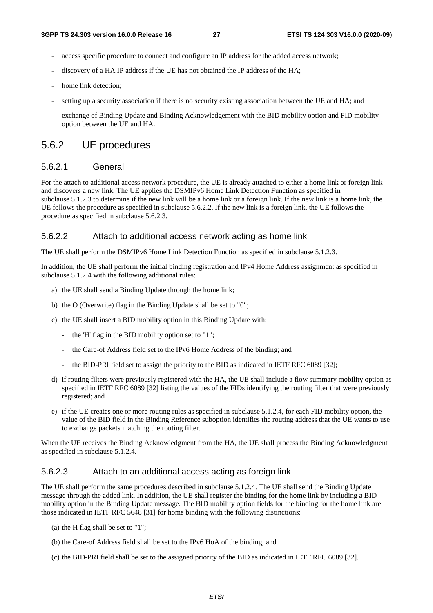- access specific procedure to connect and configure an IP address for the added access network;
- discovery of a HA IP address if the UE has not obtained the IP address of the HA;
- home link detection:
- setting up a security association if there is no security existing association between the UE and HA; and
- exchange of Binding Update and Binding Acknowledgement with the BID mobility option and FID mobility option between the UE and HA.

### 5.6.2 UE procedures

#### 5.6.2.1 General

For the attach to additional access network procedure, the UE is already attached to either a home link or foreign link and discovers a new link. The UE applies the DSMIPv6 Home Link Detection Function as specified in subclause 5.1.2.3 to determine if the new link will be a home link or a foreign link. If the new link is a home link, the UE follows the procedure as specified in subclause 5.6.2.2. If the new link is a foreign link, the UE follows the procedure as specified in subclause 5.6.2.3.

#### 5.6.2.2 Attach to additional access network acting as home link

The UE shall perform the DSMIPv6 Home Link Detection Function as specified in subclause 5.1.2.3.

In addition, the UE shall perform the initial binding registration and IPv4 Home Address assignment as specified in subclause 5.1.2.4 with the following additional rules:

- a) the UE shall send a Binding Update through the home link;
- b) the O (Overwrite) flag in the Binding Update shall be set to "0";
- c) the UE shall insert a BID mobility option in this Binding Update with:
	- the 'H' flag in the BID mobility option set to "1";
	- the Care-of Address field set to the IPv6 Home Address of the binding; and
	- the BID-PRI field set to assign the priority to the BID as indicated in IETF RFC 6089 [32];
- d) if routing filters were previously registered with the HA, the UE shall include a flow summary mobility option as specified in IETF RFC 6089 [32] listing the values of the FIDs identifying the routing filter that were previously registered; and
- e) if the UE creates one or more routing rules as specified in subclause 5.1.2.4, for each FID mobility option, the value of the BID field in the Binding Reference suboption identifies the routing address that the UE wants to use to exchange packets matching the routing filter.

When the UE receives the Binding Acknowledgment from the HA, the UE shall process the Binding Acknowledgment as specified in subclause 5.1.2.4.

#### 5.6.2.3 Attach to an additional access acting as foreign link

The UE shall perform the same procedures described in subclause 5.1.2.4. The UE shall send the Binding Update message through the added link. In addition, the UE shall register the binding for the home link by including a BID mobility option in the Binding Update message. The BID mobility option fields for the binding for the home link are those indicated in IETF RFC 5648 [31] for home binding with the following distinctions:

- (a) the H flag shall be set to "1";
- (b) the Care-of Address field shall be set to the IPv6 HoA of the binding; and
- (c) the BID-PRI field shall be set to the assigned priority of the BID as indicated in IETF RFC 6089 [32].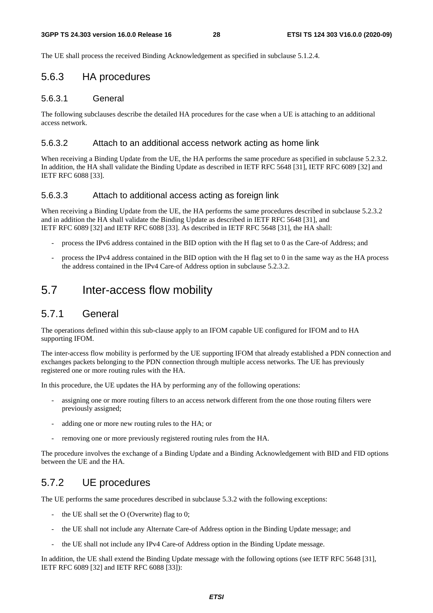The UE shall process the received Binding Acknowledgement as specified in subclause 5.1.2.4.

### 5.6.3 HA procedures

#### 5.6.3.1 General

The following subclauses describe the detailed HA procedures for the case when a UE is attaching to an additional access network.

#### 5.6.3.2 Attach to an additional access network acting as home link

When receiving a Binding Update from the UE, the HA performs the same procedure as specified in subclause 5.2.3.2. In addition, the HA shall validate the Binding Update as described in IETF RFC 5648 [31], IETF RFC 6089 [32] and IETF RFC 6088 [33].

#### 5.6.3.3 Attach to additional access acting as foreign link

When receiving a Binding Update from the UE, the HA performs the same procedures described in subclause 5.2.3.2 and in addition the HA shall validate the Binding Update as described in IETF RFC 5648 [31], and IETF RFC 6089 [32] and IETF RFC 6088 [33]. As described in IETF RFC 5648 [31], the HA shall:

- process the IPv6 address contained in the BID option with the H flag set to 0 as the Care-of Address; and
- process the IPv4 address contained in the BID option with the H flag set to 0 in the same way as the HA process the address contained in the IPv4 Care-of Address option in subclause 5.2.3.2.

### 5.7 Inter-access flow mobility

### 5.7.1 General

The operations defined within this sub-clause apply to an IFOM capable UE configured for IFOM and to HA supporting IFOM.

The inter-access flow mobility is performed by the UE supporting IFOM that already established a PDN connection and exchanges packets belonging to the PDN connection through multiple access networks. The UE has previously registered one or more routing rules with the HA.

In this procedure, the UE updates the HA by performing any of the following operations:

- assigning one or more routing filters to an access network different from the one those routing filters were previously assigned;
- adding one or more new routing rules to the HA; or
- removing one or more previously registered routing rules from the HA.

The procedure involves the exchange of a Binding Update and a Binding Acknowledgement with BID and FID options between the UE and the HA.

### 5.7.2 UE procedures

The UE performs the same procedures described in subclause 5.3.2 with the following exceptions:

- the UE shall set the O (Overwrite) flag to 0;
- the UE shall not include any Alternate Care-of Address option in the Binding Update message; and
- the UE shall not include any IPv4 Care-of Address option in the Binding Update message.

In addition, the UE shall extend the Binding Update message with the following options (see IETF RFC 5648 [31], IETF RFC 6089 [32] and IETF RFC 6088 [33]):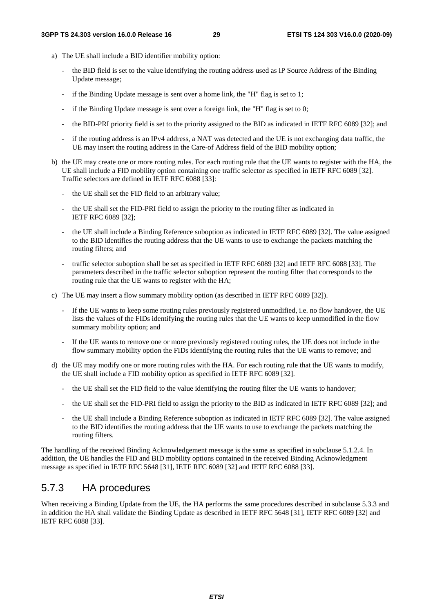- a) The UE shall include a BID identifier mobility option:
	- the BID field is set to the value identifying the routing address used as IP Source Address of the Binding Update message;
	- if the Binding Update message is sent over a home link, the "H" flag is set to 1;
	- if the Binding Update message is sent over a foreign link, the "H" flag is set to  $0$ ;
	- the BID-PRI priority field is set to the priority assigned to the BID as indicated in IETF RFC 6089 [32]; and
	- if the routing address is an IPv4 address, a NAT was detected and the UE is not exchanging data traffic, the UE may insert the routing address in the Care-of Address field of the BID mobility option;
- b) the UE may create one or more routing rules. For each routing rule that the UE wants to register with the HA, the UE shall include a FID mobility option containing one traffic selector as specified in IETF RFC 6089 [32]. Traffic selectors are defined in IETF RFC 6088 [33]:
	- the UE shall set the FID field to an arbitrary value;
	- the UE shall set the FID-PRI field to assign the priority to the routing filter as indicated in IETF RFC 6089 [32];
	- the UE shall include a Binding Reference suboption as indicated in IETF RFC 6089 [32]. The value assigned to the BID identifies the routing address that the UE wants to use to exchange the packets matching the routing filters; and
	- traffic selector suboption shall be set as specified in IETF RFC 6089 [32] and IETF RFC 6088 [33]. The parameters described in the traffic selector suboption represent the routing filter that corresponds to the routing rule that the UE wants to register with the HA;
- c) The UE may insert a flow summary mobility option (as described in IETF RFC 6089 [32]).
	- If the UE wants to keep some routing rules previously registered unmodified, i.e. no flow handover, the UE lists the values of the FIDs identifying the routing rules that the UE wants to keep unmodified in the flow summary mobility option; and
	- If the UE wants to remove one or more previously registered routing rules, the UE does not include in the flow summary mobility option the FIDs identifying the routing rules that the UE wants to remove; and
- d) the UE may modify one or more routing rules with the HA. For each routing rule that the UE wants to modify, the UE shall include a FID mobility option as specified in IETF RFC 6089 [32].
	- the UE shall set the FID field to the value identifying the routing filter the UE wants to handover;
	- the UE shall set the FID-PRI field to assign the priority to the BID as indicated in IETF RFC 6089 [32]; and
	- the UE shall include a Binding Reference suboption as indicated in IETF RFC 6089 [32]. The value assigned to the BID identifies the routing address that the UE wants to use to exchange the packets matching the routing filters.

The handling of the received Binding Acknowledgement message is the same as specified in subclause 5.1.2.4. In addition, the UE handles the FID and BID mobility options contained in the received Binding Acknowledgment message as specified in IETF RFC 5648 [31], IETF RFC 6089 [32] and IETF RFC 6088 [33].

### 5.7.3 HA procedures

When receiving a Binding Update from the UE, the HA performs the same procedures described in subclause 5.3.3 and in addition the HA shall validate the Binding Update as described in IETF RFC 5648 [31], IETF RFC 6089 [32] and IETF RFC 6088 [33].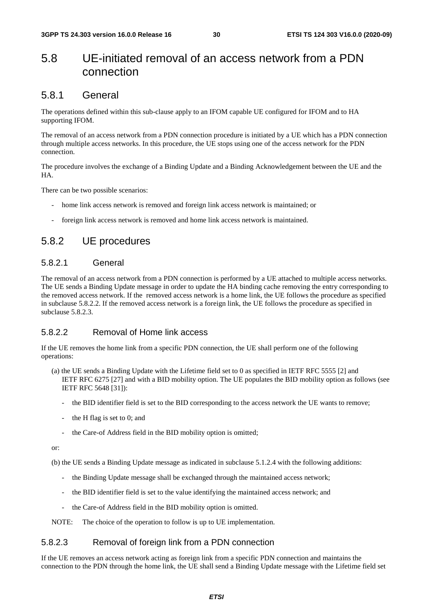### 5.8 UE-initiated removal of an access network from a PDN connection

### 5.8.1 General

The operations defined within this sub-clause apply to an IFOM capable UE configured for IFOM and to HA supporting IFOM.

The removal of an access network from a PDN connection procedure is initiated by a UE which has a PDN connection through multiple access networks. In this procedure, the UE stops using one of the access network for the PDN connection.

The procedure involves the exchange of a Binding Update and a Binding Acknowledgement between the UE and the HA.

There can be two possible scenarios:

- home link access network is removed and foreign link access network is maintained; or
- foreign link access network is removed and home link access network is maintained.

### 5.8.2 UE procedures

#### 5.8.2.1 General

The removal of an access network from a PDN connection is performed by a UE attached to multiple access networks. The UE sends a Binding Update message in order to update the HA binding cache removing the entry corresponding to the removed access network. If the removed access network is a home link, the UE follows the procedure as specified in subclause 5.8.2.2. If the removed access network is a foreign link, the UE follows the procedure as specified in subclause 5.8.2.3.

#### 5.8.2.2 Removal of Home link access

If the UE removes the home link from a specific PDN connection, the UE shall perform one of the following operations:

- (a) the UE sends a Binding Update with the Lifetime field set to 0 as specified in IETF RFC 5555 [2] and IETF RFC 6275 [27] and with a BID mobility option. The UE populates the BID mobility option as follows (see IETF RFC 5648 [31]):
	- the BID identifier field is set to the BID corresponding to the access network the UE wants to remove;
	- the H flag is set to 0; and
	- the Care-of Address field in the BID mobility option is omitted;

or:

(b) the UE sends a Binding Update message as indicated in subclause 5.1.2.4 with the following additions:

- the Binding Update message shall be exchanged through the maintained access network;
- the BID identifier field is set to the value identifying the maintained access network; and
- the Care-of Address field in the BID mobility option is omitted.

NOTE: The choice of the operation to follow is up to UE implementation.

#### 5.8.2.3 Removal of foreign link from a PDN connection

If the UE removes an access network acting as foreign link from a specific PDN connection and maintains the connection to the PDN through the home link, the UE shall send a Binding Update message with the Lifetime field set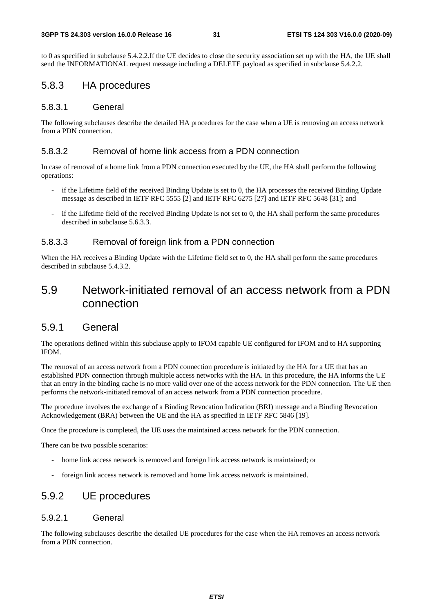to 0 as specified in subclause 5.4.2.2.If the UE decides to close the security association set up with the HA, the UE shall send the INFORMATIONAL request message including a DELETE payload as specified in subclause 5.4.2.2.

### 5.8.3 HA procedures

#### 5.8.3.1 General

The following subclauses describe the detailed HA procedures for the case when a UE is removing an access network from a PDN connection.

#### 5.8.3.2 Removal of home link access from a PDN connection

In case of removal of a home link from a PDN connection executed by the UE, the HA shall perform the following operations:

- if the Lifetime field of the received Binding Update is set to 0, the HA processes the received Binding Update message as described in IETF RFC 5555 [2] and IETF RFC 6275 [27] and IETF RFC 5648 [31]; and
- if the Lifetime field of the received Binding Update is not set to 0, the HA shall perform the same procedures described in subclause 5.6.3.3.

#### 5.8.3.3 Removal of foreign link from a PDN connection

When the HA receives a Binding Update with the Lifetime field set to 0, the HA shall perform the same procedures described in subclause 5.4.3.2.

### 5.9 Network-initiated removal of an access network from a PDN connection

### 5.9.1 General

The operations defined within this subclause apply to IFOM capable UE configured for IFOM and to HA supporting IFOM.

The removal of an access network from a PDN connection procedure is initiated by the HA for a UE that has an established PDN connection through multiple access networks with the HA. In this procedure, the HA informs the UE that an entry in the binding cache is no more valid over one of the access network for the PDN connection. The UE then performs the network-initiated removal of an access network from a PDN connection procedure.

The procedure involves the exchange of a Binding Revocation Indication (BRI) message and a Binding Revocation Acknowledgement (BRA) between the UE and the HA as specified in IETF RFC 5846 [19].

Once the procedure is completed, the UE uses the maintained access network for the PDN connection.

There can be two possible scenarios:

- home link access network is removed and foreign link access network is maintained; or
- foreign link access network is removed and home link access network is maintained.

### 5.9.2 UE procedures

#### 5.9.2.1 General

The following subclauses describe the detailed UE procedures for the case when the HA removes an access network from a PDN connection.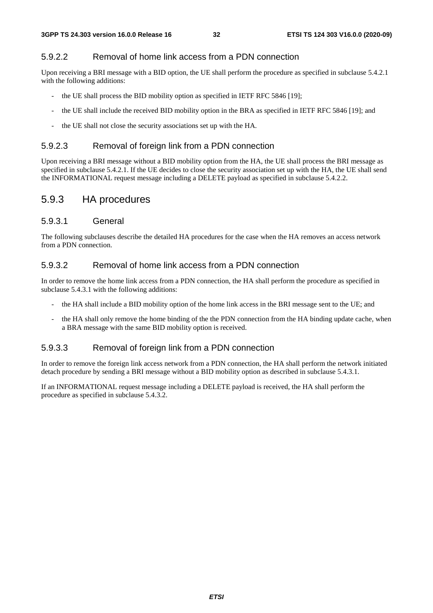#### 5.9.2.2 Removal of home link access from a PDN connection

Upon receiving a BRI message with a BID option, the UE shall perform the procedure as specified in subclause 5.4.2.1 with the following additions:

- the UE shall process the BID mobility option as specified in IETF RFC 5846 [19];
- the UE shall include the received BID mobility option in the BRA as specified in IETF RFC 5846 [19]; and
- the UE shall not close the security associations set up with the HA.

#### 5.9.2.3 Removal of foreign link from a PDN connection

Upon receiving a BRI message without a BID mobility option from the HA, the UE shall process the BRI message as specified in subclause 5.4.2.1. If the UE decides to close the security association set up with the HA, the UE shall send the INFORMATIONAL request message including a DELETE payload as specified in subclause 5.4.2.2.

### 5.9.3 HA procedures

#### 5.9.3.1 General

The following subclauses describe the detailed HA procedures for the case when the HA removes an access network from a PDN connection.

#### 5.9.3.2 Removal of home link access from a PDN connection

In order to remove the home link access from a PDN connection, the HA shall perform the procedure as specified in subclause 5.4.3.1 with the following additions:

- the HA shall include a BID mobility option of the home link access in the BRI message sent to the UE; and
- the HA shall only remove the home binding of the the PDN connection from the HA binding update cache, when a BRA message with the same BID mobility option is received.

#### 5.9.3.3 Removal of foreign link from a PDN connection

In order to remove the foreign link access network from a PDN connection, the HA shall perform the network initiated detach procedure by sending a BRI message without a BID mobility option as described in subclause 5.4.3.1.

If an INFORMATIONAL request message including a DELETE payload is received, the HA shall perform the procedure as specified in subclause 5.4.3.2.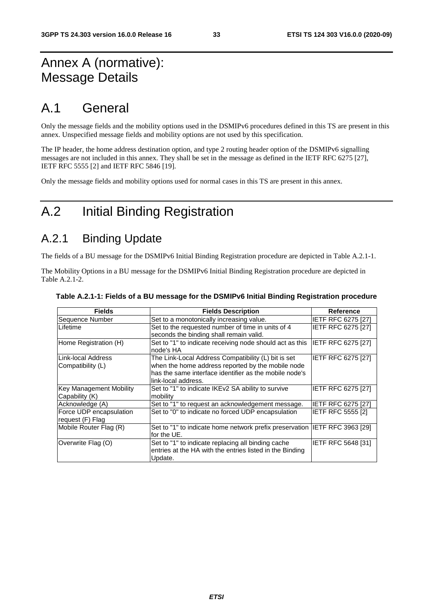## Annex A (normative): Message Details

## A.1 General

Only the message fields and the mobility options used in the DSMIPv6 procedures defined in this TS are present in this annex. Unspecified message fields and mobility options are not used by this specification.

The IP header, the home address destination option, and type 2 routing header option of the DSMIPv6 signalling messages are not included in this annex. They shall be set in the message as defined in the IETF RFC 6275 [27], IETF RFC 5555 [2] and IETF RFC 5846 [19].

Only the message fields and mobility options used for normal cases in this TS are present in this annex.

## A.2 Initial Binding Registration

## A.2.1 Binding Update

The fields of a BU message for the DSMIPv6 Initial Binding Registration procedure are depicted in Table A.2.1-1.

The Mobility Options in a BU message for the DSMIPv6 Initial Binding Registration procedure are depicted in Table A.2.1-2.

| <b>Fields</b>           | <b>Fields Description</b>                                                  | <b>Reference</b>          |
|-------------------------|----------------------------------------------------------------------------|---------------------------|
| Sequence Number         | Set to a monotonically increasing value.                                   | <b>IETF RFC 6275 [27]</b> |
| Lifetime                | Set to the requested number of time in units of 4                          | <b>IETF RFC 6275 [27]</b> |
|                         | seconds the binding shall remain valid.                                    |                           |
| Home Registration (H)   | Set to "1" to indicate receiving node should act as this                   | <b>IETF RFC 6275 [27]</b> |
|                         | node's HA                                                                  |                           |
| ILink-local Address     | The Link-Local Address Compatibility (L) bit is set                        | IETF RFC 6275 [27]        |
| Compatibility (L)       | when the home address reported by the mobile node                          |                           |
|                         | has the same interface identifier as the mobile node's                     |                           |
|                         | link-local address.                                                        |                           |
| Key Management Mobility | Set to "1" to indicate IKEv2 SA ability to survive                         | <b>IETF RFC 6275 [27]</b> |
| Capability (K)          | mobility                                                                   |                           |
| Acknowledge (A)         | Set to "1" to request an acknowledgement message.                          | <b>IETF RFC 6275 [27]</b> |
| Force UDP encapsulation | Set to "0" to indicate no forced UDP encapsulation                         | <b>IETF RFC 5555 [2]</b>  |
| request (F) Flag        |                                                                            |                           |
| Mobile Router Flag (R)  | Set to "1" to indicate home network prefix preservation IETF RFC 3963 [29] |                           |
|                         | lfor the UE.                                                               |                           |
| Overwrite Flag (O)      | Set to "1" to indicate replacing all binding cache                         | <b>IETF RFC 5648 [31]</b> |
|                         | entries at the HA with the entries listed in the Binding<br>Update.        |                           |

#### **Table A.2.1-1: Fields of a BU message for the DSMIPv6 Initial Binding Registration procedure**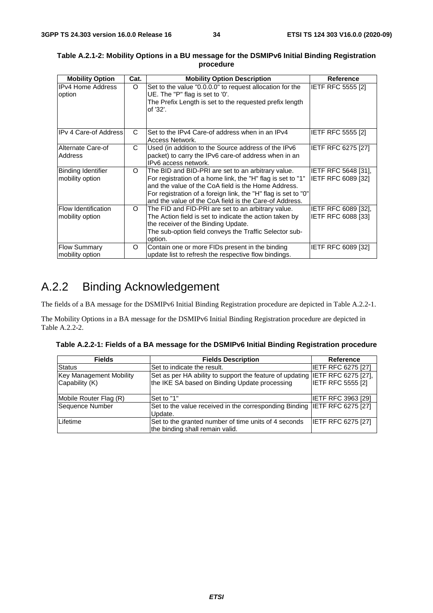| <b>Mobility Option</b>                        | Cat.     | <b>Mobility Option Description</b>                                                                                                                                                                                                                                                                   | Reference                                 |
|-----------------------------------------------|----------|------------------------------------------------------------------------------------------------------------------------------------------------------------------------------------------------------------------------------------------------------------------------------------------------------|-------------------------------------------|
| <b>IPv4 Home Address</b><br>option            | $\Omega$ | Set to the value "0.0.0.0" to request allocation for the<br>UE. The "P" flag is set to '0'.<br>The Prefix Length is set to the requested prefix length<br>of '32'.                                                                                                                                   | <b>IETF RFC 5555 [2]</b>                  |
| <b>IPv 4 Care-of Address</b>                  | C        | Set to the IPv4 Care-of address when in an IPv4<br>Access Network.                                                                                                                                                                                                                                   | IETF RFC 5555 [2]                         |
| Alternate Care-of<br><b>Address</b>           | C.       | Used (in addition to the Source address of the IPv6<br>packet) to carry the IPv6 care-of address when in an<br>IPv6 access network.                                                                                                                                                                  | IETF RFC 6275 [27]                        |
| Binding Identifier<br>mobility option         | $\Omega$ | The BID and BID-PRI are set to an arbitrary value.<br>For registration of a home link, the "H" flag is set to "1"<br>and the value of the CoA field is the Home Address.<br>For registration of a foreign link, the "H" flag is set to "0"<br>and the value of the CoA field is the Care-of Address. | IETF RFC 5648 [31],<br>IETF RFC 6089 [32] |
| <b>Flow Identification</b><br>mobility option | $\Omega$ | The FID and FID-PRI are set to an arbitrary value.<br>The Action field is set to indicate the action taken by<br>the receiver of the Binding Update.<br>The sub-option field conveys the Traffic Selector sub-<br>option.                                                                            | IETF RFC 6089 [32],<br>IETF RFC 6088 [33] |
| <b>Flow Summary</b><br>mobility option        | $\Omega$ | Contain one or more FIDs present in the binding<br>update list to refresh the respective flow bindings.                                                                                                                                                                                              | IETF RFC 6089 [32]                        |

#### **Table A.2.1-2: Mobility Options in a BU message for the DSMIPv6 Initial Binding Registration procedure**

## A.2.2 Binding Acknowledgement

The fields of a BA message for the DSMIPv6 Initial Binding Registration procedure are depicted in Table A.2.2-1.

The Mobility Options in a BA message for the DSMIPv6 Initial Binding Registration procedure are depicted in Table A.2.2-2.

| Table A.2.2-1: Fields of a BA message for the DSMIPv6 Initial Binding Registration procedure |  |  |
|----------------------------------------------------------------------------------------------|--|--|
|                                                                                              |  |  |

| <b>Fields</b>           | <b>Fields Description</b>                                                    | Reference                 |
|-------------------------|------------------------------------------------------------------------------|---------------------------|
| <b>Status</b>           | Set to indicate the result.                                                  | <b>IETF RFC 6275 [27]</b> |
| Key Management Mobility | Set as per HA ability to support the feature of updating IETF RFC 6275 [27], |                           |
| Capability (K)          | the IKE SA based on Binding Update processing                                | <b>IETF RFC 5555 [2]</b>  |
|                         |                                                                              |                           |
| Mobile Router Flag (R)  | Set to "1"                                                                   | <b>IETF RFC 3963 [29]</b> |
| Sequence Number         | Set to the value received in the corresponding Binding IETF RFC 6275 [27]    |                           |
|                         | Update.                                                                      |                           |
| Lifetime                | Set to the granted number of time units of 4 seconds                         | <b>IETF RFC 6275 [27]</b> |
|                         | the binding shall remain valid.                                              |                           |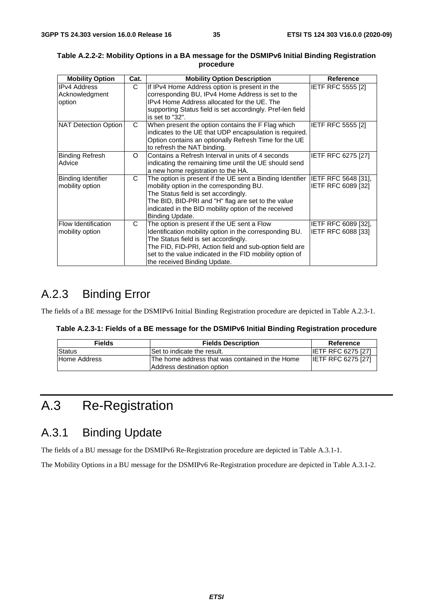| <b>Mobility Option</b>                          | Cat.     | <b>Mobility Option Description</b>                                                                                                                                                                                                                                                                    | <b>Reference</b>                          |
|-------------------------------------------------|----------|-------------------------------------------------------------------------------------------------------------------------------------------------------------------------------------------------------------------------------------------------------------------------------------------------------|-------------------------------------------|
| <b>IPv4 Address</b><br>Acknowledgment<br>option | C        | If IPv4 Home Address option is present in the<br>corresponding BU, IPv4 Home Address is set to the<br>IPv4 Home Address allocated for the UE. The<br>supporting Status field is set accordingly. Pref-len field<br>is set to "32".                                                                    | <b>IETF RFC 5555 [2]</b>                  |
| NAT Detection Option                            | C        | When present the option contains the F Flag which<br>indicates to the UE that UDP encapsulation is required.<br>Option contains an optionally Refresh Time for the UE<br>to refresh the NAT binding.                                                                                                  | IETF RFC 5555 [2]                         |
| <b>Binding Refresh</b><br>Advice                | $\Omega$ | Contains a Refresh Interval in units of 4 seconds<br>indicating the remaining time until the UE should send<br>a new home registration to the HA.                                                                                                                                                     | <b>IETF RFC 6275 [27]</b>                 |
| <b>Binding Identifier</b><br>mobility option    | C        | The option is present if the UE sent a Binding Identifier<br>mobility option in the corresponding BU.<br>The Status field is set accordingly.<br>The BID, BID-PRI and "H" flag are set to the value<br>indicated in the BID mobility option of the received<br>Binding Update.                        | IETF RFC 5648 [31],<br>IETF RFC 6089 [32] |
| <b>Flow Identification</b><br>mobility option   | C        | The option is present if the UE sent a Flow<br>Identification mobility option in the corresponding BU.<br>The Status field is set accordingly.<br>The FID, FID-PRI, Action field and sub-option field are<br>set to the value indicated in the FID mobility option of<br>the received Binding Update. | IETF RFC 6089 [32],<br>IETF RFC 6088 [33] |

#### **Table A.2.2-2: Mobility Options in a BA message for the DSMIPv6 Initial Binding Registration procedure**

## A.2.3 Binding Error

The fields of a BE message for the DSMIPv6 Initial Binding Registration procedure are depicted in Table A.2.3-1.

| Table A.2.3-1: Fields of a BE message for the DSMIPv6 Initial Binding Registration procedure |
|----------------------------------------------------------------------------------------------|
|----------------------------------------------------------------------------------------------|

| <b>Fields</b> | <b>Fields Description</b>                                                      | Reference                 |
|---------------|--------------------------------------------------------------------------------|---------------------------|
| Status        | Set to indicate the result.                                                    | <b>IETF RFC 6275 [27]</b> |
| Home Address  | IThe home address that was contained in the Home<br>Address destination option | <b>IETF RFC 6275 [27]</b> |

## A.3 Re-Registration

### A.3.1 Binding Update

The fields of a BU message for the DSMIPv6 Re-Registration procedure are depicted in Table A.3.1-1.

The Mobility Options in a BU message for the DSMIPv6 Re-Registration procedure are depicted in Table A.3.1-2.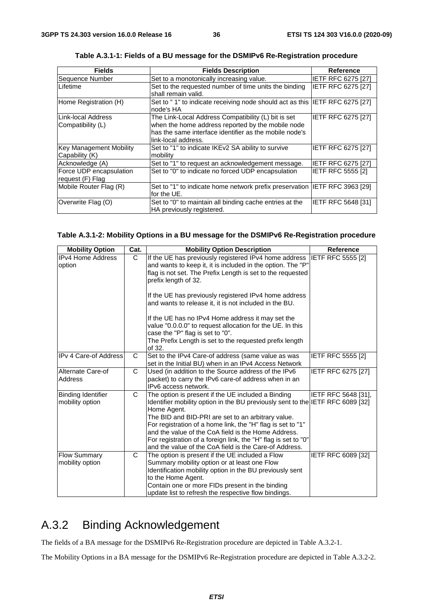| <b>Fields</b>           | <b>Fields Description</b>                                                   | Reference                 |
|-------------------------|-----------------------------------------------------------------------------|---------------------------|
| Sequence Number         | Set to a monotonically increasing value.                                    | <b>IETF RFC 6275 [27]</b> |
| Lifetime                | Set to the requested number of time units the binding                       | <b>IETF RFC 6275 [27]</b> |
|                         | shall remain valid.                                                         |                           |
| Home Registration (H)   | Set to "1" to indicate receiving node should act as this IETF RFC 6275 [27] |                           |
|                         | node's HA                                                                   |                           |
| Link-local Address      | The Link-Local Address Compatibility (L) bit is set                         | <b>IETF RFC 6275 [27]</b> |
| Compatibility (L)       | when the home address reported by the mobile node                           |                           |
|                         | has the same interface identifier as the mobile node's                      |                           |
|                         | link-local address.                                                         |                           |
| Key Management Mobility | Set to "1" to indicate IKEv2 SA ability to survive                          | <b>IETF RFC 6275 [27]</b> |
| Capability (K)          | mobility                                                                    |                           |
| Acknowledge (A)         | Set to "1" to request an acknowledgement message.                           | <b>IETF RFC 6275 [27]</b> |
| Force UDP encapsulation | Set to "0" to indicate no forced UDP encapsulation                          | <b>IETF RFC 5555 [2]</b>  |
| request (F) Flag        |                                                                             |                           |
| Mobile Router Flag (R)  | Set to "1" to indicate home network prefix preservation IETF RFC 3963 [29]  |                           |
|                         | for the UE.                                                                 |                           |
| Overwrite Flag (O)      | Set to "0" to maintain all binding cache entries at the                     | <b>IETF RFC 5648 [31]</b> |
|                         | HA previously registered.                                                   |                           |

| Table A.3.1-1: Fields of a BU message for the DSMIPv6 Re-Registration procedure |
|---------------------------------------------------------------------------------|
|---------------------------------------------------------------------------------|

#### **Table A.3.1-2: Mobility Options in a BU message for the DSMIPv6 Re-Registration procedure**

| <b>Mobility Option</b>                 | Cat.         | <b>Mobility Option Description</b>                                                                                                                                                                                                                                                                                                                                                                                                                          | <b>Reference</b>          |
|----------------------------------------|--------------|-------------------------------------------------------------------------------------------------------------------------------------------------------------------------------------------------------------------------------------------------------------------------------------------------------------------------------------------------------------------------------------------------------------------------------------------------------------|---------------------------|
| <b>IPv4 Home Address</b><br>option     | C.           | If the UE has previously registered IPv4 home address IETF RFC 5555 [2]<br>and wants to keep it, it is included in the option. The "P"<br>flag is not set. The Prefix Length is set to the requested<br>prefix length of 32.<br>If the UE has previously registered IPv4 home address                                                                                                                                                                       |                           |
|                                        |              | and wants to release it, it is not included in the BU.<br>If the UE has no IPv4 Home address it may set the<br>value "0.0.0.0" to request allocation for the UE. In this<br>case the "P" flag is set to "0".<br>The Prefix Length is set to the requested prefix length<br>of 32.                                                                                                                                                                           |                           |
| <b>IPv 4 Care-of Address</b>           | C            | Set to the IPv4 Care-of address (same value as was<br>set in the Initial BU) when in an IPv4 Access Network                                                                                                                                                                                                                                                                                                                                                 | <b>IETF RFC 5555 [2]</b>  |
| Alternate Care-of<br>Address           | $\mathsf{C}$ | Used (in addition to the Source address of the IPv6<br>packet) to carry the IPv6 care-of address when in an<br>IPv6 access network.                                                                                                                                                                                                                                                                                                                         | <b>IETF RFC 6275 [27]</b> |
| Binding Identifier<br>mobility option  | C            | The option is present if the UE included a Binding<br>Identifier mobility option in the BU previously sent to the IETF RFC 6089 [32]<br>Home Agent.<br>The BID and BID-PRI are set to an arbitrary value.<br>For registration of a home link, the "H" flag is set to "1"<br>and the value of the CoA field is the Home Address.<br>For registration of a foreign link, the "H" flag is set to "0"<br>and the value of the CoA field is the Care-of Address. | IETF RFC 5648 [31],       |
| <b>Flow Summary</b><br>mobility option | C            | The option is present if the UE included a Flow<br>Summary mobility option or at least one Flow<br>Identification mobility option in the BU previously sent<br>to the Home Agent.<br>Contain one or more FIDs present in the binding<br>update list to refresh the respective flow bindings.                                                                                                                                                                | IETF RFC 6089 [32]        |

## A.3.2 Binding Acknowledgement

The fields of a BA message for the DSMIPv6 Re-Registration procedure are depicted in Table A.3.2-1.

The Mobility Options in a BA message for the DSMIPv6 Re-Registration procedure are depicted in Table A.3.2-2.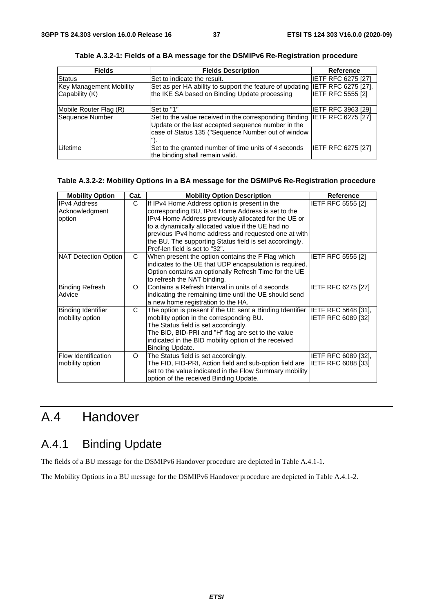| <b>Fields</b>                  | <b>Fields Description</b>                                                                                                                                                             | <b>Reference</b>          |
|--------------------------------|---------------------------------------------------------------------------------------------------------------------------------------------------------------------------------------|---------------------------|
| <b>Status</b>                  | Set to indicate the result.                                                                                                                                                           | IETF RFC 6275 [27]        |
| <b>Key Management Mobility</b> | Set as per HA ability to support the feature of updating IETF RFC 6275 [27],                                                                                                          |                           |
| Capability (K)                 | the IKE SA based on Binding Update processing                                                                                                                                         | <b>IETF RFC 5555 [2]</b>  |
| Mobile Router Flag (R)         | Set to "1"                                                                                                                                                                            | <b>IETF RFC 3963 [29]</b> |
| Sequence Number                | Set to the value received in the corresponding Binding IETF RFC 6275 [27]<br>Update or the last accepted sequence number in the<br>case of Status 135 ("Sequence Number out of window |                           |
| Lifetime                       | Set to the granted number of time units of 4 seconds<br>the binding shall remain valid.                                                                                               | <b>IETF RFC 6275 [27]</b> |

**Table A.3.2-1: Fields of a BA message for the DSMIPv6 Re-Registration procedure** 

#### **Table A.3.2-2: Mobility Options in a BA message for the DSMIPv6 Re-Registration procedure**

| <b>Mobility Option</b>                          | Cat.     | <b>Mobility Option Description</b>                                                                                                                                                                                                                                                                                                                                   | Reference                                        |
|-------------------------------------------------|----------|----------------------------------------------------------------------------------------------------------------------------------------------------------------------------------------------------------------------------------------------------------------------------------------------------------------------------------------------------------------------|--------------------------------------------------|
| <b>IPv4 Address</b><br>Acknowledgment<br>option | C.       | If IPv4 Home Address option is present in the<br>corresponding BU, IPv4 Home Address is set to the<br>IPv4 Home Address previously allocated for the UE or<br>to a dynamically allocated value if the UE had no<br>previous IPv4 home address and requested one at with<br>the BU. The supporting Status field is set accordingly.<br>Pref-len field is set to "32". | <b>IETF RFC 5555 [2]</b>                         |
| NAT Detection Option                            | C        | When present the option contains the F Flag which<br>indicates to the UE that UDP encapsulation is required.<br>Option contains an optionally Refresh Time for the UE<br>to refresh the NAT binding.                                                                                                                                                                 | <b>IETF RFC 5555 [2]</b>                         |
| Binding Refresh<br>Advice                       | $\Omega$ | Contains a Refresh Interval in units of 4 seconds<br>indicating the remaining time until the UE should send<br>a new home registration to the HA.                                                                                                                                                                                                                    | <b>IETF RFC 6275 [27]</b>                        |
| Binding Identifier<br>mobility option           | C        | The option is present if the UE sent a Binding Identifier IETF RFC 5648 [31],<br>mobility option in the corresponding BU.<br>The Status field is set accordingly.<br>The BID, BID-PRI and "H" flag are set to the value<br>indicated in the BID mobility option of the received<br>Binding Update.                                                                   | IETF RFC 6089 [32]                               |
| Flow Identification<br>mobility option          | $\circ$  | The Status field is set accordingly.<br>The FID, FID-PRI, Action field and sub-option field are<br>set to the value indicated in the Flow Summary mobility<br>option of the received Binding Update.                                                                                                                                                                 | IETF RFC 6089 [32],<br><b>IETF RFC 6088 [33]</b> |

## A.4 Handover

## A.4.1 Binding Update

The fields of a BU message for the DSMIPv6 Handover procedure are depicted in Table A.4.1-1.

The Mobility Options in a BU message for the DSMIPv6 Handover procedure are depicted in Table A.4.1-2.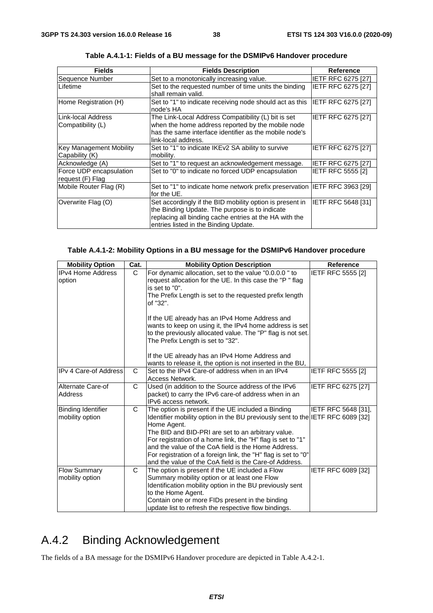| <b>Fields</b>           | <b>Fields Description</b>                                                   | <b>Reference</b>          |
|-------------------------|-----------------------------------------------------------------------------|---------------------------|
| Sequence Number         | Set to a monotonically increasing value.                                    | <b>IETF RFC 6275 [27]</b> |
| Lifetime                | Set to the requested number of time units the binding                       | <b>IETF RFC 6275 [27]</b> |
|                         | shall remain valid.                                                         |                           |
| Home Registration (H)   | Set to "1" to indicate receiving node should act as this                    | <b>IETF RFC 6275 [27]</b> |
|                         | node's HA                                                                   |                           |
| Link-local Address      | The Link-Local Address Compatibility (L) bit is set                         | IETF RFC 6275 [27]        |
| Compatibility (L)       | when the home address reported by the mobile node                           |                           |
|                         | has the same interface identifier as the mobile node's                      |                           |
|                         | link-local address.                                                         |                           |
| Key Management Mobility | Set to "1" to indicate IKEv2 SA ability to survive                          | IETF RFC 6275 [27]        |
| Capability (K)          | mobility.                                                                   |                           |
| Acknowledge (A)         | Set to "1" to request an acknowledgement message.                           | <b>IETF RFC 6275 [27]</b> |
| Force UDP encapsulation | Set to "0" to indicate no forced UDP encapsulation                          | IETF RFC 5555 [2]         |
| request (F) Flag        |                                                                             |                           |
| Mobile Router Flag (R)  | Set to "1" to indicate home network prefix preservation  IETF RFC 3963 [29] |                           |
|                         | for the UE.                                                                 |                           |
| Overwrite Flag (O)      | Set accordingly if the BID mobility option is present in                    | IETF RFC 5648 [31]        |
|                         | the Binding Update. The purpose is to indicate                              |                           |
|                         | replacing all binding cache entries at the HA with the                      |                           |
|                         | entries listed in the Binding Update.                                       |                           |

**Table A.4.1-1: Fields of a BU message for the DSMIPv6 Handover procedure** 

#### **Table A.4.1-2: Mobility Options in a BU message for the DSMIPv6 Handover procedure**

| <b>Mobility Option</b>                       | Cat. | <b>Mobility Option Description</b>                                                                                                                                                                                                                                                                                                                                                                                                                          | <b>Reference</b>          |
|----------------------------------------------|------|-------------------------------------------------------------------------------------------------------------------------------------------------------------------------------------------------------------------------------------------------------------------------------------------------------------------------------------------------------------------------------------------------------------------------------------------------------------|---------------------------|
| <b>IPv4 Home Address</b><br>option           | C    | For dynamic allocation, set to the value "0.0.0.0" to<br>request allocation for the UE. In this case the "P" flag<br>is set to "0".<br>The Prefix Length is set to the requested prefix length<br>of "32".<br>If the UE already has an IPv4 Home Address and                                                                                                                                                                                                | IETF RFC 5555 [2]         |
|                                              |      | wants to keep on using it, the IPv4 home address is set<br>to the previously allocated value. The "P" flag is not set.<br>The Prefix Length is set to "32".<br>If the UE already has an IPv4 Home Address and<br>wants to release it, the option is not inserted in the BU,                                                                                                                                                                                 |                           |
| IIPv 4 Care-of Address                       | C    | Set to the IPv4 Care-of address when in an IPv4<br>Access Network.                                                                                                                                                                                                                                                                                                                                                                                          | <b>IETF RFC 5555 [2]</b>  |
| Alternate Care-of<br>Address                 | C    | Used (in addition to the Source address of the IPv6<br>packet) to carry the IPv6 care-of address when in an<br>IPv6 access network.                                                                                                                                                                                                                                                                                                                         | <b>IETF RFC 6275 [27]</b> |
| <b>Binding Identifier</b><br>mobility option | C    | The option is present if the UE included a Binding<br>Identifier mobility option in the BU previously sent to the IETF RFC 6089 [32]<br>Home Agent.<br>The BID and BID-PRI are set to an arbitrary value.<br>For registration of a home link, the "H" flag is set to "1"<br>and the value of the CoA field is the Home Address.<br>For registration of a foreign link, the "H" flag is set to "0"<br>and the value of the CoA field is the Care-of Address. | IETF RFC 5648 [31],       |
| <b>Flow Summary</b><br>mobility option       | C    | The option is present if the UE included a Flow<br>Summary mobility option or at least one Flow<br>Identification mobility option in the BU previously sent<br>to the Home Agent.<br>Contain one or more FIDs present in the binding<br>update list to refresh the respective flow bindings.                                                                                                                                                                | IETF RFC 6089 [32]        |

## A.4.2 Binding Acknowledgement

The fields of a BA message for the DSMIPv6 Handover procedure are depicted in Table A.4.2-1.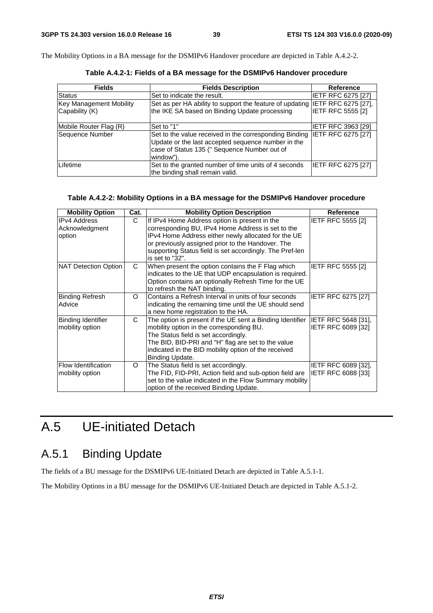The Mobility Options in a BA message for the DSMIPv6 Handover procedure are depicted in Table A.4.2-2.

| <b>Fields</b>                  | <b>Fields Description</b>                                                                                                                                                 | <b>Reference</b>           |
|--------------------------------|---------------------------------------------------------------------------------------------------------------------------------------------------------------------------|----------------------------|
| Status                         | Set to indicate the result.                                                                                                                                               | <b>IETF RFC 6275 [27]</b>  |
| <b>Key Management Mobility</b> | Set as per HA ability to support the feature of updating                                                                                                                  | <b>IETF RFC 6275 [27],</b> |
| Capability (K)                 | the IKE SA based on Binding Update processing                                                                                                                             | <b>IETF RFC 5555 [2]</b>   |
| Mobile Router Flag (R)         | Set to "1"                                                                                                                                                                | <b>IETF RFC 3963 [29]</b>  |
| Sequence Number                | Set to the value received in the corresponding Binding<br>Update or the last accepted sequence number in the<br>case of Status 135 (" Sequence Number out of<br>window"). | IETF RFC 6275 [27]         |
| Lifetime                       | Set to the granted number of time units of 4 seconds<br>the binding shall remain valid.                                                                                   | IETF RFC 6275 [27]         |

**Table A.4.2-1: Fields of a BA message for the DSMIPv6 Handover procedure** 

#### **Table A.4.2-2: Mobility Options in a BA message for the DSMIPv6 Handover procedure**

| <b>Mobility Option</b>     | Cat.     | <b>Mobility Option Description</b>                        | <b>Reference</b>           |
|----------------------------|----------|-----------------------------------------------------------|----------------------------|
| <b>IIPv4 Address</b>       | C        | If IPv4 Home Address option is present in the             | IETF RFC 5555 [2]          |
| Acknowledgment             |          | corresponding BU, IPv4 Home Address is set to the         |                            |
| option                     |          | IPv4 Home Address either newly allocated for the UE       |                            |
|                            |          | or previously assigned prior to the Handover. The         |                            |
|                            |          | supporting Status field is set accordingly. The Pref-len  |                            |
|                            |          | is set to "32".                                           |                            |
| NAT Detection Option       | C        | When present the option contains the F Flag which         | <b>IETF RFC 5555 [2]</b>   |
|                            |          | indicates to the UE that UDP encapsulation is required.   |                            |
|                            |          | Option contains an optionally Refresh Time for the UE     |                            |
|                            |          | to refresh the NAT binding.                               |                            |
| Binding Refresh            | $\Omega$ | Contains a Refresh Interval in units of four seconds      | IETF RFC 6275 [27]         |
| Advice                     |          | indicating the remaining time until the UE should send    |                            |
|                            |          | a new home registration to the HA.                        |                            |
| <b>Binding Identifier</b>  | C        | The option is present if the UE sent a Binding Identifier | IETF RFC 5648 [31],        |
| mobility option            |          | mobility option in the corresponding BU.                  | IETF RFC 6089 [32]         |
|                            |          | The Status field is set accordingly.                      |                            |
|                            |          | The BID, BID-PRI and "H" flag are set to the value        |                            |
|                            |          | indicated in the BID mobility option of the received      |                            |
|                            |          | Binding Update.                                           |                            |
| <b>Flow Identification</b> | O        | The Status field is set accordingly.                      | <b>IETF RFC 6089 [32].</b> |
| mobility option            |          | The FID, FID-PRI, Action field and sub-option field are   | IETF RFC 6088 [33]         |
|                            |          | set to the value indicated in the Flow Summary mobility   |                            |
|                            |          | option of the received Binding Update.                    |                            |

## A.5 UE-initiated Detach

## A.5.1 Binding Update

The fields of a BU message for the DSMIPv6 UE-Initiated Detach are depicted in Table A.5.1-1.

The Mobility Options in a BU message for the DSMIPv6 UE-Initiated Detach are depicted in Table A.5.1-2.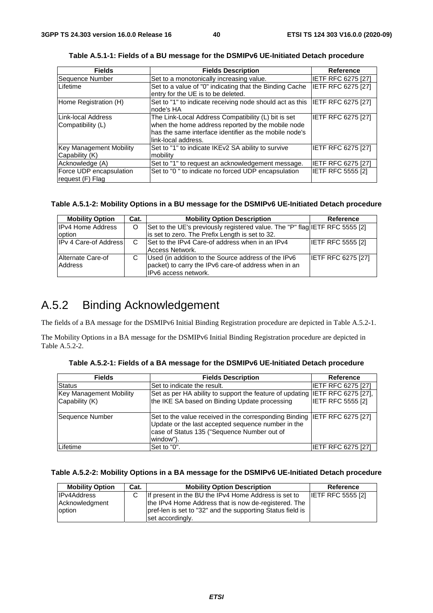| <b>Fields</b>                               | <b>Fields Description</b>                                                                                                                                                                 | Reference                 |
|---------------------------------------------|-------------------------------------------------------------------------------------------------------------------------------------------------------------------------------------------|---------------------------|
| Sequence Number                             | Set to a monotonically increasing value.                                                                                                                                                  | IETF RFC 6275 [27]        |
| Lifetime                                    | Set to a value of "0" indicating that the Binding Cache<br>entry for the UE is to be deleted.                                                                                             | <b>IETF RFC 6275 [27]</b> |
| Home Registration (H)                       | Set to "1" to indicate receiving node should act as this  IETF RFC 6275 [27]<br>node's HA                                                                                                 |                           |
| Link-local Address<br>Compatibility (L)     | The Link-Local Address Compatibility (L) bit is set<br>when the home address reported by the mobile node<br>has the same interface identifier as the mobile node's<br>link-local address. | <b>IETF RFC 6275 [27]</b> |
| Key Management Mobility<br>Capability (K)   | Set to "1" to indicate IKEv2 SA ability to survive<br>mobility                                                                                                                            | IETF RFC 6275 [27]        |
| Acknowledge (A)                             | Set to "1" to request an acknowledgement message.                                                                                                                                         | IETF RFC 6275 [27]        |
| Force UDP encapsulation<br>request (F) Flag | Set to "0" to indicate no forced UDP encapsulation                                                                                                                                        | <b>IETF RFC 5555 [2]</b>  |

**Table A.5.1-1: Fields of a BU message for the DSMIPv6 UE-Initiated Detach procedure** 

#### **Table A.5.1-2: Mobility Options in a BU message for the DSMIPv6 UE-Initiated Detach procedure**

| <b>Mobility Option</b>       | Cat. | <b>Mobility Option Description</b>                                                                                                  | Reference                 |
|------------------------------|------|-------------------------------------------------------------------------------------------------------------------------------------|---------------------------|
| <b>IPv4 Home Address</b>     | O    | Set to the UE's previously registered value. The "P" flag IETF RFC 5555 [2]                                                         |                           |
| <b>loption</b>               |      | is set to zero. The Prefix Length is set to 32.                                                                                     |                           |
| <b>IPv 4 Care-of Address</b> | C    | Set to the IPv4 Care-of address when in an IPv4<br>Access Network.                                                                  | <b>IETF RFC 5555 [2]</b>  |
| Alternate Care-of<br>Address | С    | Used (in addition to the Source address of the IPv6<br>packet) to carry the IPv6 care-of address when in an<br>IPv6 access network. | <b>IETF RFC 6275 [27]</b> |

### A.5.2 Binding Acknowledgement

The fields of a BA message for the DSMIPv6 Initial Binding Registration procedure are depicted in Table A.5.2-1.

The Mobility Options in a BA message for the DSMIPv6 Initial Binding Registration procedure are depicted in Table A.5.2-2.

| <b>Fields</b>                  | <b>Fields Description</b>                                                                                                                                                                   | <b>Reference</b>          |
|--------------------------------|---------------------------------------------------------------------------------------------------------------------------------------------------------------------------------------------|---------------------------|
| <b>Status</b>                  | Set to indicate the result.                                                                                                                                                                 | <b>IETF RFC 6275 [27]</b> |
| <b>Key Management Mobility</b> | Set as per HA ability to support the feature of updating IETF RFC 6275 [27],                                                                                                                |                           |
| Capability (K)                 | the IKE SA based on Binding Update processing                                                                                                                                               | <b>IETF RFC 5555 [2]</b>  |
| Sequence Number                | Set to the value received in the corresponding Binding IETF RFC 6275 [27]<br>Update or the last accepted sequence number in the<br>case of Status 135 ("Sequence Number out of<br>window"). |                           |
| <b>Lifetime</b>                | Set to "0".                                                                                                                                                                                 | IETF RFC 6275 [27]        |

**Table A.5.2-1: Fields of a BA message for the DSMIPv6 UE-Initiated Detach procedure** 

#### **Table A.5.2-2: Mobility Options in a BA message for the DSMIPv6 UE-Initiated Detach procedure**

| <b>Mobility Option</b> | Cat. | <b>Mobility Option Description</b>                         | Reference                |
|------------------------|------|------------------------------------------------------------|--------------------------|
| <b>IPv4Address</b>     |      | If present in the BU the IPv4 Home Address is set to       | <b>IETF RFC 5555 [2]</b> |
| Acknowledgment         |      | the IPv4 Home Address that is now de-registered. The       |                          |
| option                 |      | pref-len is set to "32" and the supporting Status field is |                          |
|                        |      | set accordingly.                                           |                          |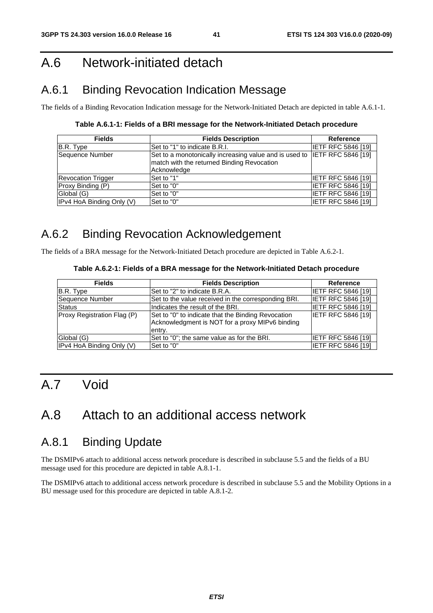## A.6 Network-initiated detach

## A.6.1 Binding Revocation Indication Message

The fields of a Binding Revocation Indication message for the Network-Initiated Detach are depicted in table A.6.1-1.

**Table A.6.1-1: Fields of a BRI message for the Network-Initiated Detach procedure** 

| <b>Fields</b>             | <b>Fields Description</b>                                                 | Reference                 |
|---------------------------|---------------------------------------------------------------------------|---------------------------|
| B.R. Type                 | Set to "1" to indicate B.R.I.                                             | <b>IETF RFC 5846 [19]</b> |
| Sequence Number           | Set to a monotonically increasing value and is used to IETF RFC 5846 [19] |                           |
|                           | match with the returned Binding Revocation                                |                           |
|                           | Acknowledge                                                               |                           |
| <b>Revocation Trigger</b> | Set to "1"                                                                | <b>IETF RFC 5846 [19]</b> |
| Proxy Binding (P)         | Set to "0"                                                                | <b>IETF RFC 5846 [19]</b> |
| Global (G)                | Set to "0"                                                                | <b>IETF RFC 5846 [19]</b> |
| IPv4 HoA Binding Only (V) | Set to "0"                                                                | <b>IETF RFC 5846 [19]</b> |

## A.6.2 Binding Revocation Acknowledgement

The fields of a BRA message for the Network-Initiated Detach procedure are depicted in Table A.6.2-1.

#### **Table A.6.2-1: Fields of a BRA message for the Network-Initiated Detach procedure**

| <b>Fields</b>               | <b>Fields Description</b>                                                                                       | Reference                 |
|-----------------------------|-----------------------------------------------------------------------------------------------------------------|---------------------------|
| B.R. Type                   | Set to "2" to indicate B.R.A.                                                                                   | <b>IETF RFC 5846 [19]</b> |
| Sequence Number             | Set to the value received in the corresponding BRI.                                                             | <b>IETF RFC 5846 [19]</b> |
| <b>Status</b>               | Indicates the result of the BRI.                                                                                | <b>IETF RFC 5846 [19]</b> |
| Proxy Registration Flag (P) | Set to "0" to indicate that the Binding Revocation<br>Acknowledgment is NOT for a proxy MIPv6 binding<br>entry. | <b>IETF RFC 5846 [19]</b> |
| Global (G)                  | Set to "0"; the same value as for the BRI.                                                                      | <b>IETF RFC 5846 [19]</b> |
| IPv4 HoA Binding Only (V)   | Set to "0"                                                                                                      | <b>IETF RFC 5846 [19]</b> |

## A.7 Void

## A.8 Attach to an additional access network

## A.8.1 Binding Update

The DSMIPv6 attach to additional access network procedure is described in subclause 5.5 and the fields of a BU message used for this procedure are depicted in table A.8.1-1.

The DSMIPv6 attach to additional access network procedure is described in subclause 5.5 and the Mobility Options in a BU message used for this procedure are depicted in table A.8.1-2.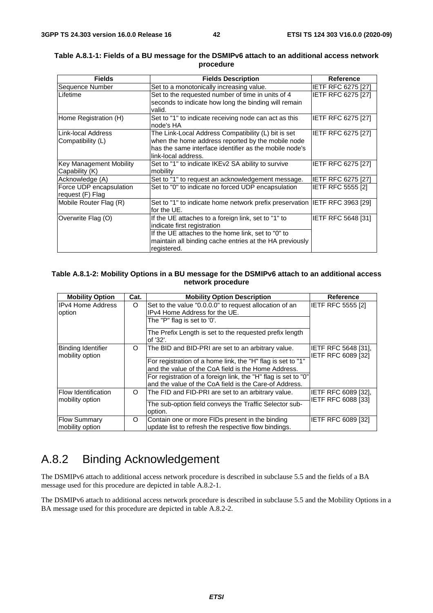| <b>Fields</b>                  | <b>Fields Description</b>                                                  | <b>Reference</b>          |
|--------------------------------|----------------------------------------------------------------------------|---------------------------|
| Sequence Number                | Set to a monotonically increasing value.                                   | <b>IETF RFC 6275 [27]</b> |
| Lifetime                       | Set to the requested number of time in units of 4                          | <b>IETF RFC 6275 [27]</b> |
|                                | seconds to indicate how long the binding will remain                       |                           |
|                                | valid.                                                                     |                           |
| Home Registration (H)          | Set to "1" to indicate receiving node can act as this                      | <b>IETF RFC 6275 [27]</b> |
|                                | node's HA                                                                  |                           |
| Link-local Address             | The Link-Local Address Compatibility (L) bit is set                        | IETF RFC 6275 [27]        |
| Compatibility (L)              | when the home address reported by the mobile node                          |                           |
|                                | has the same interface identifier as the mobile node's                     |                           |
|                                | link-local address.                                                        |                           |
| <b>Key Management Mobility</b> | Set to "1" to indicate IKEv2 SA ability to survive                         | IETF RFC 6275 [27]        |
| Capability (K)                 | mobility                                                                   |                           |
| Acknowledge (A)                | Set to "1" to request an acknowledgement message.                          | <b>IETF RFC 6275 [27]</b> |
| Force UDP encapsulation        | Set to "0" to indicate no forced UDP encapsulation                         | <b>IETF RFC 5555 [2]</b>  |
| request (F) Flag               |                                                                            |                           |
| Mobile Router Flag (R)         | Set to "1" to indicate home network prefix preservation IETF RFC 3963 [29] |                           |
|                                | for the UE.                                                                |                           |
| Overwrite Flag (O)             | If the UE attaches to a foreign link, set to "1" to                        | IETF RFC 5648 [31]        |
|                                | indicate first registration                                                |                           |
|                                | If the UE attaches to the home link, set to "0" to                         |                           |
|                                | maintain all binding cache entries at the HA previously                    |                           |
|                                | registered.                                                                |                           |

#### **Table A.8.1-1: Fields of a BU message for the DSMIPv6 attach to an additional access network procedure**

#### **Table A.8.1-2: Mobility Options in a BU message for the DSMIPv6 attach to an additional access network procedure**

| <b>Mobility Option</b>                        | Cat. | <b>Mobility Option Description</b>                                                                                       | <b>Reference</b>                          |
|-----------------------------------------------|------|--------------------------------------------------------------------------------------------------------------------------|-------------------------------------------|
| <b>IPv4 Home Address</b>                      | O    | Set to the value "0.0.0.0" to request allocation of an                                                                   | <b>IETF RFC 5555 [2]</b>                  |
| option                                        |      | IPv4 Home Address for the UE.                                                                                            |                                           |
|                                               |      | The "P" flag is set to '0'.                                                                                              |                                           |
|                                               |      | The Prefix Length is set to the requested prefix length<br>of '32'.                                                      |                                           |
| Binding Identifier<br>mobility option         | O    | The BID and BID-PRI are set to an arbitrary value.                                                                       | IETF RFC 5648 [31],<br>IETF RFC 6089 [32] |
|                                               |      | For registration of a home link, the "H" flag is set to "1"                                                              |                                           |
|                                               |      | and the value of the CoA field is the Home Address.                                                                      |                                           |
|                                               |      | For registration of a foreign link, the "H" flag is set to "0"<br>and the value of the CoA field is the Care-of Address. |                                           |
| <b>Flow Identification</b><br>mobility option | O    | The FID and FID-PRI are set to an arbitrary value.                                                                       | IETF RFC 6089 [32],<br>IETF RFC 6088 [33] |
|                                               |      | The sub-option field conveys the Traffic Selector sub-                                                                   |                                           |
|                                               |      | option.                                                                                                                  |                                           |
| <b>Flow Summary</b>                           | O    | Contain one or more FIDs present in the binding                                                                          | IETF RFC 6089 [32]                        |
| mobility option                               |      | update list to refresh the respective flow bindings.                                                                     |                                           |

## A.8.2 Binding Acknowledgement

The DSMIPv6 attach to additional access network procedure is described in subclause 5.5 and the fields of a BA message used for this procedure are depicted in table A.8.2-1.

The DSMIPv6 attach to additional access network procedure is described in subclause 5.5 and the Mobility Options in a BA message used for this procedure are depicted in table A.8.2-2.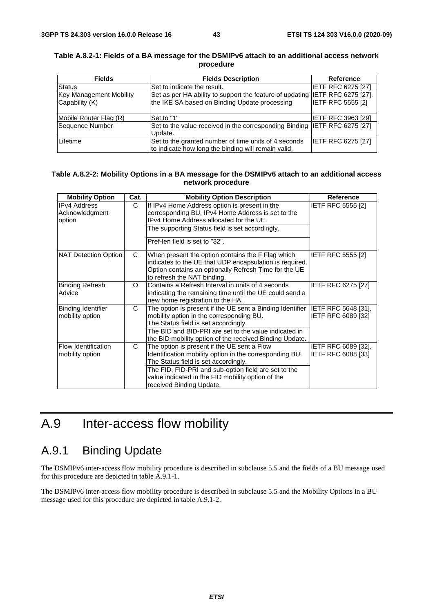| <b>Fields</b>                  | <b>Fields Description</b>                                                    | <b>Reference</b>          |
|--------------------------------|------------------------------------------------------------------------------|---------------------------|
| <b>Status</b>                  | Set to indicate the result.                                                  | <b>IETF RFC 6275 [27]</b> |
| <b>Key Management Mobility</b> | Set as per HA ability to support the feature of updating IETF RFC 6275 [27], |                           |
| Capability (K)                 | the IKE SA based on Binding Update processing                                | <b>IETF RFC 5555 [2]</b>  |
|                                |                                                                              |                           |
| Mobile Router Flag (R)         | Set to "1"                                                                   | <b>IETF RFC 3963 [29]</b> |
| Sequence Number                | Set to the value received in the corresponding Binding IETF RFC 6275 [27]    |                           |
|                                | Update.                                                                      |                           |
| Lifetime                       | Set to the granted number of time units of 4 seconds                         | <b>IETF RFC 6275 [27]</b> |
|                                | to indicate how long the binding will remain valid.                          |                           |

#### **Table A.8.2-1: Fields of a BA message for the DSMIPv6 attach to an additional access network procedure**

#### **Table A.8.2-2: Mobility Options in a BA message for the DSMIPv6 attach to an additional access network procedure**

| <b>Mobility Option</b>                          | Cat.     | <b>Mobility Option Description</b>                                                                                                                                                                                                                                                      | <b>Reference</b>                          |
|-------------------------------------------------|----------|-----------------------------------------------------------------------------------------------------------------------------------------------------------------------------------------------------------------------------------------------------------------------------------------|-------------------------------------------|
| <b>IPv4 Address</b><br>Acknowledgment<br>option | C.       | If IPv4 Home Address option is present in the<br>corresponding BU, IPv4 Home Address is set to the<br>IPv4 Home Address allocated for the UE.<br>The supporting Status field is set accordingly.<br>Pref-len field is set to "32".                                                      | <b>IETF RFC 5555 [2]</b>                  |
| NAT Detection Option                            | C        | When present the option contains the F Flag which<br>indicates to the UE that UDP encapsulation is required.<br>Option contains an optionally Refresh Time for the UE<br>to refresh the NAT binding.                                                                                    | <b>IETF RFC 5555 [2]</b>                  |
| <b>Binding Refresh</b><br>Advice                | $\Omega$ | Contains a Refresh Interval in units of 4 seconds<br>indicating the remaining time until the UE could send a<br>new home registration to the HA.                                                                                                                                        | <b>IETF RFC 6275 [27]</b>                 |
| <b>Binding Identifier</b><br>mobility option    | C        | The option is present if the UE sent a Binding Identifier IETF RFC 5648 [31],<br>mobility option in the corresponding BU.<br>The Status field is set accordingly.<br>The BID and BID-PRI are set to the value indicated in<br>the BID mobility option of the received Binding Update.   | IETF RFC 6089 [32]                        |
| Flow Identification<br>mobility option          | C.       | The option is present if the UE sent a Flow<br>Identification mobility option in the corresponding BU.<br>The Status field is set accordingly.<br>The FID, FID-PRI and sub-option field are set to the<br>value indicated in the FID mobility option of the<br>received Binding Update. | IETF RFC 6089 [32],<br>IETF RFC 6088 [33] |

## A.9 Inter-access flow mobility

## A.9.1 Binding Update

The DSMIPv6 inter-access flow mobility procedure is described in subclause 5.5 and the fields of a BU message used for this procedure are depicted in table A.9.1-1.

The DSMIPv6 inter-access flow mobility procedure is described in subclause 5.5 and the Mobility Options in a BU message used for this procedure are depicted in table A.9.1-2.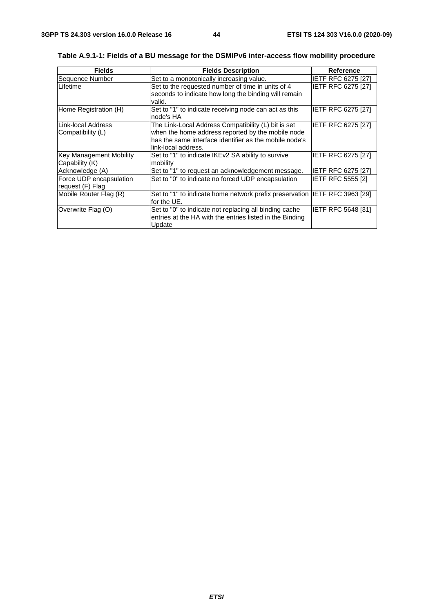| <b>Fields</b>                                     | <b>Fields Description</b>                                                                                                                                                                 | <b>Reference</b>          |
|---------------------------------------------------|-------------------------------------------------------------------------------------------------------------------------------------------------------------------------------------------|---------------------------|
| Sequence Number                                   | Set to a monotonically increasing value.                                                                                                                                                  | <b>IETF RFC 6275 [27]</b> |
| Lifetime                                          | Set to the requested number of time in units of 4<br>seconds to indicate how long the binding will remain                                                                                 | <b>IETF RFC 6275 [27]</b> |
|                                                   | valid.                                                                                                                                                                                    |                           |
| Home Registration (H)                             | Set to "1" to indicate receiving node can act as this<br>node's HA                                                                                                                        | IETF RFC 6275 [27]        |
| Link-local Address<br>Compatibility (L)           | The Link-Local Address Compatibility (L) bit is set<br>when the home address reported by the mobile node<br>has the same interface identifier as the mobile node's<br>link-local address. | <b>IETF RFC 6275 [27]</b> |
| <b>Key Management Mobility</b><br> Capability (K) | Set to "1" to indicate IKEv2 SA ability to survive<br>mobility                                                                                                                            | IETF RFC 6275 [27]        |
| Acknowledge (A)                                   | Set to "1" to request an acknowledgement message.                                                                                                                                         | <b>IETF RFC 6275 [27]</b> |
| Force UDP encapsulation<br>request (F) Flag       | Set to "0" to indicate no forced UDP encapsulation                                                                                                                                        | <b>IETF RFC 5555 [2]</b>  |
| Mobile Router Flag (R)                            | Set to "1" to indicate home network prefix preservation IETF RFC 3963 [29]<br>for the UE.                                                                                                 |                           |
| Overwrite Flag (O)                                | Set to "0" to indicate not replacing all binding cache<br>entries at the HA with the entries listed in the Binding<br>Update                                                              | IETF RFC 5648 [31]        |

**Table A.9.1-1: Fields of a BU message for the DSMIPv6 inter-access flow mobility procedure**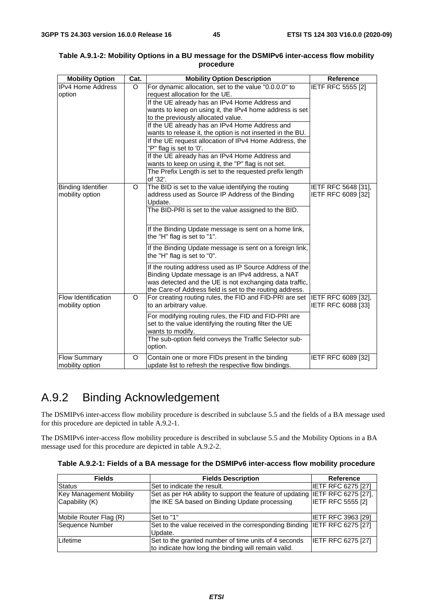| <b>IETF RFC 5555 [2]</b><br>$\circ$<br>request allocation for the UE.<br>If the UE already has an IPv4 Home Address and<br>wants to keep on using it, the IPv4 home address is set<br>to the previously allocated value.<br>If the UE already has an IPv4 Home Address and<br>wants to release it, the option is not inserted in the BU.<br>If the UE request allocation of IPv4 Home Address, the<br>"P" flag is set to '0'.<br>If the UE already has an IPv4 Home Address and<br>wants to keep on using it, the "P" flag is not set.<br>The Prefix Length is set to the requested prefix length<br>of '32'.<br>The BID is set to the value identifying the routing<br>O<br>IETF RFC 5648 [31],<br>address used as Source IP Address of the Binding<br>IETF RFC 6089 [32]<br>mobility option<br>Update.<br>The BID-PRI is set to the value assigned to the BID.<br>If the Binding Update message is sent on a home link,<br>the "H" flag is set to "1".<br>If the Binding Update message is sent on a foreign link,<br>the "H" flag is set to "0".<br>If the routing address used as IP Source Address of the<br>Binding Update message is an IPv4 address, a NAT<br>was detected and the UE is not exchanging data traffic,<br>the Care-of Address field is set to the routing address.<br>For creating routing rules, the FID and FID-PRI are set IETF RFC 6089 [32],<br>$\circ$<br>to an arbitrary value.<br>IETF RFC 6088 [33]<br>For modifying routing rules, the FID and FID-PRI are<br>set to the value identifying the routing filter the UE<br>wants to modify.<br>The sub-option field conveys the Traffic Selector sub-<br>option.<br><b>Flow Summary</b><br>Contain one or more FIDs present in the binding<br><b>IETF RFC 6089 [32]</b><br>O | <b>Mobility Option</b>     | Cat. | <b>Mobility Option Description</b>                    | <b>Reference</b> |
|------------------------------------------------------------------------------------------------------------------------------------------------------------------------------------------------------------------------------------------------------------------------------------------------------------------------------------------------------------------------------------------------------------------------------------------------------------------------------------------------------------------------------------------------------------------------------------------------------------------------------------------------------------------------------------------------------------------------------------------------------------------------------------------------------------------------------------------------------------------------------------------------------------------------------------------------------------------------------------------------------------------------------------------------------------------------------------------------------------------------------------------------------------------------------------------------------------------------------------------------------------------------------------------------------------------------------------------------------------------------------------------------------------------------------------------------------------------------------------------------------------------------------------------------------------------------------------------------------------------------------------------------------------------------------------------------------------------------------------------------------------|----------------------------|------|-------------------------------------------------------|------------------|
|                                                                                                                                                                                                                                                                                                                                                                                                                                                                                                                                                                                                                                                                                                                                                                                                                                                                                                                                                                                                                                                                                                                                                                                                                                                                                                                                                                                                                                                                                                                                                                                                                                                                                                                                                            | <b>IPv4 Home Address</b>   |      | For dynamic allocation, set to the value "0.0.0.0" to |                  |
|                                                                                                                                                                                                                                                                                                                                                                                                                                                                                                                                                                                                                                                                                                                                                                                                                                                                                                                                                                                                                                                                                                                                                                                                                                                                                                                                                                                                                                                                                                                                                                                                                                                                                                                                                            | option                     |      |                                                       |                  |
|                                                                                                                                                                                                                                                                                                                                                                                                                                                                                                                                                                                                                                                                                                                                                                                                                                                                                                                                                                                                                                                                                                                                                                                                                                                                                                                                                                                                                                                                                                                                                                                                                                                                                                                                                            |                            |      |                                                       |                  |
|                                                                                                                                                                                                                                                                                                                                                                                                                                                                                                                                                                                                                                                                                                                                                                                                                                                                                                                                                                                                                                                                                                                                                                                                                                                                                                                                                                                                                                                                                                                                                                                                                                                                                                                                                            |                            |      |                                                       |                  |
|                                                                                                                                                                                                                                                                                                                                                                                                                                                                                                                                                                                                                                                                                                                                                                                                                                                                                                                                                                                                                                                                                                                                                                                                                                                                                                                                                                                                                                                                                                                                                                                                                                                                                                                                                            |                            |      |                                                       |                  |
|                                                                                                                                                                                                                                                                                                                                                                                                                                                                                                                                                                                                                                                                                                                                                                                                                                                                                                                                                                                                                                                                                                                                                                                                                                                                                                                                                                                                                                                                                                                                                                                                                                                                                                                                                            |                            |      |                                                       |                  |
|                                                                                                                                                                                                                                                                                                                                                                                                                                                                                                                                                                                                                                                                                                                                                                                                                                                                                                                                                                                                                                                                                                                                                                                                                                                                                                                                                                                                                                                                                                                                                                                                                                                                                                                                                            |                            |      |                                                       |                  |
|                                                                                                                                                                                                                                                                                                                                                                                                                                                                                                                                                                                                                                                                                                                                                                                                                                                                                                                                                                                                                                                                                                                                                                                                                                                                                                                                                                                                                                                                                                                                                                                                                                                                                                                                                            |                            |      |                                                       |                  |
|                                                                                                                                                                                                                                                                                                                                                                                                                                                                                                                                                                                                                                                                                                                                                                                                                                                                                                                                                                                                                                                                                                                                                                                                                                                                                                                                                                                                                                                                                                                                                                                                                                                                                                                                                            |                            |      |                                                       |                  |
|                                                                                                                                                                                                                                                                                                                                                                                                                                                                                                                                                                                                                                                                                                                                                                                                                                                                                                                                                                                                                                                                                                                                                                                                                                                                                                                                                                                                                                                                                                                                                                                                                                                                                                                                                            |                            |      |                                                       |                  |
|                                                                                                                                                                                                                                                                                                                                                                                                                                                                                                                                                                                                                                                                                                                                                                                                                                                                                                                                                                                                                                                                                                                                                                                                                                                                                                                                                                                                                                                                                                                                                                                                                                                                                                                                                            |                            |      |                                                       |                  |
|                                                                                                                                                                                                                                                                                                                                                                                                                                                                                                                                                                                                                                                                                                                                                                                                                                                                                                                                                                                                                                                                                                                                                                                                                                                                                                                                                                                                                                                                                                                                                                                                                                                                                                                                                            |                            |      |                                                       |                  |
|                                                                                                                                                                                                                                                                                                                                                                                                                                                                                                                                                                                                                                                                                                                                                                                                                                                                                                                                                                                                                                                                                                                                                                                                                                                                                                                                                                                                                                                                                                                                                                                                                                                                                                                                                            | <b>Binding Identifier</b>  |      |                                                       |                  |
|                                                                                                                                                                                                                                                                                                                                                                                                                                                                                                                                                                                                                                                                                                                                                                                                                                                                                                                                                                                                                                                                                                                                                                                                                                                                                                                                                                                                                                                                                                                                                                                                                                                                                                                                                            |                            |      |                                                       |                  |
|                                                                                                                                                                                                                                                                                                                                                                                                                                                                                                                                                                                                                                                                                                                                                                                                                                                                                                                                                                                                                                                                                                                                                                                                                                                                                                                                                                                                                                                                                                                                                                                                                                                                                                                                                            |                            |      |                                                       |                  |
|                                                                                                                                                                                                                                                                                                                                                                                                                                                                                                                                                                                                                                                                                                                                                                                                                                                                                                                                                                                                                                                                                                                                                                                                                                                                                                                                                                                                                                                                                                                                                                                                                                                                                                                                                            |                            |      |                                                       |                  |
|                                                                                                                                                                                                                                                                                                                                                                                                                                                                                                                                                                                                                                                                                                                                                                                                                                                                                                                                                                                                                                                                                                                                                                                                                                                                                                                                                                                                                                                                                                                                                                                                                                                                                                                                                            |                            |      |                                                       |                  |
|                                                                                                                                                                                                                                                                                                                                                                                                                                                                                                                                                                                                                                                                                                                                                                                                                                                                                                                                                                                                                                                                                                                                                                                                                                                                                                                                                                                                                                                                                                                                                                                                                                                                                                                                                            |                            |      |                                                       |                  |
|                                                                                                                                                                                                                                                                                                                                                                                                                                                                                                                                                                                                                                                                                                                                                                                                                                                                                                                                                                                                                                                                                                                                                                                                                                                                                                                                                                                                                                                                                                                                                                                                                                                                                                                                                            |                            |      |                                                       |                  |
|                                                                                                                                                                                                                                                                                                                                                                                                                                                                                                                                                                                                                                                                                                                                                                                                                                                                                                                                                                                                                                                                                                                                                                                                                                                                                                                                                                                                                                                                                                                                                                                                                                                                                                                                                            |                            |      |                                                       |                  |
|                                                                                                                                                                                                                                                                                                                                                                                                                                                                                                                                                                                                                                                                                                                                                                                                                                                                                                                                                                                                                                                                                                                                                                                                                                                                                                                                                                                                                                                                                                                                                                                                                                                                                                                                                            |                            |      |                                                       |                  |
|                                                                                                                                                                                                                                                                                                                                                                                                                                                                                                                                                                                                                                                                                                                                                                                                                                                                                                                                                                                                                                                                                                                                                                                                                                                                                                                                                                                                                                                                                                                                                                                                                                                                                                                                                            |                            |      |                                                       |                  |
|                                                                                                                                                                                                                                                                                                                                                                                                                                                                                                                                                                                                                                                                                                                                                                                                                                                                                                                                                                                                                                                                                                                                                                                                                                                                                                                                                                                                                                                                                                                                                                                                                                                                                                                                                            |                            |      |                                                       |                  |
|                                                                                                                                                                                                                                                                                                                                                                                                                                                                                                                                                                                                                                                                                                                                                                                                                                                                                                                                                                                                                                                                                                                                                                                                                                                                                                                                                                                                                                                                                                                                                                                                                                                                                                                                                            |                            |      |                                                       |                  |
|                                                                                                                                                                                                                                                                                                                                                                                                                                                                                                                                                                                                                                                                                                                                                                                                                                                                                                                                                                                                                                                                                                                                                                                                                                                                                                                                                                                                                                                                                                                                                                                                                                                                                                                                                            |                            |      |                                                       |                  |
|                                                                                                                                                                                                                                                                                                                                                                                                                                                                                                                                                                                                                                                                                                                                                                                                                                                                                                                                                                                                                                                                                                                                                                                                                                                                                                                                                                                                                                                                                                                                                                                                                                                                                                                                                            | <b>Flow Identification</b> |      |                                                       |                  |
|                                                                                                                                                                                                                                                                                                                                                                                                                                                                                                                                                                                                                                                                                                                                                                                                                                                                                                                                                                                                                                                                                                                                                                                                                                                                                                                                                                                                                                                                                                                                                                                                                                                                                                                                                            | mobility option            |      |                                                       |                  |
|                                                                                                                                                                                                                                                                                                                                                                                                                                                                                                                                                                                                                                                                                                                                                                                                                                                                                                                                                                                                                                                                                                                                                                                                                                                                                                                                                                                                                                                                                                                                                                                                                                                                                                                                                            |                            |      |                                                       |                  |
|                                                                                                                                                                                                                                                                                                                                                                                                                                                                                                                                                                                                                                                                                                                                                                                                                                                                                                                                                                                                                                                                                                                                                                                                                                                                                                                                                                                                                                                                                                                                                                                                                                                                                                                                                            |                            |      |                                                       |                  |
|                                                                                                                                                                                                                                                                                                                                                                                                                                                                                                                                                                                                                                                                                                                                                                                                                                                                                                                                                                                                                                                                                                                                                                                                                                                                                                                                                                                                                                                                                                                                                                                                                                                                                                                                                            |                            |      |                                                       |                  |
|                                                                                                                                                                                                                                                                                                                                                                                                                                                                                                                                                                                                                                                                                                                                                                                                                                                                                                                                                                                                                                                                                                                                                                                                                                                                                                                                                                                                                                                                                                                                                                                                                                                                                                                                                            |                            |      |                                                       |                  |
|                                                                                                                                                                                                                                                                                                                                                                                                                                                                                                                                                                                                                                                                                                                                                                                                                                                                                                                                                                                                                                                                                                                                                                                                                                                                                                                                                                                                                                                                                                                                                                                                                                                                                                                                                            |                            |      |                                                       |                  |
|                                                                                                                                                                                                                                                                                                                                                                                                                                                                                                                                                                                                                                                                                                                                                                                                                                                                                                                                                                                                                                                                                                                                                                                                                                                                                                                                                                                                                                                                                                                                                                                                                                                                                                                                                            |                            |      |                                                       |                  |
|                                                                                                                                                                                                                                                                                                                                                                                                                                                                                                                                                                                                                                                                                                                                                                                                                                                                                                                                                                                                                                                                                                                                                                                                                                                                                                                                                                                                                                                                                                                                                                                                                                                                                                                                                            | mobility option            |      | update list to refresh the respective flow bindings.  |                  |

#### **Table A.9.1-2: Mobility Options in a BU message for the DSMIPv6 inter-access flow mobility procedure**

## A.9.2 Binding Acknowledgement

The DSMIPv6 inter-access flow mobility procedure is described in subclause 5.5 and the fields of a BA message used for this procedure are depicted in table A.9.2-1.

The DSMIPv6 inter-access flow mobility procedure is described in subclause 5.5 and the Mobility Options in a BA message used for this procedure are depicted in table A.9.2-2.

| Table A.9.2-1: Fields of a BA message for the DSMIPv6 inter-access flow mobility procedure |  |  |  |
|--------------------------------------------------------------------------------------------|--|--|--|
|--------------------------------------------------------------------------------------------|--|--|--|

| <b>Fields</b>           | <b>Fields Description</b>                                                    | Reference                 |
|-------------------------|------------------------------------------------------------------------------|---------------------------|
| <b>Status</b>           | Set to indicate the result.                                                  | <b>IETF RFC 6275 [27]</b> |
| Key Management Mobility | Set as per HA ability to support the feature of updating IETF RFC 6275 [27], |                           |
| Capability (K)          | the IKE SA based on Binding Update processing                                | <b>IETF RFC 5555 [2]</b>  |
| Mobile Router Flag (R)  | Set to "1"                                                                   | <b>IETF RFC 3963 [29]</b> |
|                         |                                                                              |                           |
| Sequence Number         | Set to the value received in the corresponding Binding IETF RFC 6275 [27]    |                           |
|                         | Update.                                                                      |                           |
| Lifetime                | Set to the granted number of time units of 4 seconds                         | <b>IETF RFC 6275 [27]</b> |
|                         | to indicate how long the binding will remain valid.                          |                           |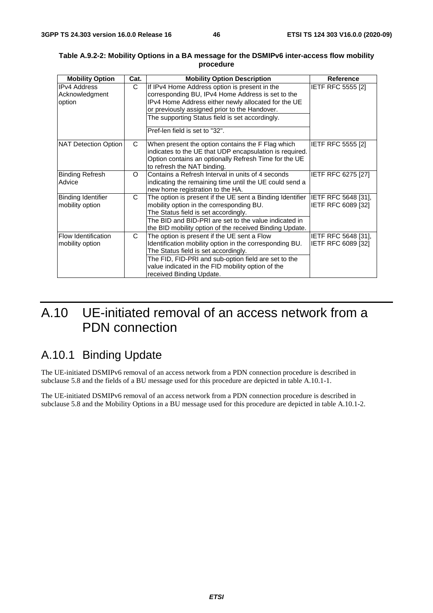| <b>Mobility Option</b>                        | Cat. | <b>Mobility Option Description</b>                                                                                                                                                                                                                                                      | <b>Reference</b>                          |
|-----------------------------------------------|------|-----------------------------------------------------------------------------------------------------------------------------------------------------------------------------------------------------------------------------------------------------------------------------------------|-------------------------------------------|
| <b>IPv4 Address</b><br>Acknowledgment         | C.   | If IPv4 Home Address option is present in the<br>corresponding BU, IPv4 Home Address is set to the                                                                                                                                                                                      | <b>IETF RFC 5555 [2]</b>                  |
| option                                        |      | IPv4 Home Address either newly allocated for the UE<br>or previously assigned prior to the Handover.                                                                                                                                                                                    |                                           |
|                                               |      | The supporting Status field is set accordingly.                                                                                                                                                                                                                                         |                                           |
|                                               |      | Pref-len field is set to "32".                                                                                                                                                                                                                                                          |                                           |
| NAT Detection Option                          | C    | When present the option contains the F Flag which<br>indicates to the UE that UDP encapsulation is required.<br>Option contains an optionally Refresh Time for the UE<br>to refresh the NAT binding.                                                                                    | <b>IETF RFC 5555 [2]</b>                  |
| Binding Refresh<br>Advice                     | O    | Contains a Refresh Interval in units of 4 seconds<br>indicating the remaining time until the UE could send a<br>new home registration to the HA.                                                                                                                                        | <b>IETF RFC 6275 [27]</b>                 |
| Binding Identifier<br>mobility option         | C    | The option is present if the UE sent a Binding Identifier<br>mobility option in the corresponding BU.<br>The Status field is set accordingly.<br>The BID and BID-PRI are set to the value indicated in<br>the BID mobility option of the received Binding Update.                       | IETF RFC 5648 [31],<br>IETF RFC 6089 [32] |
| <b>Flow Identification</b><br>mobility option | C    | The option is present if the UE sent a Flow<br>Identification mobility option in the corresponding BU.<br>The Status field is set accordingly.<br>The FID, FID-PRI and sub-option field are set to the<br>value indicated in the FID mobility option of the<br>received Binding Update. | IETF RFC 5648 [31],<br>IETF RFC 6089 [32] |

#### **Table A.9.2-2: Mobility Options in a BA message for the DSMIPv6 inter-access flow mobility procedure**

## A.10 UE-initiated removal of an access network from a PDN connection

## A.10.1 Binding Update

The UE-initiated DSMIPv6 removal of an access network from a PDN connection procedure is described in subclause 5.8 and the fields of a BU message used for this procedure are depicted in table A.10.1-1.

The UE-initiated DSMIPv6 removal of an access network from a PDN connection procedure is described in subclause 5.8 and the Mobility Options in a BU message used for this procedure are depicted in table A.10.1-2.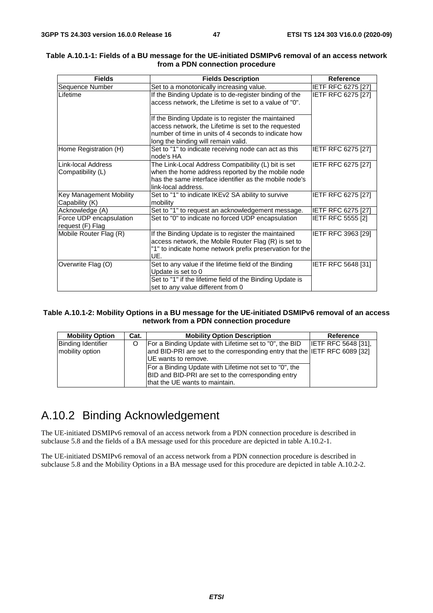| <b>Fields</b>                                  | <b>Fields Description</b>                                                                                                                                                                                  | <b>Reference</b>          |
|------------------------------------------------|------------------------------------------------------------------------------------------------------------------------------------------------------------------------------------------------------------|---------------------------|
| Sequence Number                                | Set to a monotonically increasing value.                                                                                                                                                                   | <b>IETF RFC 6275 [27]</b> |
| Lifetime                                       | If the Binding Update is to de-register binding of the<br>access network, the Lifetime is set to a value of "0".                                                                                           | IETF RFC 6275 [27]        |
|                                                | If the Binding Update is to register the maintained<br>access network, the Lifetime is set to the requested<br>number of time in units of 4 seconds to indicate how<br>long the binding will remain valid. |                           |
| Home Registration (H)                          | Set to "1" to indicate receiving node can act as this<br>node's HA                                                                                                                                         | IETF RFC 6275 [27]        |
| <b>Link-local Address</b><br>Compatibility (L) | The Link-Local Address Compatibility (L) bit is set<br>when the home address reported by the mobile node<br>has the same interface identifier as the mobile node's<br>link-local address.                  | IETF RFC 6275 [27]        |
| Key Management Mobility<br>Capability (K)      | Set to "1" to indicate IKEv2 SA ability to survive<br>mobility                                                                                                                                             | IETF RFC 6275 [27]        |
| Acknowledge (A)                                | Set to "1" to request an acknowledgement message.                                                                                                                                                          | IETF RFC 6275 [27]        |
| Force UDP encapsulation<br>request (F) Flag    | Set to "0" to indicate no forced UDP encapsulation                                                                                                                                                         | <b>IETF RFC 5555 [2]</b>  |
| Mobile Router Flag (R)                         | If the Binding Update is to register the maintained<br>access network, the Mobile Router Flag (R) is set to<br>"1" to indicate home network prefix preservation for the<br>UE.                             | IETF RFC 3963 [29]        |
| Overwrite Flag (O)                             | Set to any value if the lifetime field of the Binding<br>Update is set to 0<br>Set to "1" if the lifetime field of the Binding Update is<br>set to any value different from 0                              | <b>IETF RFC 5648 [31]</b> |

#### **Table A.10.1-1: Fields of a BU message for the UE-initiated DSMIPv6 removal of an access network from a PDN connection procedure**

#### **Table A.10.1-2: Mobility Options in a BU message for the UE-initiated DSMIPv6 removal of an access network from a PDN connection procedure**

| <b>Mobility Option</b>                       | Cat. | <b>Mobility Option Description</b>                                                                                                                          | Reference                  |
|----------------------------------------------|------|-------------------------------------------------------------------------------------------------------------------------------------------------------------|----------------------------|
| <b>Binding Identifier</b><br>mobility option |      | For a Binding Update with Lifetime set to "0", the BID<br>and BID-PRI are set to the corresponding entry that the IETF RFC 6089 [32]<br>UE wants to remove. | <b>IETF RFC 5648 [31].</b> |
|                                              |      | For a Binding Update with Lifetime not set to "0", the<br>BID and BID-PRI are set to the corresponding entry<br>that the UE wants to maintain.              |                            |

## A.10.2 Binding Acknowledgement

The UE-initiated DSMIPv6 removal of an access network from a PDN connection procedure is described in subclause 5.8 and the fields of a BA message used for this procedure are depicted in table A.10.2-1.

The UE-initiated DSMIPv6 removal of an access network from a PDN connection procedure is described in subclause 5.8 and the Mobility Options in a BA message used for this procedure are depicted in table A.10.2-2.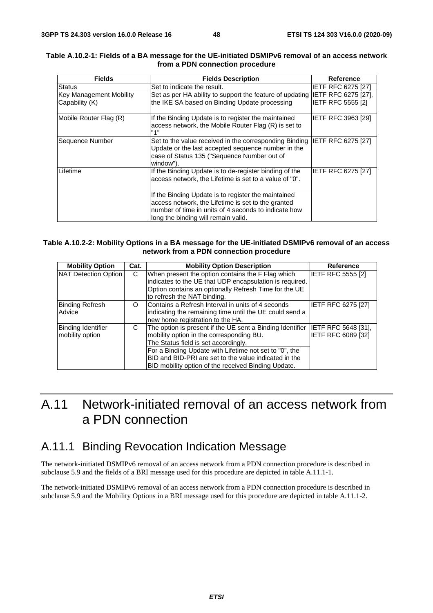| <b>Fields</b>                                    | <b>Fields Description</b>                                                                                                                                                                                | <b>Reference</b>                                |  |  |
|--------------------------------------------------|----------------------------------------------------------------------------------------------------------------------------------------------------------------------------------------------------------|-------------------------------------------------|--|--|
| <b>Status</b>                                    | Set to indicate the result.                                                                                                                                                                              | IETF RFC 6275 [27]                              |  |  |
| <b>Key Management Mobility</b><br>Capability (K) | Set as per HA ability to support the feature of updating<br>the IKE SA based on Binding Update processing                                                                                                | IETF RFC 6275 [27],<br><b>IETF RFC 5555 [2]</b> |  |  |
| Mobile Router Flag (R)                           | If the Binding Update is to register the maintained<br>access network, the Mobile Router Flag (R) is set to<br>"1"                                                                                       | IETF RFC 3963 [29]                              |  |  |
| Sequence Number                                  | Set to the value received in the corresponding Binding<br>Update or the last accepted sequence number in the<br>case of Status 135 ("Sequence Number out of<br>window").                                 | <b>IETF RFC 6275 [27]</b>                       |  |  |
| Lifetime                                         | If the Binding Update is to de-register binding of the<br>access network, the Lifetime is set to a value of "0".                                                                                         | <b>IETF RFC 6275 [27]</b>                       |  |  |
|                                                  | If the Binding Update is to register the maintained<br>access network, the Lifetime is set to the granted<br>number of time in units of 4 seconds to indicate how<br>long the binding will remain valid. |                                                 |  |  |

#### **Table A.10.2-1: Fields of a BA message for the UE-initiated DSMIPv6 removal of an access network from a PDN connection procedure**

#### **Table A.10.2-2: Mobility Options in a BA message for the UE-initiated DSMIPv6 removal of an access network from a PDN connection procedure**

| <b>Mobility Option</b>                       | Cat. | <b>Mobility Option Description</b>                                                                                                                                                                                                                                                                                      | <b>Reference</b>                          |
|----------------------------------------------|------|-------------------------------------------------------------------------------------------------------------------------------------------------------------------------------------------------------------------------------------------------------------------------------------------------------------------------|-------------------------------------------|
| NAT Detection Option                         | C    | When present the option contains the F Flag which<br>indicates to the UE that UDP encapsulation is required.<br>Option contains an optionally Refresh Time for the UE<br>to refresh the NAT binding.                                                                                                                    | <b>IETF RFC 5555 [2]</b>                  |
| <b>Binding Refresh</b><br>Advice             | O    | Contains a Refresh Interval in units of 4 seconds<br>indicating the remaining time until the UE could send a<br>new home registration to the HA.                                                                                                                                                                        | <b>IETF RFC 6275 [27]</b>                 |
| <b>Binding Identifier</b><br>mobility option | С    | The option is present if the UE sent a Binding Identifier<br>mobility option in the corresponding BU.<br>The Status field is set accordingly.<br>For a Binding Update with Lifetime not set to "0", the<br>BID and BID-PRI are set to the value indicated in the<br>BID mobility option of the received Binding Update. | IETF RFC 5648 [31],<br>IETF RFC 6089 [32] |

## A.11 Network-initiated removal of an access network from a PDN connection

### A.11.1 Binding Revocation Indication Message

The network-initiated DSMIPv6 removal of an access network from a PDN connection procedure is described in subclause 5.9 and the fields of a BRI message used for this procedure are depicted in table A.11.1-1.

The network-initiated DSMIPv6 removal of an access network from a PDN connection procedure is described in subclause 5.9 and the Mobility Options in a BRI message used for this procedure are depicted in table A.11.1-2.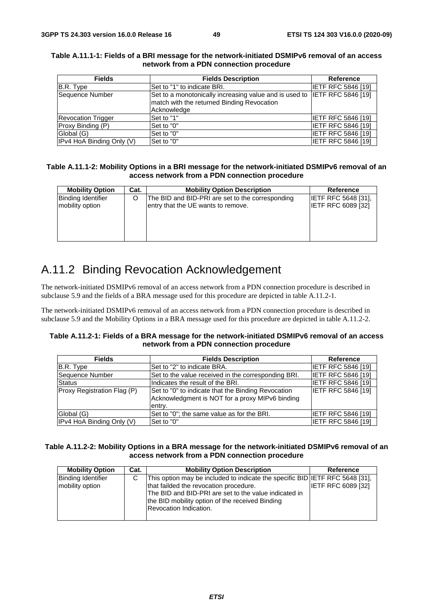| <b>Fields</b>             | <b>Fields Description</b>                                                 | <b>Reference</b>          |
|---------------------------|---------------------------------------------------------------------------|---------------------------|
| B.R. Type                 | ISet to "1" to indicate BRI.                                              | <b>IETF RFC 5846 [19]</b> |
| Sequence Number           | Set to a monotonically increasing value and is used to IETF RFC 5846 [19] |                           |
|                           | match with the returned Binding Revocation                                |                           |
|                           | Acknowledge                                                               |                           |
| <b>Revocation Trigger</b> | Set to "1"                                                                | <b>IETF RFC 5846 [19]</b> |
| Proxy Binding (P)         | Set to "0"                                                                | <b>IETF RFC 5846 [19]</b> |
| Global (G)                | Set to "0"                                                                | <b>IETF RFC 5846 [19]</b> |
| IPv4 HoA Binding Only (V) | Set to "0"                                                                | <b>IETF RFC 5846 [19]</b> |

#### **Table A.11.1-1: Fields of a BRI message for the network-initiated DSMIPv6 removal of an access network from a PDN connection procedure**

#### **Table A.11.1-2: Mobility Options in a BRI message for the network-initiated DSMIPv6 removal of an access network from a PDN connection procedure**

| <b>Mobility Option</b>                       | Cat. | <b>Mobility Option Description</b>                                                     | Reference                                        |
|----------------------------------------------|------|----------------------------------------------------------------------------------------|--------------------------------------------------|
| <b>Binding Identifier</b><br>mobility option |      | The BID and BID-PRI are set to the corresponding<br>entry that the UE wants to remove. | <b>IETF RFC 5648 [31].</b><br>IETF RFC 6089 [32] |
|                                              |      |                                                                                        |                                                  |

## A.11.2 Binding Revocation Acknowledgement

The network-initiated DSMIPv6 removal of an access network from a PDN connection procedure is described in subclause 5.9 and the fields of a BRA message used for this procedure are depicted in table A.11.2-1.

The network-initiated DSMIPv6 removal of an access network from a PDN connection procedure is described in subclause 5.9 and the Mobility Options in a BRA message used for this procedure are depicted in table A.11.2-2.

#### **Table A.11.2-1: Fields of a BRA message for the network-initiated DSMIPv6 removal of an access network from a PDN connection procedure**

| <b>Fields</b>               | <b>Fields Description</b>                                                                                       | <b>Reference</b>          |
|-----------------------------|-----------------------------------------------------------------------------------------------------------------|---------------------------|
| B.R. Type                   | ISet to "2" to indicate BRA.                                                                                    | <b>IETF RFC 5846 [19]</b> |
| Sequence Number             | Set to the value received in the corresponding BRI.                                                             | <b>IETF RFC 5846 [19]</b> |
| <b>Status</b>               | Indicates the result of the BRI.                                                                                | IETF RFC 5846 [19]        |
| Proxy Registration Flag (P) | Set to "0" to indicate that the Binding Revocation<br>Acknowledgment is NOT for a proxy MIPv6 binding<br>entry. | <b>IETF RFC 5846 [19]</b> |
| Global (G)                  | Set to "0"; the same value as for the BRI.                                                                      | <b>IETF RFC 5846 [19]</b> |
| IPv4 HoA Binding Only (V)   | lSet to "0"                                                                                                     | <b>IETF RFC 5846 [19]</b> |

#### **Table A.11.2-2: Mobility Options in a BRA message for the network-initiated DSMIPv6 removal of an access network from a PDN connection procedure**

| <b>Mobility Option</b>                       | Cat. | <b>Mobility Option Description</b>                                                                                                                                                                                                                                  | <b>Reference</b>          |
|----------------------------------------------|------|---------------------------------------------------------------------------------------------------------------------------------------------------------------------------------------------------------------------------------------------------------------------|---------------------------|
| <b>Binding Identifier</b><br>mobility option | C    | This option may be included to indicate the specific BID IETF RFC 5648 [31],<br>that failded the revocation procedure.<br>The BID and BID-PRI are set to the value indicated in<br>the BID mobility option of the received Binding<br><b>Revocation Indication.</b> | <b>IETF RFC 6089 [32]</b> |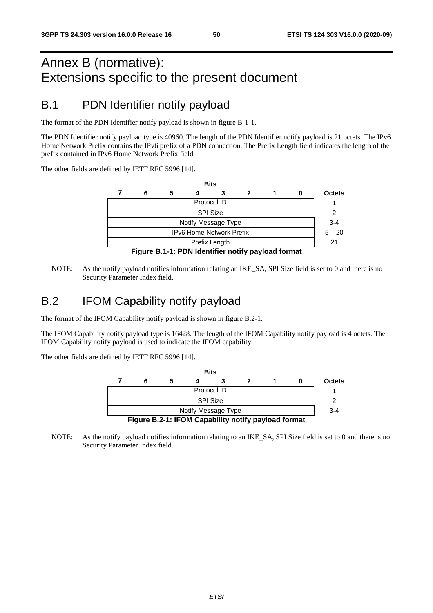## Annex B (normative): Extensions specific to the present document

## B.1 PDN Identifier notify payload

The format of the PDN Identifier notify payload is shown in figure B-1-1.

The PDN Identifier notify payload type is 40960. The length of the PDN Identifier notify payload is 21 octets. The IPv6 Home Network Prefix contains the IPv6 prefix of a PDN connection. The Prefix Length field indicates the length of the prefix contained in IPv6 Home Network Prefix field.

The other fields are defined by IETF RFC 5996 [14].

|                     |                                                             |   |  | <b>Bits</b> |  |  |  |               |  |  |
|---------------------|-------------------------------------------------------------|---|--|-------------|--|--|--|---------------|--|--|
|                     | 6                                                           | 5 |  |             |  |  |  | <b>Octets</b> |  |  |
|                     | Protocol ID                                                 |   |  |             |  |  |  |               |  |  |
|                     | <b>SPI Size</b>                                             |   |  |             |  |  |  |               |  |  |
| Notify Message Type |                                                             |   |  |             |  |  |  |               |  |  |
|                     | <b>IPv6 Home Network Prefix</b>                             |   |  |             |  |  |  |               |  |  |
| Prefix Length       |                                                             |   |  |             |  |  |  |               |  |  |
|                     | $\Gamma$ iausa D.4.4. DDNI Idantifias natify navlaad fasmat |   |  |             |  |  |  |               |  |  |

**Figure B.1-1: PDN Identifier notify payload format** 

NOTE: As the notify payload notifies information relating an IKE\_SA, SPI Size field is set to 0 and there is no Security Parameter Index field.

### B.2 IFOM Capability notify payload

The format of the IFOM Capability notify payload is shown in figure B.2-1.

The IFOM Capability notify payload type is 16428. The length of the IFOM Capability notify payload is 4 octets. The IFOM Capability notify payload is used to indicate the IFOM capability.

The other fields are defined by IETF RFC 5996 [14].



NOTE: As the notify payload notifies information relating to an IKE\_SA, SPI Size field is set to 0 and there is no Security Parameter Index field.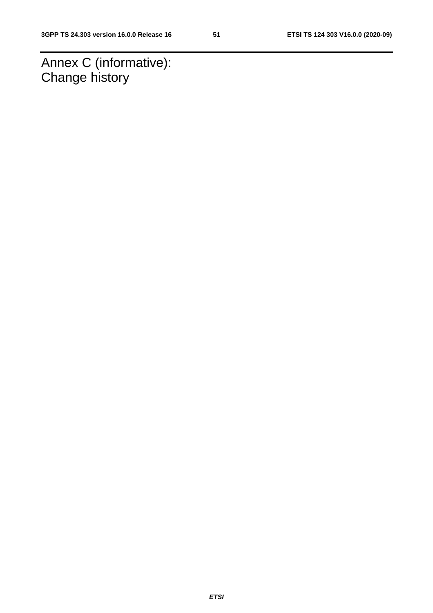Annex C (informative): Change history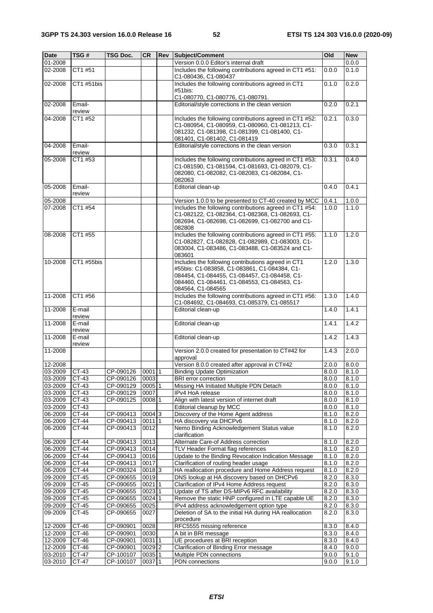| <b>Date</b>        | TSG #              | TSG Doc.               | <b>CR</b>         | Rev | Subject/Comment                                                                                                                                                                                                         | Old            | <b>New</b>     |
|--------------------|--------------------|------------------------|-------------------|-----|-------------------------------------------------------------------------------------------------------------------------------------------------------------------------------------------------------------------------|----------------|----------------|
| 01-2008            |                    |                        |                   |     | Version 0.0.0 Editor's internal draft                                                                                                                                                                                   |                | 0.0.0          |
| 02-2008            | CT1 #51            |                        |                   |     | Includes the following contributions agreed in CT1 #51:<br>C1-080436, C1-080437                                                                                                                                         | 0.0.0          | 0.1.0          |
| 02-2008            | CT1 #51bis         |                        |                   |     | Includes the following contributions agreed in CT1<br>#51bis:                                                                                                                                                           | 0.1.0          | 0.2.0          |
| 02-2008            | Email-             |                        |                   |     | C1-080770, C1-080776, C1-080791.<br>Editorial/style corrections in the clean version                                                                                                                                    | 0.2.0          | 0.2.1          |
| 04-2008            | review<br>CT1 #52  |                        |                   |     | Includes the following contributions agreed in CT1 #52:<br>C1-080954, C1-080959, C1-080960, C1-081213, C1-<br>081232, C1-081398, C1-081399, C1-081400, C1-<br>081401, C1-081402, C1-081419                              | 0.2.1          | 0.3.0          |
| 04-2008            | Email-<br>review   |                        |                   |     | Editorial/style corrections in the clean version                                                                                                                                                                        | 0.3.0          | 0.3.1          |
| $05 - 2008$        | CT1 #53            |                        |                   |     | Includes the following contributions agreed in CT1 #53:<br>C1-081590, C1-081594, C1-081693, C1-082079, C1-<br>082080, C1-082082, C1-082083, C1-082084, C1-<br>082063                                                    | 0.3.1          | 0.4.0          |
| 05-2008            | Email-<br>review   |                        |                   |     | Editorial clean-up                                                                                                                                                                                                      | 0.4.0          | 0.4.1          |
| 05-2008            |                    |                        |                   |     | Version 1.0.0 to be presented to CT-40 created by MCC                                                                                                                                                                   | 0.4.1          | 1.0.0          |
| 07-2008            | CT1 #54            |                        |                   |     | Includes the following contributions agreed in CT1 #54:<br>C1-082122, C1-082364, C1-082368, C1-082693, C1-<br>082694, C1-082698, C1-082699, C1-082700 and C1-<br>082808                                                 | 1.0.0          | 1.1.0          |
| 08-2008            | CT1 #55            |                        |                   |     | Includes the following contributions agreed in CT1 #55:<br>C1-082827, C1-082828, C1-082989, C1-083003, C1-<br>083004, C1-083486, C1-083488, C1-083524 and C1-<br>083601                                                 | 1.1.0          | 1.2.0          |
| 10-2008            | CT1 #55bis         |                        |                   |     | Includes the following contributions agreed in CT1<br>#55bis: C1-083858, C1-083861, C1-084384, C1-<br>084454, C1-084455, C1-084457, C1-084458, C1-<br>084460, C1-084461, C1-084553, C1-084563, C1-<br>084564, C1-084565 | 1.2.0          | 1.3.0          |
| 11-2008            | CT1 #56            |                        |                   |     | Includes the following contributions agreed in CT1 #56:<br>C1-084692, C1-084693, C1-085379, C1-085517                                                                                                                   | 1.3.0          | 1.4.0          |
| 11-2008            | E-mail<br>review   |                        |                   |     | Editorial clean-up                                                                                                                                                                                                      | 1.4.0          | 1.4.1          |
| 11-2008            | E-mail<br>review   |                        |                   |     | Editorial clean-up                                                                                                                                                                                                      | 1.4.1          | 1.4.2          |
| 11-2008            | E-mail<br>review   |                        |                   |     | Editorial clean-up                                                                                                                                                                                                      | 1.4.2          | 1.4.3          |
| 11-2008            |                    |                        |                   |     | Version 2.0.0 created for presentation to CT#42 for<br>approval                                                                                                                                                         | 1.4.3          | 2.0.0          |
| 12-2008            |                    |                        |                   |     | Version 8.0.0 created after approval in CT#42                                                                                                                                                                           | 2.0.0          | 8.0.0          |
| 03-2009            | CT-43              | CP-090126              | $0001$  1         |     | <b>Binding Update Optimization</b>                                                                                                                                                                                      | 8.0.0          | 8.1.0          |
| 03-2009            | $CT-43$            | CP-090126              | 0003              |     | <b>BRI</b> error correction                                                                                                                                                                                             | 8.0.0          | 8.1.0          |
| 03-2009            | CT-43              | CP-090129              | $0005$  1         |     | Missing HA Initiated Multiple PDN Detach                                                                                                                                                                                | 8.0.0          | 8.1.0          |
| 03-2009            | CT-43              | CP-090129              | 0007              |     | IPv4 HoA release                                                                                                                                                                                                        | 8.0.0          | 8.1.0          |
| 03-2009            | CT-43              | CP-090125              | 0008 1            |     | Align with latest version of internet draft                                                                                                                                                                             | 8.0.0          | 8.1.0          |
| 03-2009            | $\overline{CT-43}$ |                        |                   |     | Editorial cleanup by MCC                                                                                                                                                                                                | 8.0.0          | 8.1.0          |
| 06-2009            | CT-44              | CP-090413              | 0004 3            |     | Discovery of the Home Agent address                                                                                                                                                                                     | 8.1.0          | 8.2.0          |
| 06-2009<br>06-2009 | CT-44<br>CT-44     | CP-090413<br>CP-090413 | $0011$  1<br>0012 |     | HA discovery via DHCPv6<br>Nemo Binding Acknowledgement Status value<br>clarification                                                                                                                                   | 8.1.0<br>8.1.0 | 8.2.0<br>8.2.0 |
| 06-2009            | CT-44              | CP-090413              | 0013              |     | Alternate Care-of Address correction                                                                                                                                                                                    | 8.1.0          | 8.2.0          |
| 06-2009            | CT-44              | CP-090413              | 0014              |     | TLV Header Format flag references                                                                                                                                                                                       | 8.1.0          | 8.2.0          |
| 06-2009            | CT-44              | CP-090413              | 0016              |     | Update to the Binding Revocation Indication Message                                                                                                                                                                     | 8.1.0          | 8.2.0          |
| 06-2009            | CT-44              | CP-090413              | 0017              |     | Clarification of routing header usage                                                                                                                                                                                   | 8.1.0          | 8.2.0          |
| 06-2009            | <b>CT-44</b>       | CP-090324              | 00183             |     | HA reallocation procedure and Home Address request                                                                                                                                                                      | 8.1.0          | 8.2.0          |
| $09 - 2009$        | CT-45              | CP-090655              | 0019              |     | DNS lookup at HA discovery based on DHCPv6                                                                                                                                                                              | 8.2.0          | 8.3.0          |
| 09-2009            | CT-45              | CP-090655              | $0021$  1         |     | Clarification of IPv4 Home Address request                                                                                                                                                                              | 8.2.0          | 8.3.0          |
| 09-2009            | CT-45              | CP-090655              | $0023$ 1          |     | Update of TS after DS-MIPv6 RFC availability                                                                                                                                                                            | 8.2.0          | 8.3.0          |
| 09-2009            | CT-45              | CP-090655              | 0024 1            |     | Remove the static HNP configured in LTE capable UE                                                                                                                                                                      | 8.2.0          | 8.3.0          |
| 09-2009            | CT-45              | CP-090655              | 0025              |     | IPv4 address acknowledgement option type                                                                                                                                                                                | 8.2.0          | 8.3.0          |
| 09-2009            | CT-45              | CP-090655              | 0027              |     | Deletion of SA to the initial HA during HA reallocation<br>procedure                                                                                                                                                    | 8.2.0          | 8.3.0          |
| 12-2009            | CT-46              | CP-090901              | 0028              |     | RFC5555 missing reference                                                                                                                                                                                               | 8.3.0          | 8.4.0          |
| 12-2009            | $CT-46$            | CP-090901              | 0030              |     | A bit in BRI message                                                                                                                                                                                                    | 8.3.0          | 8.4.0          |
| 12-2009            | CT-46              | CP-090901              | 0031 1            |     | UE procedures at BRI reception                                                                                                                                                                                          | 8.3.0          | 8.4.0          |
| 12-2009            | CT-46              | CP-090901              | 0029 2            |     | Clarification of Binding Error message                                                                                                                                                                                  | 8.4.0          | 9.0.0          |
| 03-2010            | CT-47              | CP-100107              | 0035 1            |     | Multiple PDN connections                                                                                                                                                                                                | 9.0.0          | 9.1.0          |
| 03-2010            | CT-47              | CP-100107              | 0037 1            |     | PDN connections                                                                                                                                                                                                         | 9.0.0          | 9.1.0          |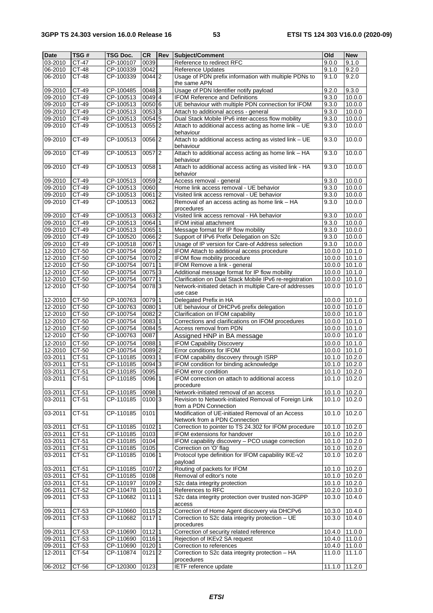| <b>Date</b>        | TSG#    | TSG Doc.  | <b>CR</b>           | Rev | Subject/Comment                                                    | Old              | <b>New</b>       |
|--------------------|---------|-----------|---------------------|-----|--------------------------------------------------------------------|------------------|------------------|
| 03-2010            | CT-47   | CP-100107 | 0039                |     | Reference to redirect RFC                                          | 9.0.0            | 9.1.0            |
| 06-2010            | $CT-48$ | CP-100339 | 0042                |     | Reference Updates                                                  | 9.1.0            | 9.2.0            |
| 06-2010            | CT-48   | CP-100339 | 0044 2              |     | Usage of PDN prefix information with multiple PDNs to              | 9.1.0            | 9.2.0            |
|                    |         |           |                     |     | the same APN                                                       |                  |                  |
| 09-2010            | CT-49   | CP-100485 | $0048$ <sup>3</sup> |     | Usage of PDN Identifier notify payload                             | 9.2.0            | 9.3.0            |
| 09-2010            | CT-49   | CP-100513 | 0049 4              |     | <b>IFOM Reference and Definitions</b>                              | 9.3.0            | 10.0.0           |
| 09-2010            | CT-49   | CP-100513 | 0050 6              |     | UE behaviour with multiple PDN connection for IFOM                 | 9.3.0            | 10.0.0           |
| 09-2010            | CT-49   | CP-100513 | 00533               |     | Attach to additional access - general                              | 9.3.0            | 10.0.0           |
| 09-2010            | CT-49   | CP-100513 | 00545               |     | Dual Stack Mobile IPv6 inter-access flow mobility                  | 9.3.0            | 10.0.0           |
| 09-2010            | CT-49   | CP-100513 | $0055$  2           |     | Attach to additional access acting as home link - UE               | 9.3.0            | 10.0.0           |
|                    |         |           |                     |     | behaviour                                                          |                  |                  |
| 09-2010            | CT-49   | CP-100513 | $0056$ <sup>2</sup> |     | Attach to additional access acting as visted link - UE             | 9.3.0            | 10.0.0           |
|                    |         |           |                     |     | behaviour                                                          |                  |                  |
| 09-2010            | $CT-49$ | CP-100513 | 0057 2              |     | Attach to additional access acting as home link - HA               | 9.3.0            | 10.0.0           |
|                    |         |           |                     |     | behaviour                                                          |                  |                  |
| 09-2010            | $CT-49$ | CP-100513 | $0058$ 1            |     | Attach to additional access acting as visited link - HA            | 9.3.0            | 10.0.0           |
|                    |         |           |                     |     | behavior                                                           |                  |                  |
| 09-2010            | $CT-49$ | CP-100513 | 0059 2              |     | Access removal - general                                           | 9.3.0            | 10.0.0           |
| 09-2010            | CT-49   | CP-100513 | 0060                |     | Home link access removal - UE behavior                             | 9.3.0            | 10.0.0           |
| 09-2010            | CT-49   | CP-100513 | $0061$ <sup>2</sup> |     | Visited link access removal - UE behavior                          | 9.3.0            | 10.0.0           |
| 09-2010            | CT-49   | CP-100513 | 0062                |     | Removal of an access acting as home link - HA                      | 9.3.0            | 10.0.0           |
|                    |         |           |                     |     | procedures                                                         |                  |                  |
| 09-2010            | CT-49   | CP-100513 | 0063 2              |     | Visited link access removal - HA behavior                          | 9.3.0            | 10.0.0           |
| 09-2010            | CT-49   | CP-100513 | 0064 1              |     | <b>IFOM initial attachment</b>                                     | 9.3.0            | 10.0.0           |
| 09-2010            | CT-49   | CP-100513 | 0065 1              |     | Message format for IP flow mobility                                | 9.3.0            | 10.0.0           |
| 09-2010            | CT-49   | CP-100520 | 0066 2              |     | Support of IPv6 Prefix Delegation on S2c                           | 9.3.0            | 10.0.0           |
| 09-2010            | $CT-49$ | CP-100518 | 00671               |     | Usage of IP version for Care-of Address selection                  | 9.3.0            | 10.0.0           |
| 12-2010            | CT-50   | CP-100754 | 0069 2              |     | IFOM Attach to additional access procedure                         | 10.0.0           | 10.1.0           |
| 12-2010            | CT-50   | CP-100754 | 0070 2              |     | IFOM flow mobility procedure                                       | 10.0.0           | 10.1.0           |
| 12-2010            | CT-50   | CP-100754 | 00711               |     | IFOM Remove a link - general                                       | 10.0.0           | 10.1.0           |
| 12-2010            | CT-50   | CP-100754 | 0075 3              |     | Additional message format for IP flow mobility                     | 10.0.0           | 10.1.0           |
|                    | CT-50   | CP-100754 | 00771               |     | Clarification on Dual Stack Mobile IPv6 re-registration            |                  |                  |
| 12-2010<br>12-2010 | CT-50   | CP-100754 | 00783               |     | Network-initiated detach in multiple Care-of addresses             | 10.0.0<br>10.0.0 | 10.1.0<br>10.1.0 |
|                    |         |           |                     |     |                                                                    |                  |                  |
|                    | $CT-50$ |           |                     |     | use case                                                           |                  |                  |
| 12-2010<br>12-2010 | CT-50   | CP-100763 | 0079 1<br>0080 1    |     | Delegated Prefix in HA<br>UE behaviour of DHCPv6 prefix delegation | 10.0.0           | 10.1.0           |
|                    |         | CP-100763 |                     |     |                                                                    | 10.0.0           | 10.1.0           |
| 12-2010            | CT-50   | CP-100754 | 0082 2              |     | Clarification on IFOM capability                                   | 10.0.0           | 10.1.0           |
| 12-2010            | $CT-50$ | CP-100754 | 0083 1              |     | Corrections and clarifications on IFOM procedures                  | 10.0.0           | 10.1.0           |
| 12-2010            | CT-50   | CP-100754 | 00845               |     | Access removal from PDN                                            | 10.0.0           | 10.1.0           |
| 12-2010            | CT-50   | CP-100763 | 0087                |     | Assigned HNP in BA message                                         | 10.0.0           | 10.1.0           |
| 12-2010            | CT-50   | CP-100754 | 0088 1              |     | <b>IFOM Capability Discovery</b>                                   | 10.0.0           | 10.1.0           |
| 12-2010            | CT-50   | CP-100754 | $0089$ <sub>2</sub> |     | Error conditions for IFOM                                          | 10.0.0           | 10.1.0           |
| 03-2011            | CT-51   | CP-110185 | 0093 1              |     | IFOM capability discovery through ISRP                             | 10.1.0           | 10.2.0           |
| 03-2011            | CT-51   | CP-110185 | 00943               |     | IFOM condition for binding acknowledge                             | 10.1.0           | 10.2.0           |
| 03-2011            | CT-51   | CP-110185 | 0095                |     | IFOM error condition                                               | 10.1.0           | 10.2.0           |
| 03-2011            | $CT-51$ | CP-110185 | 0096 1              |     | IFOM correction on attach to additional access                     | 10.1.0           | 10.2.0           |
|                    |         |           |                     |     | procedure                                                          |                  |                  |
| 03-2011            | CT-51   | CP-110185 | 0098 1              |     | Network-initiated removal of an access                             | 10.1.0           | 10.2.0           |
| 03-2011            | CT-51   | CP-110185 | 010013              |     | Revision to Network-initiated Removal of Foreign Link              | 10.1.0           | 10.2.0           |
|                    |         |           |                     |     | from a PDN Connection                                              |                  |                  |
| 03-2011            | CT-51   | CP-110185 | 0101                |     | Modification of UE-initiated Removal of an Access                  | 10.1.0           | 10.2.0           |
|                    |         |           |                     |     | Network from a PDN Connection                                      |                  |                  |
| 03-2011            | CT-51   | CP-110185 | $0102$  1           |     | Correction to pointer to TS 24.302 for IFOM procedure              | 10.1.0           | 10.2.0           |
| 03-2011            | CT-51   | CP-110185 | 0103                |     | IFOM extensions for handover                                       | 10.1.0           | 10.2.0           |
| 03-2011            | CT-51   | CP-110185 | 0104                |     | IFOM capability discovery - PCO usage correction                   | 10.1.0           | 10.2.0           |
| 03-2011            | $CT-51$ | CP-110185 | 0105                |     | Correction on 'O' flag                                             | 10.1.0           | 10.2.0           |
| 03-2011            | CT-51   | CP-110185 | 0106 1              |     | Protocol type definition for IFOM capability IKE-v2                | 10.1.0           | 10.2.0           |
|                    |         |           |                     |     | payload                                                            |                  |                  |
| 03-2011            | CT-51   | CP-110185 | $0107$  2           |     | Routing of packets for IFOM                                        | 10.1.0           | 10.2.0           |
| 03-2011            | $CT-51$ | CP-110185 | 0108                |     | Removal of editor's note                                           | 10.1.0 10.2.0    |                  |
| 03-2011            | CT-51   | CP-110197 | 0109 2              |     | S2c data integrity protection                                      | 10.1.0           | 10.2.0           |
| 06-2011            | $CT-52$ | CP-110478 | 0110 1              |     | References to RFC                                                  | 10.2.0           | 10.3.0           |
| 09-2011            | CT-53   | CP-110682 | 0111 1              |     | S2c data integrity protection over trusted non-3GPP                | 10.3.0           | 10.4.0           |
|                    |         |           |                     |     | access                                                             |                  |                  |
| 09-2011            | CT-53   | CP-110660 | $0115$  2           |     | Correction of Home Agent discovery via DHCPv6                      | 10.3.0           | 10.4.0           |
| 09-2011            | CT-53   | CP-110682 | 0117 1              |     | Correction to S2c data integrity protection - UE                   | 10.3.0           | 10.4.0           |
|                    |         |           |                     |     | procedures                                                         |                  |                  |
| 09-2011            | CT-53   | CP-110690 | $0112$ 1            |     | Correction of security related reference                           | 10.4.0           | 11.0.0           |
| 09-2011            | $CT-53$ | CP-110690 | $\overline{0116}$ 1 |     | Rejection of IKEv2 SA request                                      | 10.4.0 11.0.0    |                  |
| 09-2011            | CT-53   | CP-110690 | 0120 1              |     | Correction to references                                           | 10.4.0           | 11.0.0           |
| 12-2011            | CT-54   | CP-110874 | $0121$ 2            |     | Correction to S2c data integrity protection - HA                   | 11.0.0           | 11.1.0           |
|                    |         |           |                     |     | procedures                                                         |                  |                  |
| 06-2012            | CT-56   | CP-120300 | 0123                |     | IETF reference update                                              | 11.1.0           | 11.2.0           |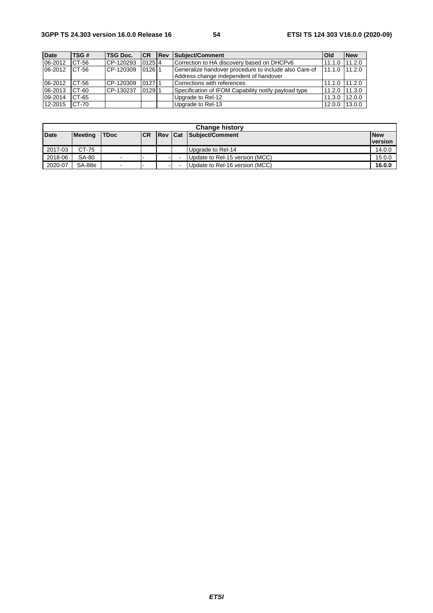| <b>Date</b> | TSG#  | <b>TSG Doc.</b> | <b>CR</b> | <b>IRev</b> | <b>Subiect/Comment</b>                                                                          | <b>Old</b>     | <b>New</b> |
|-------------|-------|-----------------|-----------|-------------|-------------------------------------------------------------------------------------------------|----------------|------------|
| 06-2012     | CT-56 | CP-120293       | $0125$ 4  |             | Correction to HA discovery based on DHCPv6                                                      | 11.1.0         | 11.2.0     |
| 06-2012     | CT-56 | CP-120309       | $0126$ 1  |             | Generalize handover procedure to include also Care-of<br>Address change independent of handover | 11.1.0         | 11.2.0     |
| 06-2012     | CT-56 | CP-120309       | 012711    |             | Corrections with references                                                                     | 11.1.0 111.2.0 |            |
| 06-2013     | CT-60 | CP-130237       | $0129$  1 |             | Specification of IFOM Capability notify payload type                                            | 11.2.0         | 11.3.0     |
| 09-2014     | CT-65 |                 |           |             | Upgrade to Rel-12                                                                               | 11.3.0         | 12.0.0     |
| 12-2015     | CT-70 |                 |           |             | Upgrade to Rel-13                                                                               | 12.0.0         | 13.0.0     |

| <b>Change history</b> |                |                |      |  |  |                                |                              |  |  |  |
|-----------------------|----------------|----------------|------|--|--|--------------------------------|------------------------------|--|--|--|
| <b>Date</b>           | <b>Meeting</b> | <b>TDoc</b>    | ICR. |  |  | <b>Rev Cat Subject/Comment</b> | <b>New</b><br><b>version</b> |  |  |  |
| 2017-03               | CT-75          |                |      |  |  | Upgrade to Rel-14              | 14.0.0                       |  |  |  |
| 2018-06               | SA-80          | $\,$           |      |  |  | Update to Rel-15 version (MCC) | 15.0.0                       |  |  |  |
| 2020-07               | SA-88e         | $\blacksquare$ |      |  |  | Update to Rel-16 version (MCC) | 16.0.0                       |  |  |  |